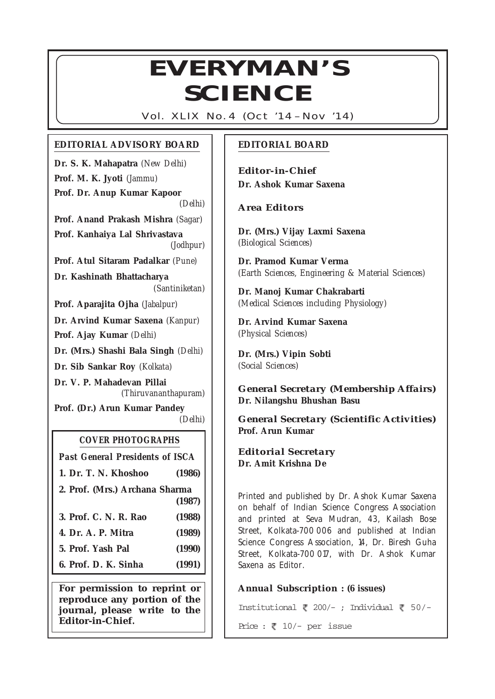## $1 \cdot 8$  $11$ 3345678880123456789012345678901234567890123456789012345678901234567890123456789012345678901234567890123456789012345678901234567890123456789012345678901234567890123456789012345678901234567890123456789012345678901234567  $\begin{matrix} \begin{matrix} \begin{matrix} \mathbb{N} & \mathbb{N} \end{matrix} & \mathbb{N} \end{matrix} & \mathbb{N} \end{matrix} & \mathbb{N} \end{matrix} & \mathbb{N} \end{matrix} & \mathbb{N} \end{matrix} & \mathbb{N} \end{matrix} & \begin{matrix} \begin{matrix} \mathbb{N} & \mathbb{N} & \mathbb{N} \end{matrix} & \begin{matrix} \mathbb{N} & \mathbb{N} & \mathbb{N} \end{matrix} & \mathbb{N} \end{matrix} & \begin{matrix} \begin{matrix} \mathbb{N} & \mathbb{N} & \mathbb{N} & \mathbb{N$ **SCIENCE**

12345678901234567890123456789012123456789012345678901234567890121234567890123456789012345678

*Vol. XLIX No. 4 (Oct '14 – Nov '14)*

## **EDITORIAL ADVISORY BOARD**

**Dr. S. K. Mahapatra** *(New Delhi)* **Prof. M. K. Jyoti** *(Jammu)* **Prof. Dr. Anup Kumar Kapoor** *(Delhi)* **Prof. Anand Prakash Mishra** *(Sagar)* **Prof. Kanhaiya Lal Shrivastava** *(Jodhpur)* **Prof. Atul Sitaram Padalkar** *(Pune)* **Dr. Kashinath Bhattacharya** *(Santiniketan)* **Prof. Aparajita Ojha** *(Jabalpur)* **Dr. Arvind Kumar Saxena** *(Kanpur)* **Prof. Ajay Kumar** *(Delhi)* **Dr. (Mrs.) Shashi Bala Singh** *(Delhi)* **Dr. Sib Sankar Roy** *(Kolkata)* **Dr. V. P. Mahadevan Pillai** *(Thiruvananthapuram)* **Prof. (Dr.) Arun Kumar Pandey** *(Delhi)*

## **COVER PHOTOGRAPHS**

*Past General Presidents of ISCA*

- **1. Dr. T. N. Khoshoo (1986)**
- **2. Prof. (Mrs.) Archana Sharma (1987)**
- **3. Prof. C. N. R. Rao (1988)**
- **4. Dr. A. P. Mitra (1989)**
- **5. Prof. Yash Pal (1990)**

**6. Prof. D. K. Sinha (1991)**

**For permission to reprint or reproduce any portion of the journal, please write to the Editor-in-Chief.**

## **EDITORIAL BOARD**

*Editor-in-Chief* **Dr. Ashok Kumar Saxena**

## *Area Editors*

**Dr. (Mrs.) Vijay Laxmi Saxena** *(Biological Sciences)*

**Dr. Pramod Kumar Verma** *(Earth Sciences, Engineering & Material Sciences)*

**Dr. Manoj Kumar Chakrabarti** *(Medical Sciences including Physiology)*

**Dr. Arvind Kumar Saxena** *(Physical Sciences)*

**Dr. (Mrs.) Vipin Sobti** *(Social Sciences)*

*General Secretary (Membership Affairs)* **Dr. Nilangshu Bhushan Basu**

*General Secretary (Scientific Activities)* **Prof. Arun Kumar**

*Editorial Secretary* **Dr. Amit Krishna De**

Printed and published by Dr. Ashok Kumar Saxena on behalf of Indian Science Congress Association and printed at Seva Mudran, 43, Kailash Bose Street, Kolkata-700 006 and published at Indian Science Congress Association, 14, Dr. Biresh Guha Street, Kolkata-700 017, with Dr. Ashok Kumar Saxena as Editor.

## *Annual Subscription :* **(6 issues)**

Institutional  $\sqrt{200/-}$ ; Individual  $\sqrt{50/-}$ 

Price :  $\sqrt{2}$  10/- per issue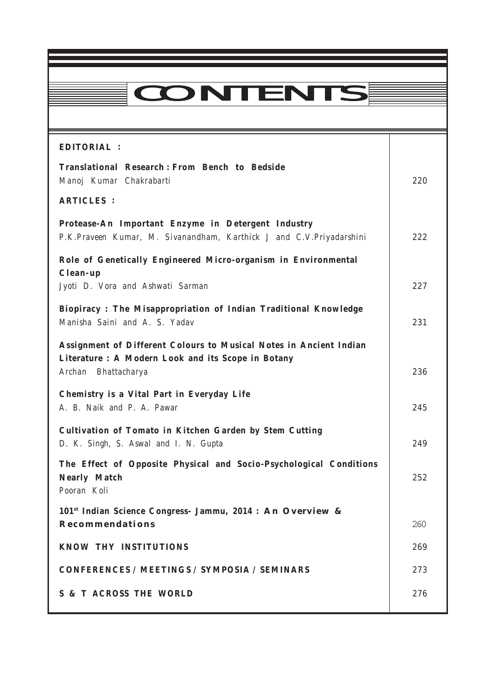# **CONTENTS**

12345678901234567890123456789012123456789012345678901234567890121234567890123456789012345678 12345678901234567890123456789012123456789012345678901234567890121234567890123456789012345678  $1.8 \pm 0.000$  and  $1.8 \pm 0.000$  and  $1.8 \pm 0.000$  and  $1.8 \pm 0.000$  and  $1.8 \pm 0.000$  and  $1.8 \pm 0.000$ 12345678901234567890123456789012123456789012345678901234567890121234567890123456789012345678 12345678901234567890123456789012345678901234567890123456789012345678901234567890123456789012345678901234567890

Everyman's Science Everyman's Science Vol. XLIX No. 4 Oct. '14 — Nov. '14

| <b>EDITORIAL:</b>                                                                                                                               |     |
|-------------------------------------------------------------------------------------------------------------------------------------------------|-----|
| <b>Translational Research: From Bench to Bedside</b><br>Manoj Kumar Chakrabarti                                                                 | 220 |
| <b>ARTICLES :</b>                                                                                                                               |     |
| Protease-An Important Enzyme in Detergent Industry<br>P.K.Praveen Kumar, M. Sivanandham, Karthick J and C.V.Priyadarshini                       | 222 |
| Role of Genetically Engineered Micro-organism in Environmental<br>Clean-up                                                                      |     |
| Jyoti D. Vora and Ashwati Sarman                                                                                                                | 227 |
| Biopiracy: The Misappropriation of Indian Traditional Knowledge<br>Manisha Saini and A. S. Yadav                                                | 231 |
| Assignment of Different Colours to Musical Notes in Ancient Indian<br>Literature : A Modern Look and its Scope in Botany<br>Archan Bhattacharya | 236 |
| Chemistry is a Vital Part in Everyday Life<br>A. B. Naik and P. A. Pawar                                                                        | 245 |
| Cultivation of Tomato in Kitchen Garden by Stem Cutting<br>D. K. Singh, S. Aswal and I. N. Gupta                                                | 249 |
| The Effect of Opposite Physical and Socio-Psychological Conditions<br><b>Nearly Match</b><br>Pooran Koli                                        | 252 |
| 101 <sup>st</sup> Indian Science Congress- Jammu, 2014 : An Overview &<br><b>Recommendations</b>                                                | 260 |
| <b>KNOW THY INSTITUTIONS</b>                                                                                                                    | 269 |
| <b>CONFERENCES / MEETINGS / SYMPOSIA / SEMINARS</b>                                                                                             | 273 |
| <b>S &amp; T ACROSS THE WORLD</b>                                                                                                               | 276 |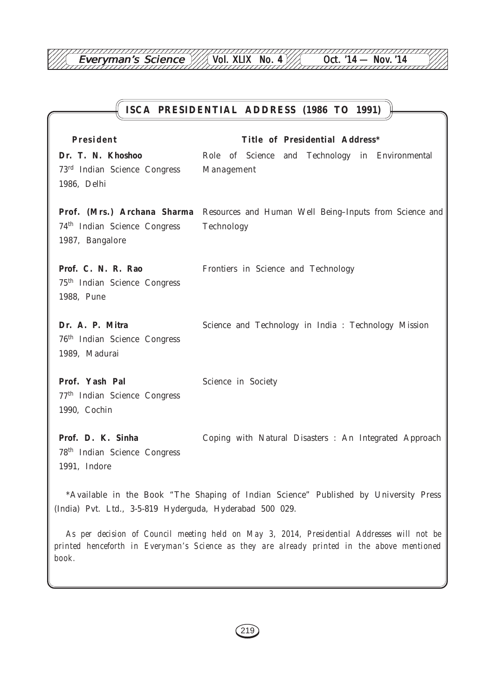12345678901234567890123456789012123456789012345678901234567890121234567890123456789012345678

# **ISCA PRESIDENTIAL ADDRESS (1986 TO 1991) President Title of Presidential Address\* Dr. T. N. Khoshoo** Role of Science and Technology in Environmental 73rd Indian Science Congress Management 1986, Delhi **Prof. (Mrs.) Archana Sharma** Resources and Human Well Being–Inputs from Science and 74th Indian Science Congress Technology 1987, Bangalore **Prof. C. N. R. Rao** Frontiers in Science and Technology 75th Indian Science Congress 1988, Pune Dr. A. P. Mitra Science and Technology in India : Technology Mission 76th Indian Science Congress 1989, Madurai Prof. Yash Pal Science in Society 77th Indian Science Congress 1990, Cochin Prof. D. K. Sinha **Coping with Natural Disasters : An Integrated Approach** 78th Indian Science Congress 1991, Indore \*Available in the Book "The Shaping of Indian Science" Published by University Press (India) Pvt. Ltd., 3-5-819 Hyderguda, Hyderabad 500 029.

*As per decision of Council meeting held on May 3, 2014, Presidential Addresses will not be printed henceforth in Everyman's Science as they are already printed in the above mentioned book.*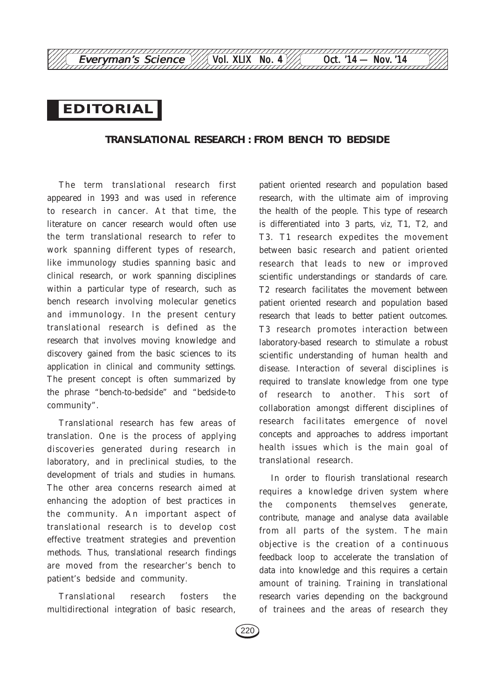# *EDITORIAL*

## **TRANSLATIONAL RESEARCH : FROM BENCH TO BEDSIDE**

The term translational research first appeared in 1993 and was used in reference to research in cancer. At that time, the literature on cancer research would often use the term translational research to refer to work spanning different types of research, like immunology studies spanning basic and clinical research, or work spanning disciplines within a particular type of research, such as bench research involving molecular genetics and immunology. In the present century translational research is defined as the research that involves moving knowledge and discovery gained from the basic sciences to its application in clinical and community settings. The present concept is often summarized by the phrase "bench-to-bedside" and "bedside-to community".

Translational research has few areas of translation. One is the process of applying discoveries generated during research in laboratory, and in preclinical studies, to the development of trials and studies in humans. The other area concerns research aimed at enhancing the adoption of best practices in the community. An important aspect of translational research is to develop cost effective treatment strategies and prevention methods. Thus, translational research findings are moved from the researcher's bench to patient's bedside and community.

Translational research fosters the multidirectional integration of basic research, patient oriented research and population based research, with the ultimate aim of improving the health of the people. This type of research is differentiated into 3 parts, *viz*, T1, T2, and T3. T1 research expedites the movement between basic research and patient oriented research that leads to new or improved scientific understandings or standards of care. T2 research facilitates the movement between patient oriented research and population based research that leads to better patient outcomes. T3 research promotes interaction between laboratory-based research to stimulate a robust scientific understanding of human health and disease. Interaction of several disciplines is required to translate knowledge from one type of research to another. This sort of collaboration amongst different disciplines of research facilitates emergence of novel concepts and approaches to address important health issues which is the main goal of translational research.

In order to flourish translational research requires a knowledge driven system where the components themselves generate, contribute, manage and analyse data available from all parts of the system. The main objective is the creation of a continuous feedback loop to accelerate the translation of data into knowledge and this requires a certain amount of training. Training in translational research varies depending on the background of trainees and the areas of research they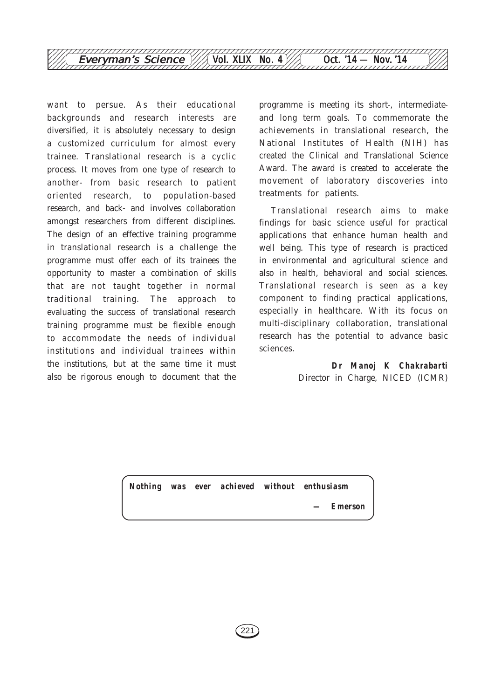

want to persue. As their educational backgrounds and research interests are diversified, it is absolutely necessary to design a customized curriculum for almost every trainee. Translational research is a cyclic process. It moves from one type of research to another- from basic research to patient oriented research, to population-based research, and back- and involves collaboration amongst researchers from different disciplines. The design of an effective training programme in translational research is a challenge the programme must offer each of its trainees the opportunity to master a combination of skills that are not taught together in normal traditional training. The approach to evaluating the success of translational research training programme must be flexible enough to accommodate the needs of individual institutions and individual trainees within the institutions, but at the same time it must also be rigorous enough to document that the

programme is meeting its short-, intermediateand long term goals. To commemorate the achievements in translational research, the National Institutes of Health (NIH) has created the Clinical and Translational Science Award. The award is created to accelerate the movement of laboratory discoveries into treatments for patients.

Translational research aims to make findings for basic science useful for practical applications that enhance human health and well being. This type of research is practiced in environmental and agricultural science and also in health, behavioral and social sciences. Translational research is seen as a key component to finding practical applications, especially in healthcare. With its focus on multi-disciplinary collaboration, translational research has the potential to advance basic sciences.

> *Dr Manoj K Chakrabarti* Director in Charge, NICED (ICMR)

*Nothing was ever achieved without enthusiasm*

*— Emerson*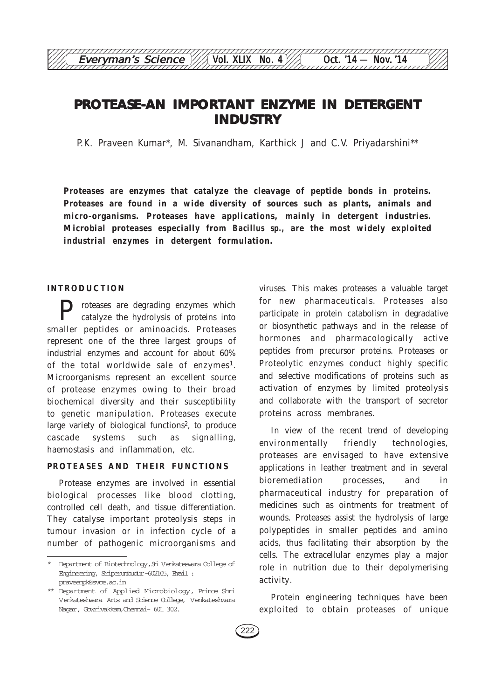# **PROTEASE-AN IMPORTANT ENZYME IN DETERGENT INDUSTRY**

12345678901234567890123456789012123456789012345678901234567890121234567890123456789012345678

P.K. Praveen Kumar\*, M. Sivanandham, Karthick J and C.V. Priyadarshini\*\*

**Proteases are enzymes that catalyze the cleavage of peptide bonds in proteins. Proteases are found in a wide diversity of sources such as plants, animals and micro-organisms. Proteases have applications, mainly in detergent industries. Microbial proteases especially from** *Bacillus sp.,* **are the most widely exploited industrial enzymes in detergent formulation.**

#### **INTRODUCTION**

P roteases are degrading enzymes which catalyze the hydrolysis of proteins into smaller peptides or aminoacids. Proteases represent one of the three largest groups of industrial enzymes and account for about 60% of the total worldwide sale of enzymes<sup>1</sup>. Microorganisms represent an excellent source of protease enzymes owing to their broad biochemical diversity and their susceptibility to genetic manipulation. Proteases execute large variety of biological functions<sup>2</sup>, to produce cascade systems such as signalling, haemostasis and inflammation, etc.

#### **PROTEASES AND THEIR FUNCTIONS**

Protease enzymes are involved in essential biological processes like blood clotting, controlled cell death, and tissue differentiation. They catalyse important proteolysis steps in tumour invasion or in infection cycle of a number of pathogenic microorganisms and

viruses. This makes proteases a valuable target for new pharmaceuticals. Proteases also participate in protein catabolism in degradative or biosynthetic pathways and in the release of hormones and pharmacologically active peptides from precursor proteins. Proteases or Proteolytic enzymes conduct highly specific and selective modifications of proteins such as activation of enzymes by limited proteolysis and collaborate with the transport of secretor proteins across membranes.

In view of the recent trend of developing environmentally friendly technologies, proteases are envisaged to have extensive applications in leather treatment and in several bioremediation processes, and in pharmaceutical industry for preparation of medicines such as ointments for treatment of wounds. Proteases assist the hydrolysis of large polypeptides in smaller peptides and amino acids, thus facilitating their absorption by the cells. The extracellular enzymes play a major role in nutrition due to their depolymerising activity.

Protein engineering techniques have been exploited to obtain proteases of unique

<sup>\*</sup> Department of Biotechnology,Sri Venkateswara College of Engineering, Sriperumbudur-602105, Email : praveenpk@svce.ac.in

<sup>\*\*</sup> Department of Applied Microbiology, Prince Shri Venkateshwara Arts and Science College, Venkateshwara Nagar, Gowrivakkam,Chennai- 601 302.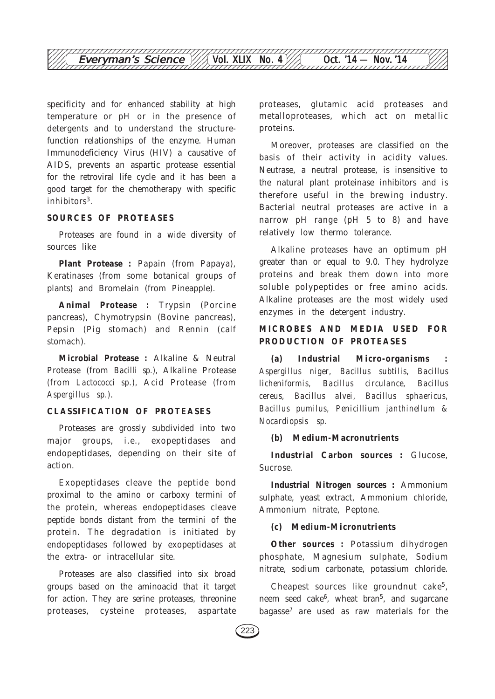

specificity and for enhanced stability at high temperature or pH or in the presence of detergents and to understand the structurefunction relationships of the enzyme. Human Immunodeficiency Virus (HIV) a causative of AIDS, prevents an aspartic protease essential for the retroviral life cycle and it has been a good target for the chemotherapy with specific inhibitors<sup>3</sup>.

#### **SOURCES OF PROTEASES**

Proteases are found in a wide diversity of sources like

**Plant Protease :** Papain (from Papaya), Keratinases (from some botanical groups of plants) and Bromelain (from Pineapple).

**Animal Protease :** Trypsin (Porcine pancreas), Chymotrypsin (Bovine pancreas), Pepsin (Pig stomach) and Rennin (calf stomach).

**Microbial Protease :** Alkaline & Neutral Protease (from *Bacilli sp.),* Alkaline Protease *(*from *Lactococci sp.),* Acid Protease *(*from *Aspergillus sp.)*.

## **CLASSIFICATION OF PROTEASES**

Proteases are grossly subdivided into two major groups, i.e., exopeptidases and endopeptidases, depending on their site of action.

Exopeptidases cleave the peptide bond proximal to the amino or carboxy termini of the protein, whereas endopeptidases cleave peptide bonds distant from the termini of the protein. The degradation is initiated by endopeptidases followed by exopeptidases at the extra- or intracellular site.

Proteases are also classified into six broad groups based on the aminoacid that it target for action. They are serine proteases, threonine proteases, cysteine proteases, aspartate

proteases, glutamic acid proteases and metalloproteases, which act on metallic proteins.

Moreover, proteases are classified on the basis of their activity in acidity values. Neutrase, a neutral protease, is insensitive to the natural plant proteinase inhibitors and is therefore useful in the brewing industry. Bacterial neutral proteases are active in a narrow pH range (pH 5 to 8) and have relatively low thermo tolerance.

Alkaline proteases have an optimum pH greater than or equal to 9.0. They hydrolyze proteins and break them down into more soluble polypeptides or free amino acids. Alkaline proteases are the most widely used enzymes in the detergent industry.

## **MICROBES AND MEDIA USED FOR PRODUCTION OF PROTEASES**

**(a) Industrial Micro-organisms :** *Aspergillus niger, Bacillus subtilis, Bacillus licheniformis, Bacillus circulance, Bacillus cereus, Bacillus alvei, Bacillus sphaericus, Bacillus pumilus, Penicillium janthinellum & Nocardiopsis sp.*

#### **(b) Medium-Macronutrients**

**Industrial Carbon sources :** Glucose, Sucrose.

**Industrial Nitrogen sources :** Ammonium sulphate, yeast extract, Ammonium chloride, Ammonium nitrate, Peptone.

## **(c) Medium-Micronutrients**

**Other sources :** Potassium dihydrogen phosphate, Magnesium sulphate, Sodium nitrate, sodium carbonate, potassium chloride.

Cheapest sources like groundnut cake<sup>5</sup>, neem seed cake<sup>6</sup>, wheat bran<sup>5</sup>, and sugarcane bagasse<sup>7</sup> are used as raw materials for the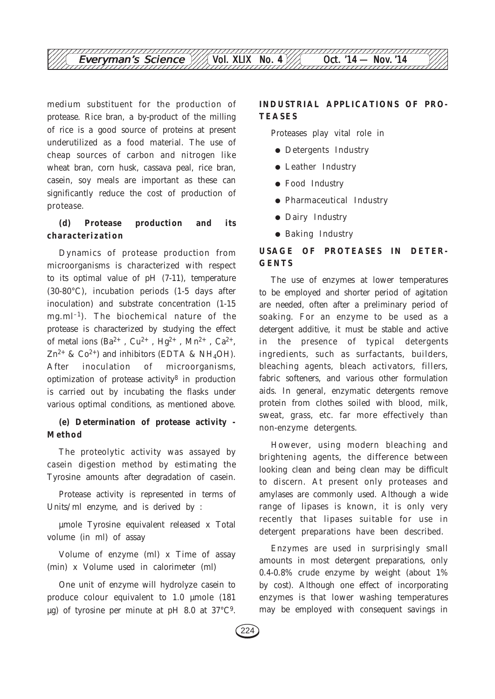medium substituent for the production of protease. Rice bran, a by-product of the milling of rice is a good source of proteins at present underutilized as a food material. The use of cheap sources of carbon and nitrogen like wheat bran, corn husk, cassava peal, rice bran, casein, soy meals are important as these can significantly reduce the cost of production of protease.

## **(d) Protease production and its characterization**

Dynamics of protease production from microorganisms is characterized with respect to its optimal value of pH (7-11), temperature (30-80°C), incubation periods (1-5 days after inoculation) and substrate concentration (1-15 mg.m $l^{-1}$ ). The biochemical nature of the protease is characterized by studying the effect of metal ions  $(Ba^{2+}$ ,  $Cu^{2+}$ ,  $Hg^{2+}$ ,  $Mn^{2+}$ ,  $Ca^{2+}$ ,  $Zn^{2+}$  & Co<sup>2+</sup>) and inhibitors (EDTA & NH<sub>4</sub>OH). After inoculation of microorganisms, optimization of protease activity $8$  in production is carried out by incubating the flasks under various optimal conditions, as mentioned above.

## **(e) Determination of protease activity - Method**

The proteolytic activity was assayed by casein digestion method by estimating the Tyrosine amounts after degradation of casein.

Protease activity is represented in terms of Units/ml enzyme, and is derived by :

µmole Tyrosine equivalent released x Total volume (in ml) of assay

Volume of enzyme (ml) x Time of assay (min) x Volume used in calorimeter (ml)

One unit of enzyme will hydrolyze casein to produce colour equivalent to 1.0 µmole (181  $\mu$ g) of tyrosine per minute at pH 8.0 at 37 $^{\circ}$ C<sup>9</sup>.

## **INDUSTRIAL APPLICATIONS OF PRO-TEASES**

Proteases play vital role in

- Detergents Industry
- Leather Industry
- Food Industry
- Pharmaceutical Industry
- Dairy Industry
- Baking Industry

## **USAGE OF PROTEASES IN DETER-GENTS**

The use of enzymes at lower temperatures to be employed and shorter period of agitation are needed, often after a preliminary period of soaking. For an enzyme to be used as a detergent additive, it must be stable and active in the presence of typical detergents ingredients, such as surfactants, builders, bleaching agents, bleach activators, fillers, fabric softeners, and various other formulation aids. In general, enzymatic detergents remove protein from clothes soiled with blood, milk, sweat, grass, etc. far more effectively than non-enzyme detergents.

However, using modern bleaching and brightening agents, the difference between looking clean and being clean may be difficult to discern. At present only proteases and amylases are commonly used. Although a wide range of lipases is known, it is only very recently that lipases suitable for use in detergent preparations have been described.

Enzymes are used in surprisingly small amounts in most detergent preparations, only 0.4-0.8% crude enzyme by weight (about 1% by cost). Although one effect of incorporating enzymes is that lower washing temperatures may be employed with consequent savings in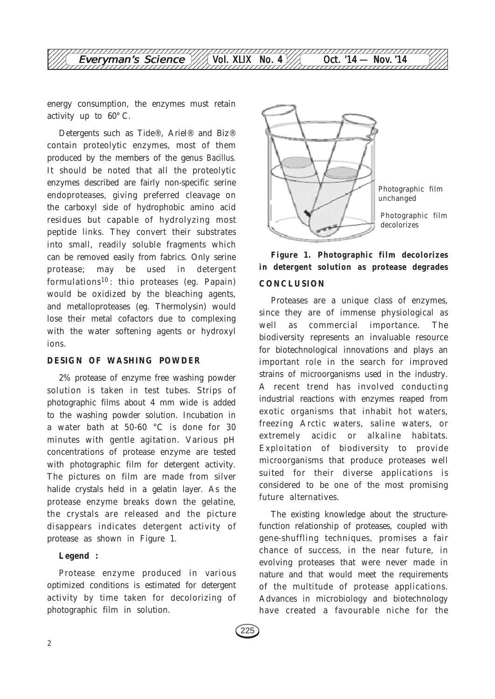

energy consumption, the enzymes must retain activity up to 60° C.

Detergents such as Tide®, Ariel® and Biz® contain proteolytic enzymes, most of them produced by the members of the genus *Bacillus*. It should be noted that all the proteolytic enzymes described are fairly non-specific serine endoproteases, giving preferred cleavage on the carboxyl side of hydrophobic amino acid residues but capable of hydrolyzing most peptide links. They convert their substrates into small, readily soluble fragments which can be removed easily from fabrics. Only serine protease; may be used in detergent formulations<sup>10</sup>: thio proteases (eg. Papain) would be oxidized by the bleaching agents, and metalloproteases (eg. Thermolysin) would lose their metal cofactors due to complexing with the water softening agents or hydroxyl ions.

#### **DESIGN OF WASHING POWDER**

2% protease of enzyme free washing powder solution is taken in test tubes. Strips of photographic films about 4 mm wide is added to the washing powder solution. Incubation in a water bath at 50-60 °C is done for 30 minutes with gentle agitation. Various pH concentrations of protease enzyme are tested with photographic film for detergent activity. The pictures on film are made from silver halide crystals held in a gelatin layer. As the protease enzyme breaks down the gelatine, the crystals are released and the picture disappears indicates detergent activity of protease as shown in Figure 1.

### **Legend :**

Protease enzyme produced in various optimized conditions is estimated for detergent activity by time taken for decolorizing of photographic film in solution.



## **Figure 1. Photographic film decolorizes in detergent solution as protease degrades CONCLUSION**

Proteases are a unique class of enzymes, since they are of immense physiological as well as commercial importance. The biodiversity represents an invaluable resource for biotechnological innovations and plays an important role in the search for improved strains of microorganisms used in the industry. A recent trend has involved conducting industrial reactions with enzymes reaped from exotic organisms that inhabit hot waters, freezing Arctic waters, saline waters, or extremely acidic or alkaline habitats. Exploitation of biodiversity to provide microorganisms that produce proteases well suited for their diverse applications is considered to be one of the most promising future alternatives.

The existing knowledge about the structurefunction relationship of proteases, coupled with gene-shuffling techniques, promises a fair chance of success, in the near future, in evolving proteases that were never made in nature and that would meet the requirements of the multitude of protease applications. Advances in microbiology and biotechnology have created a favourable niche for the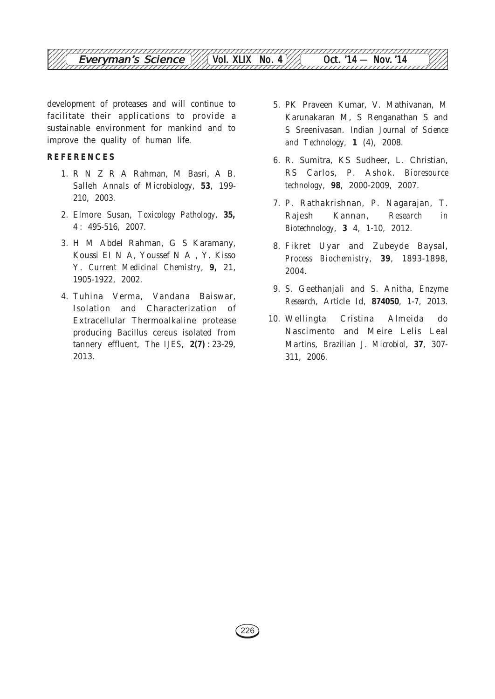

development of proteases and will continue to facilitate their applications to provide a sustainable environment for mankind and to improve the quality of human life.

#### **REFERENCES**

- 1. R N Z R A Rahman, M Basri, A B. Salleh *Annals of Microbiology*, **53**, 199- 210, 2003.
- 2. Elmore Susan, *Toxicology Pathology*, **35,** 4 : 495-516, 2007.
- 3. H M Abdel Rahman, G S Karamany, Koussi EI N A, Youssef N A , Y. Kisso Y. *Current Medicinal Chemistry*, **9,** 21, 1905-1922, 2002.
- 4. Tuhina Verma, Vandana Baiswar, Isolation and Characterization of Extracellular Thermoalkaline protease producing Bacillus cereus isolated from tannery effluent, *The IJES*, **2(7)** : 23-29, 2013.
- 5. PK Praveen Kumar, V. Mathivanan, M Karunakaran M, S Renganathan S and S Sreenivasan. *Indian Journal of Science and Technology,* **1** (4), 2008.
- 6. R. Sumitra, KS Sudheer, L. Christian, RS Carlos, P. Ashok. *Bioresource technology*, **98**, 2000-2009, 2007.
- 7. P. Rathakrishnan, P. Nagarajan, T. Rajesh Kannan, *Research in Biotechnology*, **3** 4, 1-10, 2012.
- 8. Fikret Uyar and Zubeyde Baysal, *Process Biochemistry,* **39**, 1893-1898, 2004.
- 9. S. Geethanjali and S. Anitha, *Enzyme Research*, Article Id, **874050**, 1-7, 2013.
- 10. Wellingta Cristina Almeida do Nascimento and Meire Lelis Leal Martins, *Brazilian J. Microbiol*, **37**, 307- 311, 2006.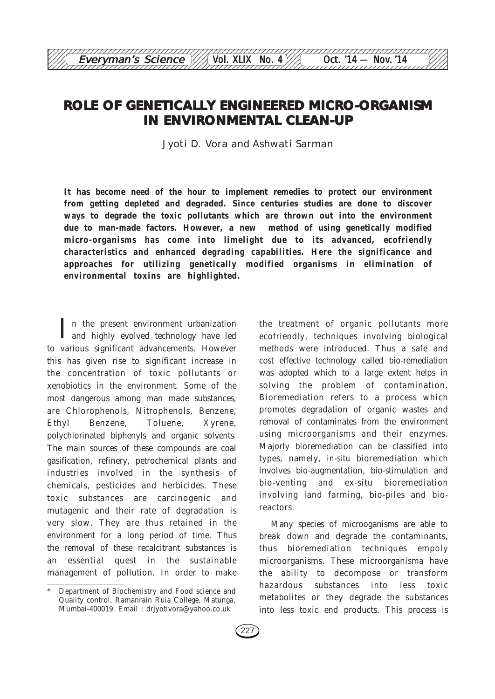# **ROLE OF GENETICALLY ENGINEERED MICRO-ORGANISM IN ENVIRONMENTAL CLEAN-UP**

12345678901234567890123456789012123456789012345678901234567890121234567890123456789012345678 Everyman's Science  $\frac{1}{\sqrt{2}}$  Vol. XLIX No. 4 Oct. '14 — Nov. '14

Jyoti D. Vora and Ashwati Sarman

**It has become need of the hour to implement remedies to protect our environment from getting depleted and degraded. Since centuries studies are done to discover ways to degrade the toxic pollutants which are thrown out into the environment due to man-made factors. However, a new method of using genetically modified micro-organisms has come into limelight due to its advanced, ecofriendly characteristics and enhanced degrading capabilities. Here the significance and approaches for utilizing genetically modified organisms in elimination of environmental toxins are highlighted.**

I n the present environment urbanization and highly evolved technology have led to various significant advancements. However this has given rise to significant increase in the concentration of toxic pollutants or xenobiotics in the environment. Some of the most dangerous among man made substances, are Chlorophenols, Nitrophenols, Benzene, Ethyl Benzene, Toluene, Xyrene, polychlorinated biphenyls and organic solvents. The main sources of these compounds are coal gasification, refinery, petrochemical plants and industries involved in the synthesis of chemicals, pesticides and herbicides. These toxic substances are carcinogenic and mutagenic and their rate of degradation is very slow. They are thus retained in the environment for a long period of time. Thus the removal of these recalcitrant substances is an essential quest in the sustainable management of pollution. In order to make

the treatment of organic pollutants more ecofriendly, techniques involving biological methods were introduced. Thus a safe and cost effective technology called bio-remediation was adopted which to a large extent helps in solving the problem of contamination. Bioremediation refers to a process which promotes degradation of organic wastes and removal of contaminates from the environment using microorganisms and their enzymes. Majorly bioremediation can be classified into types, namely, *in-situ* bioremediation which involves bio-augmentation, bio-stimulation and bio-venting and ex-situ bioremediation involving land farming, bio-piles and bioreactors.

Many species of microoganisms are able to break down and degrade the contaminants, thus bioremediation techniques empoly microorganisms. These microorganisma have the ability to decompose or transform hazardous substances into less toxic metabolites or they degrade the substances into less toxic end products. This process is

Department of Biochemistry and Food science and Quality control, Ramanrain Ruia College, Matunga, Mumbai-400019. Email : drjyotivora@yahoo.co.uk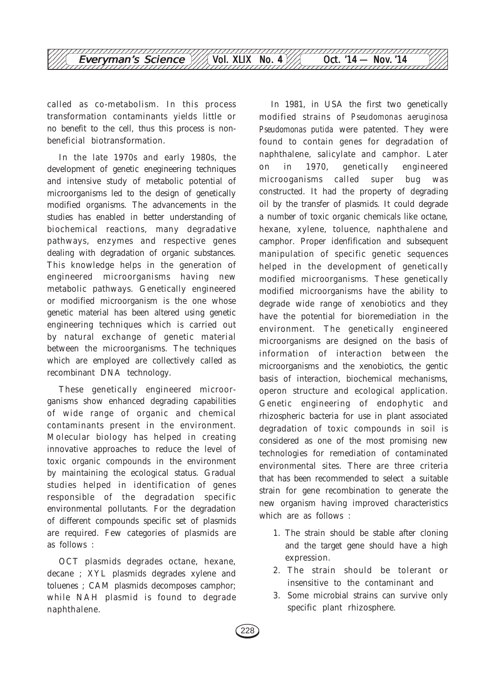

called as co-metabolism. In this process transformation contaminants yields little or no benefit to the cell, thus this process is nonbeneficial biotransformation.

In the late 1970s and early 1980s, the development of genetic enegineering techniques and intensive study of metabolic potential of microorganisms led to the design of genetically modified organisms. The advancements in the studies has enabled in better understanding of biochemical reactions, many degradative pathways, enzymes and respective genes dealing with degradation of organic substances. This knowledge helps in the generation of engineered microorganisms having new metabolic pathways. Genetically engineered or modified microorganism is the one whose genetic material has been altered using genetic engineering techniques which is carried out by natural exchange of genetic material between the microorganisms. The techniques which are employed are collectively called as recombinant DNA technology.

These genetically engineered microorganisms show enhanced degrading capabilities of wide range of organic and chemical contaminants present in the environment. Molecular biology has helped in creating innovative approaches to reduce the level of toxic organic compounds in the environment by maintaining the ecological status. Gradual studies helped in identification of genes responsible of the degradation specific environmental pollutants. For the degradation of different compounds specific set of plasmids are required. Few categories of plasmids are as follows :

OCT plasmids degrades octane, hexane, decane ; XYL plasmids degrades xylene and toluenes ; CAM plasmids decomposes camphor; while NAH plasmid is found to degrade naphthalene.

In 1981, in USA the first two genetically modified strains of *Pseudomonas aeruginosa Pseudomonas putida* were patented. They were found to contain genes for degradation of naphthalene, salicylate and camphor. Later on in 1970, genetically engineered microoganisms called super bug was constructed. It had the property of degrading oil by the transfer of plasmids. It could degrade a number of toxic organic chemicals like octane, hexane, xylene, toluence, naphthalene and camphor. Proper idenfification and subsequent manipulation of specific genetic sequences helped in the development of genetically modified microorganisms. These genetically modified microorganisms have the ability to degrade wide range of xenobiotics and they have the potential for bioremediation in the environment. The genetically engineered microorganisms are designed on the basis of information of interaction between the microorganisms and the xenobiotics, the gentic basis of interaction, biochemical mechanisms, operon structure and ecological application. Genetic engineering of endophytic and rhizospheric bacteria for use in plant associated degradation of toxic compounds in soil is considered as one of the most promising new technologies for remediation of contaminated environmental sites. There are three criteria that has been recommended to select a suitable strain for gene recombination to generate the new organism having improved characteristics which are as follows :

- 1. The strain should be stable after cloning and the target gene should have a high expression.
- 2. The strain should be tolerant or insensitive to the contaminant and
- 3. Some microbial strains can survive only specific plant rhizosphere.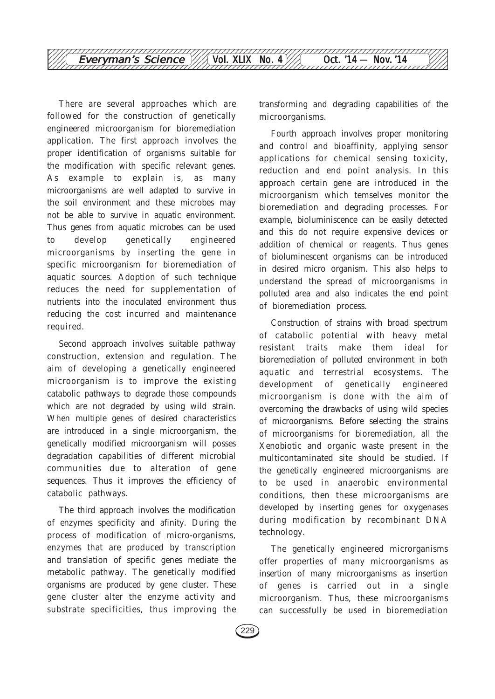

There are several approaches which are followed for the construction of genetically engineered microorganism for bioremediation application. The first approach involves the proper identification of organisms suitable for the modification with specific relevant genes. As example to explain is, as many microorganisms are well adapted to survive in the soil environment and these microbes may not be able to survive in aquatic environment. Thus genes from aquatic microbes can be used to develop genetically engineered microorganisms by inserting the gene in specific microorganism for bioremediation of aquatic sources. Adoption of such technique reduces the need for supplementation of nutrients into the inoculated environment thus reducing the cost incurred and maintenance required.

Second approach involves suitable pathway construction, extension and regulation. The aim of developing a genetically engineered microorganism is to improve the existing catabolic pathways to degrade those compounds which are not degraded by using wild strain. When multiple genes of desired characteristics are introduced in a single microorganism, the genetically modified microorganism will posses degradation capabilities of different microbial communities due to alteration of gene sequences. Thus it improves the efficiency of catabolic pathways.

The third approach involves the modification of enzymes specificity and afinity. During the process of modification of micro-organisms, enzymes that are produced by transcription and translation of specific genes mediate the metabolic pathway. The genetically modified organisms are produced by gene cluster. These gene cluster alter the enzyme activity and substrate specificities, thus improving the

transforming and degrading capabilities of the microorganisms.

Fourth approach involves proper monitoring and control and bioaffinity, applying sensor applications for chemical sensing toxicity, reduction and end point analysis. In this approach certain gene are introduced in the microorganism which temselves monitor the bioremediation and degrading processes. For example, bioluminiscence can be easily detected and this do not require expensive devices or addition of chemical or reagents. Thus genes of bioluminescent organisms can be introduced in desired micro organism. This also helps to understand the spread of microorganisms in polluted area and also indicates the end point of bioremediation process.

Construction of strains with broad spectrum of catabolic potential with heavy metal resistant traits make them ideal for bioremediation of polluted environment in both aquatic and terrestrial ecosystems. The development of genetically engineered microorganism is done with the aim of overcoming the drawbacks of using wild species of microorganisms. Before selecting the strains of microorganisms for bioremediation, all the Xenobiotic and organic waste present in the multicontaminated site should be studied. If the genetically engineered microorganisms are to be used in anaerobic environmental conditions, then these microorganisms are developed by inserting genes for oxygenases during modification by recombinant DNA technology.

The genetically engineered microrganisms offer properties of many microorganisms as insertion of many microorganisms as insertion of genes is carried out in a single microorganism. Thus, these microorganisms can successfully be used in bioremediation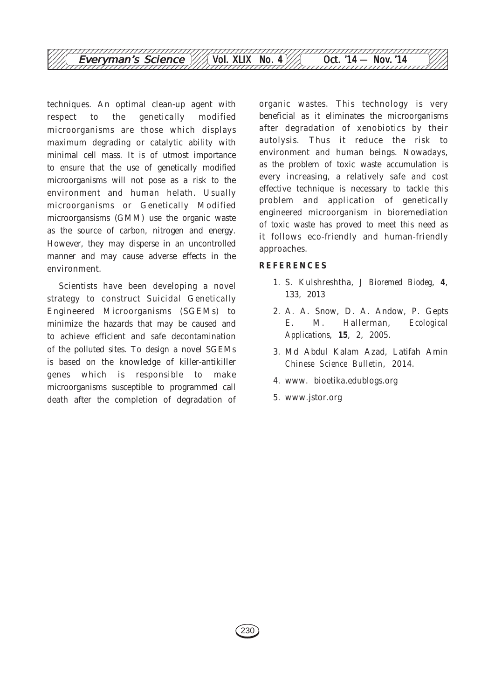

techniques. An optimal clean-up agent with respect to the genetically modified microorganisms are those which displays maximum degrading or catalytic ability with minimal cell mass. It is of utmost importance to ensure that the use of genetically modified microorganisms will not pose as a risk to the environment and human helath. Usually microorganisms or Genetically Modified microorgansisms (GMM) use the organic waste as the source of carbon, nitrogen and energy. However, they may disperse in an uncontrolled manner and may cause adverse effects in the environment.

Scientists have been developing a novel strategy to construct Suicidal Genetically Engineered Microorganisms (SGEMs) to minimize the hazards that may be caused and to achieve efficient and safe decontamination of the polluted sites. To design a novel SGEMs is based on the knowledge of killer-antikiller genes which is responsible to make microorganisms susceptible to programmed call death after the completion of degradation of organic wastes. This technology is very beneficial as it eliminates the microorganisms after degradation of xenobiotics by their autolysis. Thus it reduce the risk to environment and human beings. Nowadays, as the problem of toxic waste accumulation is every increasing, a relatively safe and cost effective technique is necessary to tackle this problem and application of genetically engineered microorganism in bioremediation of toxic waste has proved to meet this need as it follows eco-friendly and human-friendly approaches.

#### **REFERENCES**

- 1. S. Kulshreshtha, *J Bioremed Biodeg*, **4**, 133, 2013
- 2. A. A. Snow, D. A. Andow, P. Gepts E. M. Hallerman, *Ecological Applications*, **15**, 2, 2005.
- 3. Md Abdul Kalam Azad, Latifah Amin *Chinese Science Bulletin*, 2014.
- 4. www. bioetika.edublogs.org
- 5. www.jstor.org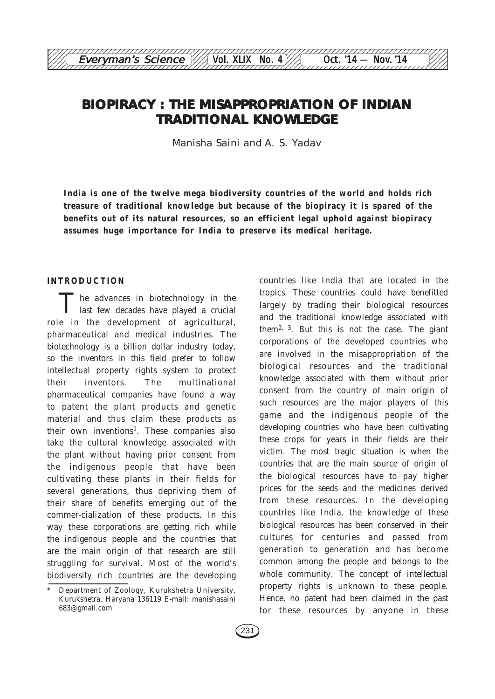# **BIOPIRACY : THE MISAPPROPRIATION OF INDIAN TRADITIONAL KNOWLEDGE**

12345678901234567890123456789012123456789012345678901234567890121234567890123456789012345678 Everyman's Science  $\frac{1}{\sqrt{2}}$  Vol. XLIX No. 4 Oct. '14 — Nov. '14

Manisha Saini and A. S. Yadav

**India is one of the twelve mega biodiversity countries of the world and holds rich treasure of traditional knowledge but because of the biopiracy it is spared of the benefits out of its natural resources, so an efficient legal uphold against biopiracy assumes huge importance for India to preserve its medical heritage.**

#### **INTRODUCTION**

The advances in biotechnology in the last few decades have played a crucial role in the development of agricultural, pharmaceutical and medical industries. The biotechnology is a billion dollar industry today, so the inventors in this field prefer to follow intellectual property rights system to protect their inventors. The multinational pharmaceutical companies have found a way to patent the plant products and genetic material and thus claim these products as their own inventions<sup>1</sup>. These companies also take the cultural knowledge associated with the plant without having prior consent from the indigenous people that have been cultivating these plants in their fields for several generations, thus depriving them of their share of benefits emerging out of the commer-cialization of these products. In this way these corporations are getting rich while the indigenous people and the countries that are the main origin of that research are still struggling for survival. Most of the world's biodiversity rich countries are the developing

largely by trading their biological resources and the traditional knowledge associated with them2, 3. But this is not the case. The giant corporations of the developed countries who are involved in the misappropriation of the biological resources and the traditional knowledge associated with them without prior consent from the country of main origin of such resources are the major players of this game and the indigenous people of the developing countries who have been cultivating these crops for years in their fields are their victim. The most tragic situation is when the countries that are the main source of origin of the biological resources have to pay higher prices for the seeds and the medicines derived from these resources. In the developing countries like India, the knowledge of these biological resources has been conserved in their cultures for centuries and passed from generation to generation and has become common among the people and belongs to the whole community. The concept of intellectual property rights is unknown to these people. Hence, no patent had been claimed in the past for these resources by anyone in these

countries like India that are located in the tropics. These countries could have benefitted

Department of Zoology, Kurukshetra University, Kurukshetra, Haryana 136119 E-mail: manishasaini 683@gmail.com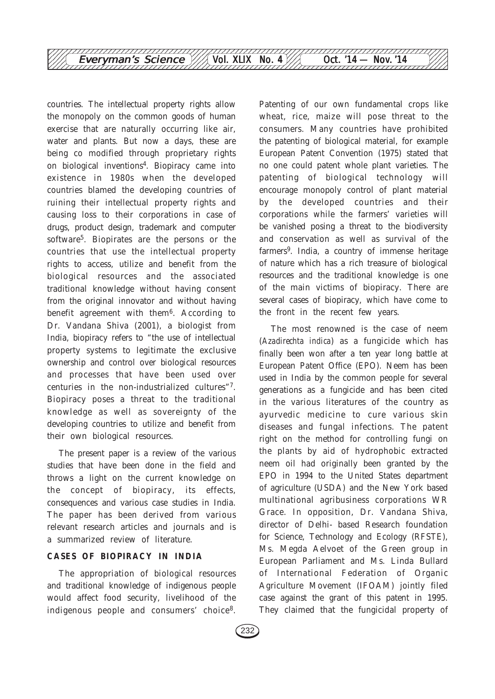

countries. The intellectual property rights allow the monopoly on the common goods of human exercise that are naturally occurring like air, water and plants. But now a days, these are being co modified through proprietary rights on biological inventions4. Biopiracy came into existence in 1980s when the developed countries blamed the developing countries of ruining their intellectual property rights and causing loss to their corporations in case of drugs, product design, trademark and computer software<sup>5</sup>. Biopirates are the persons or the countries that use the intellectual property rights to access, utilize and benefit from the biological resources and the associated traditional knowledge without having consent from the original innovator and without having benefit agreement with them<sup>6</sup>. According to Dr. Vandana Shiva (2001), a biologist from India, biopiracy refers to "the use of intellectual property systems to legitimate the exclusive ownership and control over biological resources and processes that have been used over centuries in the non-industrialized cultures"7. Biopiracy poses a threat to the traditional knowledge as well as sovereignty of the developing countries to utilize and benefit from their own biological resources.

The present paper is a review of the various studies that have been done in the field and throws a light on the current knowledge on the concept of biopiracy, its effects, consequences and various case studies in India. The paper has been derived from various relevant research articles and journals and is a summarized review of literature.

### **CASES OF BIOPIRACY IN INDIA**

The appropriation of biological resources and traditional knowledge of indigenous people would affect food security, livelihood of the indigenous people and consumers' choice8. Patenting of our own fundamental crops like wheat, rice, maize will pose threat to the consumers. Many countries have prohibited the patenting of biological material, for example European Patent Convention (1975) stated that no one could patent whole plant varieties. The patenting of biological technology will encourage monopoly control of plant material by the developed countries and their corporations while the farmers' varieties will be vanished posing a threat to the biodiversity and conservation as well as survival of the farmers9. India, a country of immense heritage of nature which has a rich treasure of biological resources and the traditional knowledge is one of the main victims of biopiracy. There are several cases of biopiracy, which have come to the front in the recent few years.

The most renowned is the case of neem (*Azadirechta indica*) as a fungicide which has finally been won after a ten year long battle at European Patent Office (EPO). Neem has been used in India by the common people for several generations as a fungicide and has been cited in the various literatures of the country as ayurvedic medicine to cure various skin diseases and fungal infections. The patent right on the method for controlling fungi on the plants by aid of hydrophobic extracted neem oil had originally been granted by the EPO in 1994 to the United States department of agriculture (USDA) and the New York based multinational agribusiness corporations WR Grace. In opposition, Dr. Vandana Shiva, director of Delhi- based Research foundation for Science, Technology and Ecology (RFSTE), Ms. Megda Aelvoet of the Green group in European Parliament and Ms. Linda Bullard of International Federation of Organic Agriculture Movement (IFOAM) jointly filed case against the grant of this patent in 1995. They claimed that the fungicidal property of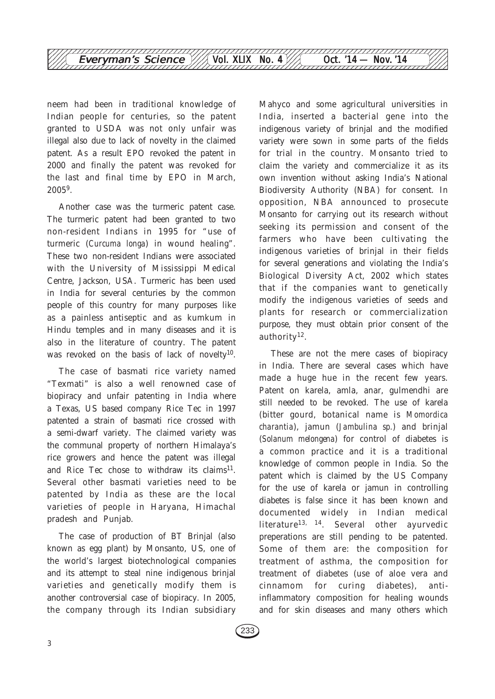

neem had been in traditional knowledge of Indian people for centuries, so the patent granted to USDA was not only unfair was illegal also due to lack of novelty in the claimed patent. As a result EPO revoked the patent in 2000 and finally the patent was revoked for the last and final time by EPO in March, 20059.

Another case was the turmeric patent case. The turmeric patent had been granted to two non-resident Indians in 1995 for "use of turmeric (*Curcuma longa*) in wound healing". These two non-resident Indians were associated with the University of Mississippi Medical Centre, Jackson, USA. Turmeric has been used in India for several centuries by the common people of this country for many purposes like as a painless antiseptic and as kumkum in Hindu temples and in many diseases and it is also in the literature of country. The patent was revoked on the basis of lack of novelty<sup>10</sup>.

The case of basmati rice variety named "Texmati" is also a well renowned case of biopiracy and unfair patenting in India where a Texas, US based company Rice Tec in 1997 patented a strain of basmati rice crossed with a semi-dwarf variety. The claimed variety was the communal property of northern Himalaya's rice growers and hence the patent was illegal and Rice Tec chose to withdraw its claims<sup>11</sup>. Several other basmati varieties need to be patented by India as these are the local varieties of people in Haryana, Himachal pradesh and Punjab.

The case of production of BT Brinjal (also known as egg plant) by Monsanto, US, one of the world's largest biotechnological companies and its attempt to steal nine indigenous brinjal varieties and genetically modify them is another controversial case of biopiracy. In 2005, the company through its Indian subsidiary

Mahyco and some agricultural universities in India, inserted a bacterial gene into the indigenous variety of brinjal and the modified variety were sown in some parts of the fields for trial in the country. Monsanto tried to claim the variety and commercialize it as its own invention without asking India's National Biodiversity Authority (NBA) for consent. In opposition, NBA announced to prosecute Monsanto for carrying out its research without seeking its permission and consent of the farmers who have been cultivating the indigenous varieties of brinjal in their fields for several generations and violating the India's Biological Diversity Act, 2002 which states that if the companies want to genetically modify the indigenous varieties of seeds and plants for research or commercialization purpose, they must obtain prior consent of the authority12.

These are not the mere cases of biopiracy in India. There are several cases which have made a huge hue in the recent few years. Patent on karela, amla, anar, gulmendhi are still needed to be revoked. The use of karela (bitter gourd, botanical name is *Momordica charantia*), jamun (*Jambulina sp.*) and brinjal (*Solanum melongena*) for control of diabetes is a common practice and it is a traditional knowledge of common people in India. So the patent which is claimed by the US Company for the use of karela or jamun in controlling diabetes is false since it has been known and documented widely in Indian medical literature<sup>13, 14</sup>. Several other ayurvedic preperations are still pending to be patented. Some of them are: the composition for treatment of asthma, the composition for treatment of diabetes (use of aloe vera and cinnamom for curing diabetes), antiinflammatory composition for healing wounds and for skin diseases and many others which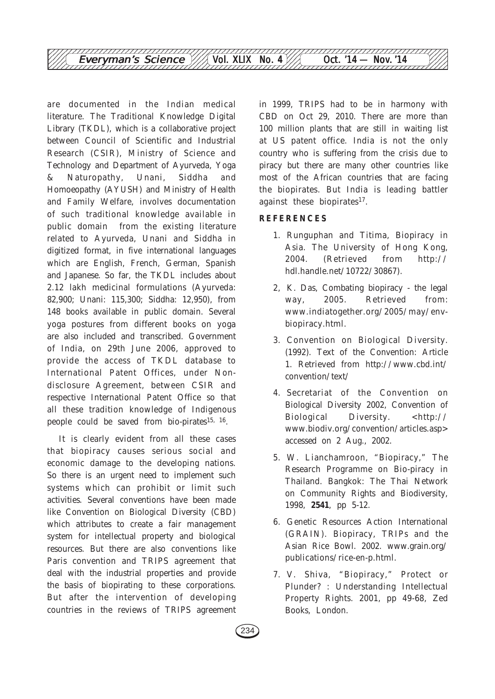

are documented in the Indian medical literature. The Traditional Knowledge Digital Library (TKDL), which is a collaborative project between Council of Scientific and Industrial Research (CSIR), Ministry of Science and Technology and Department of Ayurveda, Yoga & Naturopathy, Unani, Siddha and Homoeopathy (AYUSH) and Ministry of Health and Family Welfare, involves documentation of such traditional knowledge available in public domain from the existing literature related to Ayurveda, Unani and Siddha in digitized format, in five international languages which are English, French, German, Spanish and Japanese. So far, the TKDL includes about 2.12 lakh medicinal formulations (Ayurveda: 82,900; Unani: 115,300; Siddha: 12,950), from 148 books available in public domain. Several yoga postures from different books on yoga are also included and transcribed. Government of India, on 29th June 2006, approved to provide the access of TKDL database to International Patent Offices, under Nondisclosure Agreement, between CSIR and respective International Patent Office so that all these tradition knowledge of Indigenous people could be saved from bio-pirates<sup>15, 16</sup>.

It is clearly evident from all these cases that biopiracy causes serious social and economic damage to the developing nations. So there is an urgent need to implement such systems which can prohibit or limit such activities. Several conventions have been made like Convention on Biological Diversity (CBD) which attributes to create a fair management system for intellectual property and biological resources. But there are also conventions like Paris convention and TRIPS agreement that deal with the industrial properties and provide the basis of biopirating to these corporations. But after the intervention of developing countries in the reviews of TRIPS agreement in 1999, TRIPS had to be in harmony with CBD on Oct 29, 2010. There are more than 100 million plants that are still in waiting list at US patent office. India is not the only country who is suffering from the crisis due to piracy but there are many other countries like most of the African countries that are facing the biopirates. But India is leading battler against these biopirates<sup>17</sup>.

## **REFERENCES**

- 1. Runguphan and Titima, Biopiracy in Asia. The University of Hong Kong, 2004. (Retrieved from http:// hdl.handle.net/10722/30867).
- 2, K. Das, Combating biopiracy the legal way, 2005. Retrieved from: www.indiatogether.org/2005/may/envbiopiracy.html.
- 3. Convention on Biological Diversity. (1992). Text of the Convention: Article 1. Retrieved from http://www.cbd.int/ convention/text/
- 4. Secretariat of the Convention on Biological Diversity 2002, Convention of Biological Diversity. <http:// www.biodiv.org/convention/articles.asp> accessed on 2 Aug., 2002.
- 5. W. Lianchamroon, "Biopiracy," The Research Programme on Bio-piracy in Thailand. Bangkok: The Thai Network on Community Rights and Biodiversity, 1998, **2541**, pp 5-12.
- 6. Genetic Resources Action International (GRAIN). Biopiracy, TRIPs and the Asian Rice Bowl. 2002. www.grain.org/ publications/rice-en-p.html.
- 7. V. Shiva, "Biopiracy," Protect or Plunder? : Understanding Intellectual Property Rights. 2001, pp 49-68, Zed Books, London.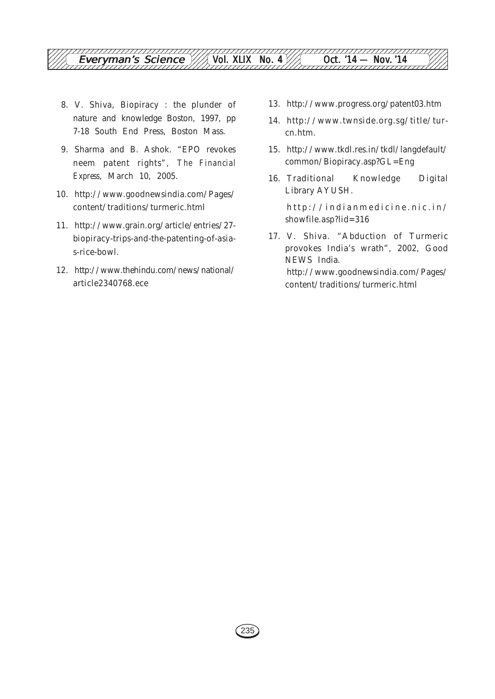- 8. V. Shiva, Biopiracy : the plunder of nature and knowledge Boston, 1997, pp 7-18 South End Press, Boston Mass.
- 9. Sharma and B. Ashok. "EPO revokes neem patent rights", *The Financial Express*, March 10, 2005.
- 10. http://www.goodnewsindia.com/Pages/ content/traditions/turmeric.html
- 11. http://www.grain.org/article/entries/27 biopiracy-trips-and-the-patenting-of-asias-rice-bowl.
- 12. http://www.thehindu.com/news/national/ article2340768.ece
- 13. http://www.progress.org/patent03.htm
- 14. http://www.twnside.org.sg/title/turcn.htm.
- 15. http://www.tkdl.res.in/tkdl/langdefault/ common/Biopiracy.asp?GL=Eng
- 16. Traditional Knowledge Digital Library AYUSH.

http://indianmedicine.nic.in/ showfile.asp?lid=316

17. V. Shiva. "Abduction of Turmeric provokes India's wrath", 2002, Good NEWS India. http://www.goodnewsindia.com/Pages/ content/traditions/turmeric.html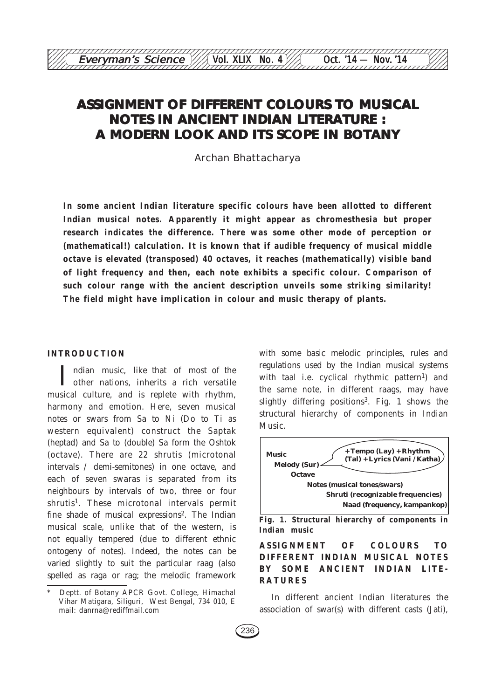Archan Bhattacharya

**In some ancient Indian literature specific colours have been allotted to different Indian musical notes. Apparently it might appear as chromesthesia but proper research indicates the difference. There was some other mode of perception or (mathematical!) calculation. It is known that if audible frequency of musical middle octave is elevated (transposed) 40 octaves, it reaches (mathematically) visible band of light frequency and then, each note exhibits a specific colour. Comparison of such colour range with the ancient description unveils some striking similarity! The field might have implication in colour and music therapy of plants.**

#### **INTRODUCTION**

ndian music, like that of most of the other nations, inherits a rich versatile musical culture, and is replete with rhythm, harmony and emotion. Here, seven musical notes or swars from Sa to Ni (Do to Ti as western equivalent) construct the Saptak (heptad) and Sa to (double) Sa form the Oshtok (octave). There are 22 shrutis (microtonal intervals / demi-semitones) in one octave, and each of seven swaras is separated from its neighbours by intervals of two, three or four shrutis<sup>1</sup>. These microtonal intervals permit fine shade of musical expressions<sup>2</sup>. The Indian musical scale, unlike that of the western, is not equally tempered (due to different ethnic ontogeny of notes). Indeed, the notes can be varied slightly to suit the particular raag (also spelled as raga or rag; the melodic framework

with some basic melodic principles, rules and regulations used by the Indian musical systems with taal *i.e.* cyclical rhythmic pattern<sup>1</sup>) and the same note, in different raags, may have slightly differing positions<sup>3</sup>. Fig. 1 shows the structural hierarchy of components in Indian Music.



**Fig. 1. Structural hierarchy of components in Indian music**

## **ASSIGNMENT OF COLOURS TO DIFFERENT INDIAN MUSICAL NOTES BY SOME ANCIENT INDIAN LITE-RATURES**

In different ancient Indian literatures the association of swar(s) with different casts (Jati),

Deptt. of Botany APCR Govt. College, Himachal Vihar Matigara, Siliguri, West Bengal, 734 010, E mail: danrna@rediffmail.com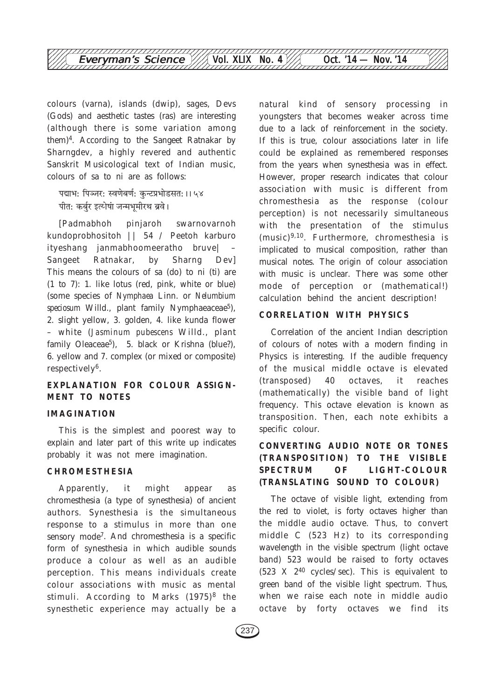

colours (varna), islands (dwip), sages, Devs (Gods) and aesthetic tastes (ras) are interesting (although there is some variation among them)4. According to the Sangeet Ratnakar by Sharngdev, a highly revered and authentic Sanskrit Musicological text of Indian music, colours of sa to ni are as follows:

पद्माभ: पिञ्जर: स्वणेबर्ण: कुन्टप्रभोडसत:।। ५४<br>पीत: कर्बुर इत्येषां जन्मभूमीरथ ब्रवे।  $\frac{1}{2}$ afi  $\frac{1}{2}$ 

[Padmabhoh pinjaroh swarnovarnoh kundoprobhositoh || 54 / Peetoh karburo ityeshang janmabhoomeeratho bruve| – Sangeet Ratnakar, by Sharng Dev] This means the colours of sa (do) to ni (ti) are (1 to 7): 1. like lotus (red, pink, white or blue) (some species of *Nymphaea* Linn. or *Nelumbium speciosum* Willd., plant family Nymphaeaceae<sup>5</sup>), 2. slight yellow, 3. golden, 4. like kunda flower – white (*Jasminum pubescens* Willd., plant family Oleaceae<sup>5</sup>), 5. black or Krishna (blue?), 6. yellow and 7. complex (or mixed or composite) respectively6.

## **EXPLANATION FOR COLOUR ASSIGN-MENT TO NOTES**

#### **IMAGINATION**

This is the simplest and poorest way to explain and later part of this write up indicates probably it was not mere imagination.

## **CHROMESTHESIA**

Apparently, it might appear as chromesthesia (a type of synesthesia) of ancient authors. Synesthesia is the simultaneous response to a stimulus in more than one sensory mode7. And chromesthesia is a specific form of synesthesia in which audible sounds produce a colour as well as an audible perception. This means individuals create colour associations with music as mental stimuli. According to Marks  $(1975)^8$  the synesthetic experience may actually be a natural kind of sensory processing in youngsters that becomes weaker across time due to a lack of reinforcement in the society. If this is true, colour associations later in life could be explained as remembered responses from the years when synesthesia was in effect. However, proper research indicates that colour association with music is different from chromesthesia as the response (colour perception) is not necessarily simultaneous with the presentation of the stimulus (music)9,10. Furthermore, chromesthesia is implicated to musical composition, rather than musical notes. The origin of colour association with music is unclear. There was some other mode of perception or (mathematical!) calculation behind the ancient description!

#### **CORRELATION WITH PHYSICS**

Correlation of the ancient Indian description of colours of notes with a modern finding in Physics is interesting. If the audible frequency of the musical middle octave is elevated (transposed) 40 octaves, it reaches (mathematically) the visible band of light frequency. This octave elevation is known as transposition. Then, each note exhibits a specific colour.

## **CONVERTING AUDIO NOTE OR TONES (TRANSPOSITION) TO THE VISIBLE SPECTRUM OF LIGHT-COLOUR (TRANSLATING SOUND TO COLOUR)**

The octave of visible light, extending from the red to violet, is forty octaves higher than the middle audio octave. Thus, to convert middle C (523 Hz) to its corresponding wavelength in the visible spectrum (light octave band) 523 would be raised to forty octaves (523 X 240 cycles/sec). This is equivalent to green band of the visible light spectrum. Thus, when we raise each note in middle audio octave by forty octaves we find its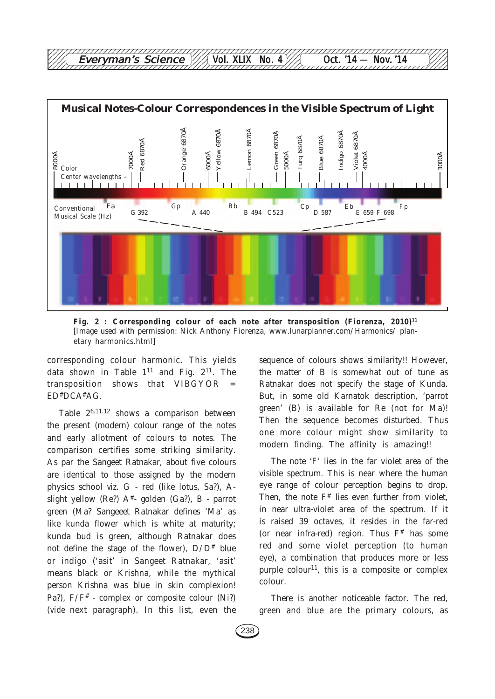

12345678901234567890123456789012123456789012345678901234567890121234567890123456789012345678

Fig. 2 : Corresponding colour of each note after transposition (Fiorenza, 2010)<sup>11</sup> [Image used with permission: Nick Anthony Fiorenza, www.lunarplanner.com/Harmonics/ planetary harmonics.html]

corresponding colour harmonic. This yields data shown in Table  $1^{11}$  and Fig.  $2^{11}$ . The transposition shows that VIBGYOR = ED#DCA#AG.

Table 26.11.12 shows a comparison between the present (modern) colour range of the notes and early allotment of colours to notes. The comparison certifies some striking similarity. As par the Sangeet Ratnakar, about five colours are identical to those assigned by the modern physics school *viz*. G - red (like lotus, Sa?), Aslight yellow (Re?)  $A^*$ - golden (Ga?), B - parrot green (Ma? Sangeeet Ratnakar defines 'Ma' as like kunda flower which is white at maturity; kunda bud is green, although Ratnakar does not define the stage of the flower),  $D/D^*$  blue or indigo ('asit' in Sangeet Ratnakar, 'asit' means black or Krishna, while the mythical person Krishna was blue in skin complexion! Pa?),  $F/F^*$  - complex or composite colour (Ni?) (*vide* next paragraph). In this list, even the sequence of colours shows similarity!! However, the matter of B is somewhat out of tune as Ratnakar does not specify the stage of Kunda. But, in some old Karnatok description, 'parrot green' (B) is available for Re (not for Ma)! Then the sequence becomes disturbed. Thus one more colour might show similarity to modern finding. The affinity is amazing!!

The note 'F' lies in the far violet area of the visible spectrum. This is near where the human eye range of colour perception begins to drop. Then, the note  $F^*$  lies even further from violet, in near ultra-violet area of the spectrum. If it is raised 39 octaves, it resides in the far-red (or near infra-red) region. Thus  $F^*$  has some red and some violet perception (to human eye), a combination that produces more or less purple colour<sup>11</sup>, this is a composite or complex colour.

There is another noticeable factor. The red, green and blue are the primary colours, as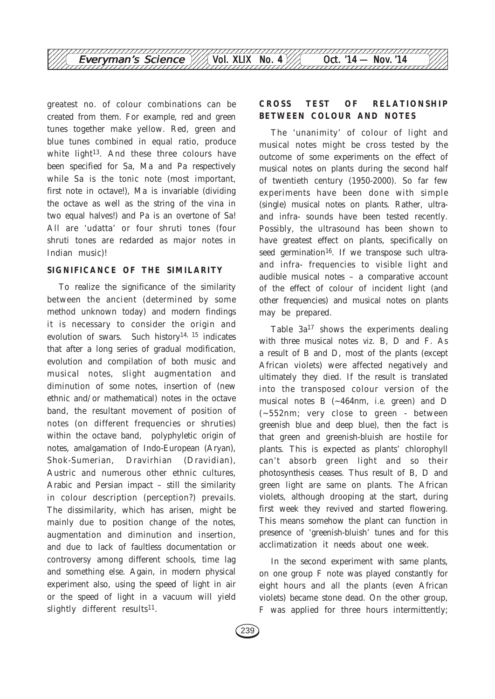

greatest no. of colour combinations can be created from them. For example, red and green tunes together make yellow. Red, green and blue tunes combined in equal ratio, produce white light<sup>13</sup>. And these three colours have been specified for Sa, Ma and Pa respectively while Sa is the tonic note (most important, first note in octave!), Ma is invariable (dividing the octave as well as the string of the vina in two equal halves!) and Pa is an overtone of Sa! All are 'udatta' or four shruti tones (four shruti tones are redarded as major notes in Indian music)!

#### **SIGNIFICANCE OF THE SIMILARITY**

To realize the significance of the similarity between the ancient (determined by some method unknown today) and modern findings it is necessary to consider the origin and evolution of swars. Such history<sup>14, 15</sup> indicates that after a long series of gradual modification, evolution and compilation of both music and musical notes, slight augmentation and diminution of some notes, insertion of (new ethnic and/or mathematical) notes in the octave band, the resultant movement of position of notes (on different frequencies or shruties) within the octave band, polyphyletic origin of notes, amalgamation of Indo-European (Aryan), Shok-Sumerian, Dravirhian (Dravidian), Austric and numerous other ethnic cultures, Arabic and Persian impact – still the similarity in colour description (perception?) prevails. The dissimilarity, which has arisen, might be mainly due to position change of the notes, augmentation and diminution and insertion, and due to lack of faultless documentation or controversy among different schools, time lag and something else. Again, in modern physical experiment also, using the speed of light in air or the speed of light in a vacuum will yield slightly different results<sup>11</sup>.

## **CROSS TEST OF RELATIONSHIP BETWEEN COLOUR AND NOTES**

The 'unanimity' of colour of light and musical notes might be cross tested by the outcome of some experiments on the effect of musical notes on plants during the second half of twentieth century (1950-2000). So far few experiments have been done with simple (single) musical notes on plants. Rather, ultraand infra- sounds have been tested recently. Possibly, the ultrasound has been shown to have greatest effect on plants, specifically on seed germination<sup>16</sup>. If we transpose such ultraand infra- frequencies to visible light and audible musical notes – a comparative account of the effect of colour of incident light (and other frequencies) and musical notes on plants may be prepared.

Table  $3a^{17}$  shows the experiments dealing with three musical notes *viz*. B, D and F. As a result of B and D, most of the plants (except African violets) were affected negatively and ultimately they died. If the result is translated into the transposed colour version of the musical notes B (~464nm, *i.e*. green) and D (~552nm; very close to green - between greenish blue and deep blue), then the fact is that green and greenish-bluish are hostile for plants. This is expected as plants' chlorophyll can't absorb green light and so their photosynthesis ceases. Thus result of B, D and green light are same on plants. The African violets, although drooping at the start, during first week they revived and started flowering. This means somehow the plant can function in presence of 'greenish-bluish' tunes and for this acclimatization it needs about one week.

In the second experiment with same plants, on one group F note was played constantly for eight hours and all the plants (even African violets) became stone dead. On the other group, F was applied for three hours intermittently;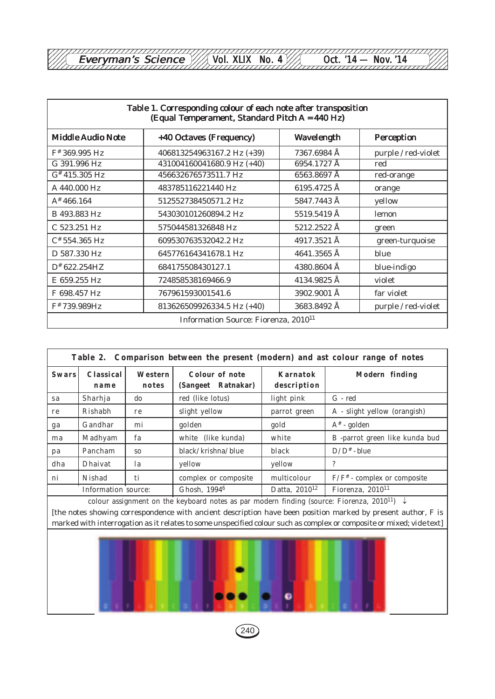| rvman's Science.<br><b>ver</b> | INC. | $\mathbf{r}$<br>M |  |
|--------------------------------|------|-------------------|--|
|                                |      |                   |  |

| Table 1. Corresponding colour of each note after transposition<br>(Equal Temperament, Standard Pitch A = 440 Hz) |                            |             |                     |  |
|------------------------------------------------------------------------------------------------------------------|----------------------------|-------------|---------------------|--|
| <b>Middle Audio Note</b>                                                                                         | +40 Octaves (Frequency)    | Wavelength  | Perception          |  |
| F#369.995 Hz                                                                                                     | 406813254963167.2 Hz (+39) | 7367.6984 Å | purple / red-violet |  |
| G 391.996 Hz                                                                                                     | 431004160041680.9 Hz (+40) | 6954.1727 Å | red                 |  |
| $G^*$ 415.305 Hz                                                                                                 | 456632676573511.7 Hz       | 6563.8697 Å | red-orange          |  |
| A 440.000 Hz                                                                                                     | 483785116221440 Hz         | 6195.4725 Å | orange              |  |
| $A^* 466.164$                                                                                                    | 512552738450571.2 Hz       | 5847.7443 Å | yellow              |  |
| B 493.883 Hz                                                                                                     | 543030101260894.2 Hz       | 5519.5419 Å | lemon               |  |
| C 523.251 Hz                                                                                                     | 575044581326848 Hz         | 5212.2522 Å | green               |  |
| C# 554.365 Hz                                                                                                    | 609530763532042.2 Hz       | 4917.3521 Å | green-turquoise     |  |
| D 587.330 Hz                                                                                                     | 645776164341678.1 Hz       | 4641.3565 Å | blue                |  |
| $D^*$ 622.254HZ                                                                                                  | 684175508430127.1          | 4380.8604 Å | blue-indigo         |  |
| E 659.255 Hz                                                                                                     | 724858538169466.9          | 4134.9825 Å | violet              |  |
| F 698.457 Hz                                                                                                     | 767961593001541.6          | 3902.9001 Å | far violet          |  |
| F#739.989Hz                                                                                                      | 813626509926334.5 Hz (+40) | 3683.8492 Å | purple / red-violet |  |
| Information Source: Fiorenza, 2010 <sup>11</sup>                                                                 |                            |             |                     |  |

| Table 2. Comparison between the present (modern) and ast colour range of notes |                          |                  |                                             |                           |                                |  |  |
|--------------------------------------------------------------------------------|--------------------------|------------------|---------------------------------------------|---------------------------|--------------------------------|--|--|
| <b>Swars</b>                                                                   | <b>Classical</b><br>name | Western<br>notes | <b>Colour of note</b><br>(Sangeet Ratnakar) | Karnatok<br>description   | Modern finding                 |  |  |
| sa                                                                             | Sharhja                  | do               | red (like lotus)                            | light pink                | $G - red$                      |  |  |
| re                                                                             | Rishabh                  | r e              | slight yellow                               | parrot green              | A - slight yellow (orangish)   |  |  |
| ga                                                                             | Gandhar                  | mi               | golden                                      | gold                      | $A^*$ - golden                 |  |  |
| ma                                                                             | Madhyam                  | fa               | white (like kunda)                          | white                     | B -parrot green like kunda bud |  |  |
| pa                                                                             | Pancham                  | S <sub>0</sub>   | black/krishna/blue                          | black                     | $D/D^*$ - blue                 |  |  |
| dha                                                                            | <b>Dhaivat</b>           | la               | yellow                                      | yellow                    | ?                              |  |  |
| ni                                                                             | Nishad                   | ti               | complex or composite                        | multicolour               | $F/F^*$ - complex or composite |  |  |
| Information source:                                                            |                          |                  | Ghosh, 1994 <sup>6</sup>                    | Datta, 2010 <sup>12</sup> | Fiorenza, 2010 <sup>11</sup>   |  |  |

colour assignment on the keyboard notes as par modern finding (source: Fiorenza, 2010<sup>11</sup>)  $\downarrow$ [the notes showing correspondence with ancient description have been position marked by present author, F is marked with interrogation as it relates to some unspecified colour such as complex or composite or mixed; *vide* text]



 $(240)$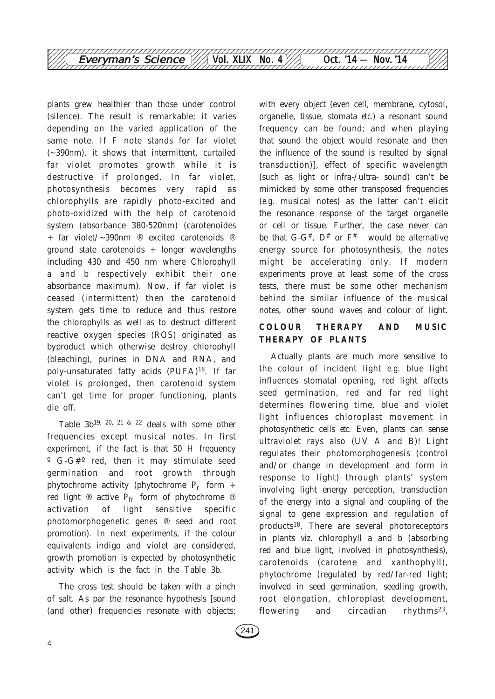

plants grew healthier than those under control (silence). The result is remarkable; it varies depending on the varied application of the same note. If F note stands for far violet (~390nm), it shows that intermittent, curtailed far violet promotes growth while it is destructive if prolonged. In far violet, photosynthesis becomes very rapid as chlorophylls are rapidly photo-excited and photo-oxidized with the help of carotenoid system (absorbance 380-520nm) (carotenoides + far violet/~390nm ® excited carotenoids ® ground state carotenoids + longer wavelengths including 430 and 450 nm where Chlorophyll a and b respectively exhibit their one absorbance maximum). Now, if far violet is ceased (intermittent) then the carotenoid system gets time to reduce and thus restore the chlorophylls as well as to destruct different reactive oxygen species (ROS) originated as byproduct which otherwise destroy chlorophyll (bleaching), purines in DNA and RNA, and poly-unsaturated fatty acids (PUFA)18. If far violet is prolonged, then carotenoid system can't get time for proper functioning, plants die off.

Table  $3b^{19}$ ,  $20$ ,  $21$  &  $22$  deals with some other frequencies except musical notes. In first experiment, if the fact is that 50 H frequency º G-G#º red, then it may stimulate seed germination and root growth through phytochrome activity (phytochrome  $P_r$  form + red light  $\mathbb{R}$  active P<sub>fr</sub> form of phytochrome  $\mathbb{R}$ activation of light sensitive specific photomorphogenetic genes ® seed and root promotion). In next experiments, if the colour equivalents indigo and violet are considered, growth promotion is expected by photosynthetic activity which is the fact in the Table 3b.

The cross test should be taken with a pinch of salt. As par the resonance hypothesis [sound (and other) frequencies resonate with objects;

with every object (even cell, membrane, cytosol, organelle, tissue, stomata *etc.*) a resonant sound frequency can be found; and when playing that sound the object would resonate and then the influence of the sound is resulted by signal transduction)], effect of specific wavelength (such as light or infra-/ultra- sound) can't be mimicked by some other transposed frequencies (*e.g*. musical notes) as the latter can't elicit the resonance response of the target organelle or cell or tissue. Further, the case never can be that G-G<sup>#</sup>,  $D^*$  or  $F^*$  would be alternative energy source for photosynthesis, the notes might be accelerating only. If modern experiments prove at least some of the cross tests, there must be some other mechanism behind the similar influence of the musical notes, other sound waves and colour of light.

## **COLOUR THERAPY AND MUSIC THERAPY OF PLANTS**

Actually plants are much more sensitive to the colour of incident light *e.g*. blue light influences stomatal opening, red light affects seed germination, red and far red light determines flowering time, blue and violet light influences chloroplast movement in photosynthetic cells *etc*. Even, plants can sense ultraviolet rays also (UV A and B)! Light regulates their photomorphogenesis (control and/or change in development and form in response to light) through plants' system involving light energy perception, transduction of the energy into a signal and coupling of the signal to gene expression and regulation of products18. There are several photoreceptors in plants *viz*. chlorophyll a and b (absorbing red and blue light, involved in photosynthesis), carotenoids (carotene and xanthophyll), phytochrome (regulated by red/far-red light; involved in seed germination, seedling growth, root elongation, chloroplast development, flowering and circadian rhythms<sup>23</sup>,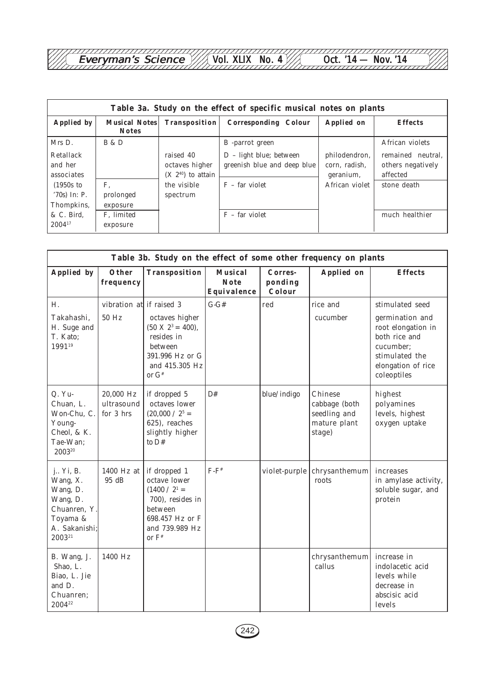Everyman's Science /// Vol. XLIX No. 4 /// Oct. '14 — Nov.'14 Everyman's Science Everyman's Science Vol. XLIX No. 4 Oct. '14 — Nov. '14

| Table 3a. Study on the effect of specific musical notes on plants |                                      |                                                        |                                                           |                                             |                                                    |  |
|-------------------------------------------------------------------|--------------------------------------|--------------------------------------------------------|-----------------------------------------------------------|---------------------------------------------|----------------------------------------------------|--|
| Applied by                                                        | <b>Musical Notes</b><br><b>Notes</b> | Transposition                                          | <b>Corresponding Colour</b>                               | <b>Applied</b> on                           | <b>Effects</b>                                     |  |
| Mrs D.                                                            | <b>B</b> & <b>D</b>                  |                                                        | B -parrot green                                           |                                             | African violets                                    |  |
| Retallack<br>and her<br>associates                                |                                      | raised 40<br>octaves higher<br>$(X\ 2^{40})$ to attain | $D - light blue$ ; between<br>greenish blue and deep blue | philodendron,<br>corn, radish,<br>geranium, | remained neutral.<br>others negatively<br>affected |  |
| $(1950s)$ to<br>$'70s$ In: P.<br>Thompkins,                       | F.<br>prolonged<br>exposure          | the visible<br>spectrum                                | $F - far$ violet                                          | African violet                              | stone death                                        |  |
| & C. Bird.<br>$2004^{17}$                                         | F. limited<br>exposure               |                                                        | $F - far$ violet                                          |                                             | much healthier                                     |  |

| Table 3b. Study on the effect of some other frequency on plants                                     |                                      |                                                                                                                                          |                                              |                              |                                                                    |                                                                                                                                               |
|-----------------------------------------------------------------------------------------------------|--------------------------------------|------------------------------------------------------------------------------------------------------------------------------------------|----------------------------------------------|------------------------------|--------------------------------------------------------------------|-----------------------------------------------------------------------------------------------------------------------------------------------|
| Applied by                                                                                          | Other<br>frequency                   | Transposition                                                                                                                            | <b>Musical</b><br><b>Note</b><br>Equivalence | Corres-<br>ponding<br>Colour | Applied on                                                         | <b>Effects</b>                                                                                                                                |
| H.<br>Takahashi,<br>H. Suge and<br>T. Kato;<br>199119                                               | vibration at if raised 3<br>50 Hz    | octaves higher<br>$(50 \text{ X } 2^3 = 400),$<br>resides in<br>between<br>391.996 Hz or G<br>and 415.305 Hz<br>or $G^*$                 | $G - G#$                                     | red                          | rice and<br>cucumber                                               | stimulated seed<br>germination and<br>root elongation in<br>both rice and<br>cucumber;<br>stimulated the<br>elongation of rice<br>coleoptiles |
| $Q. Yu-$<br>Chuan, L.<br>Won-Chu, C.<br>Young-<br>Cheol, & K.<br>Tae-Wan:<br>200320                 | 20,000 Hz<br>ultrasound<br>for 3 hrs | if dropped 5<br>octaves lower<br>(20,000 / 2 <sup>5</sup> )<br>625), reaches<br>slightly higher<br>to $D#$                               | D#                                           | blue/indigo                  | Chinese<br>cabbage (both<br>seedling and<br>mature plant<br>stage) | highest<br>polyamines<br>levels, highest<br>oxygen uptake                                                                                     |
| j Yi, B.<br>Wang, X.<br>Wang, D.<br>Wang, D.<br>Chuanren. Y.<br>Toyama &<br>A. Sakanishi;<br>200321 | $1400$ Hz at<br>95dB                 | if dropped 1<br>octave lower<br>(1400 / 2 <sup>1</sup> )<br>700), resides in<br>between<br>698.457 Hz or F<br>and 739.989 Hz<br>or $F^*$ | $F-F^*$                                      | violet-purple                | chrysanthemum<br>roots                                             | increases<br>in amylase activity,<br>soluble sugar, and<br>protein                                                                            |
| B. Wang, J.<br>Shao, L.<br>Biao, L. Jie<br>and D.<br>Chuanren:<br>200422                            | 1400 Hz                              |                                                                                                                                          |                                              |                              | chrysanthemum<br>callus                                            | increase in<br>indolacetic acid<br>levels while<br>decrease in<br>abscisic acid<br>levels                                                     |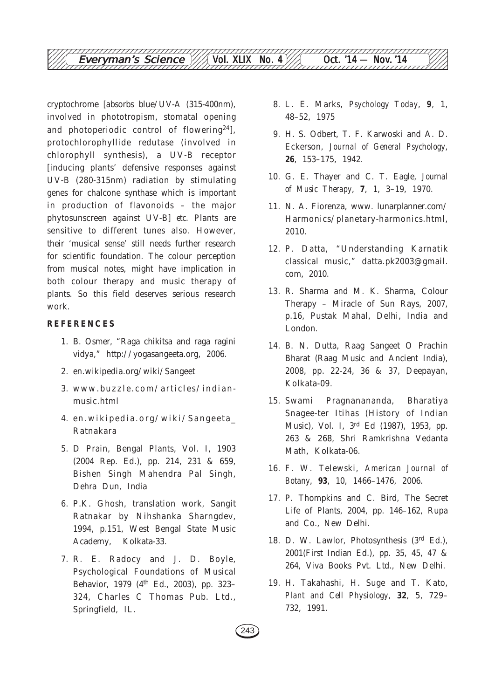cryptochrome [absorbs blue/UV-A (315-400nm), involved in phototropism, stomatal opening and photoperiodic control of flowering24], protochlorophyllide redutase (involved in chlorophyll synthesis), a UV-B receptor [inducing plants' defensive responses against UV-B (280-315nm) radiation by stimulating genes for chalcone synthase which is important in production of flavonoids – the major phytosunscreen against UV-B] *etc*. Plants are sensitive to different tunes also. However, their 'musical sense' still needs further research for scientific foundation. The colour perception from musical notes, might have implication in both colour therapy and music therapy of plants. So this field deserves serious research work.

#### **REFERENCES**

- 1. B. Osmer, "Raga chikitsa and raga ragini vidya," http://yogasangeeta.org, 2006.
- 2. en.wikipedia.org/wiki/Sangeet
- 3. www.buzzle.com/articles/indianmusic.html
- 4. en.wikipedia.org/wiki/Sangeeta\_ Ratnakara
- 5. D Prain, Bengal Plants, Vol. I, 1903 (2004 Rep. Ed.), pp. 214, 231 & 659, Bishen Singh Mahendra Pal Singh, Dehra Dun, India
- 6. P.K. Ghosh, translation work, Sangit Ratnakar by Nihshanka Sharngdev, 1994, p.151, West Bengal State Music Academy, Kolkata-33.
- 7. R. E. Radocy and J. D. Boyle, Psychological Foundations of Musical Behavior, 1979 (4<sup>th</sup> Ed., 2003), pp. 323-324, Charles C Thomas Pub. Ltd., Springfield, IL.
- 8. L. E. Marks, *Psychology Today*, **9**, 1, 48–52, 1975
- 9. H. S. Odbert, T. F. Karwoski and A. D. Eckerson, *Journal of General Psychology*, **26**, 153–175, 1942.
- 10. G. E. Thayer and C. T. Eagle, *Journal of Music Therapy*, **7**, 1, 3–19, 1970.
- 11. N. A. Fiorenza, www. lunarplanner.com/ Harmonics/planetary-harmonics.html, 2010.
- 12. P. Datta, "Understanding Karnatik classical music," datta.pk2003@gmail. com, 2010.
- 13. R. Sharma and M. K. Sharma, Colour Therapy – Miracle of Sun Rays, 2007, p.16, Pustak Mahal, Delhi, India and London.
- 14. B. N. Dutta, Raag Sangeet O Prachin Bharat (Raag Music and Ancient India), 2008, pp. 22-24, 36 & 37, Deepayan, Kolkata-09.
- 15. Swami Pragnanananda, Bharatiya Snagee-ter Itihas (History of Indian Music), Vol. I, 3rd Ed (1987), 1953, pp. 263 & 268, Shri Ramkrishna Vedanta Math, Kolkata-06.
- 16. F. W. Telewski, *American Journal of Botany*, **93**, 10, 1466–1476, 2006.
- 17. P. Thompkins and C. Bird, The Secret Life of Plants, 2004, pp. 146–162, Rupa and Co., New Delhi.
- 18. D. W. Lawlor, Photosynthesis (3rd Ed.), 2001(First Indian Ed.), pp. 35, 45, 47 & 264, Viva Books Pvt. Ltd., New Delhi.
- 19. H. Takahashi, H. Suge and T. Kato, *Plant and Cell Physiology*, **32**, 5, 729– 732, 1991.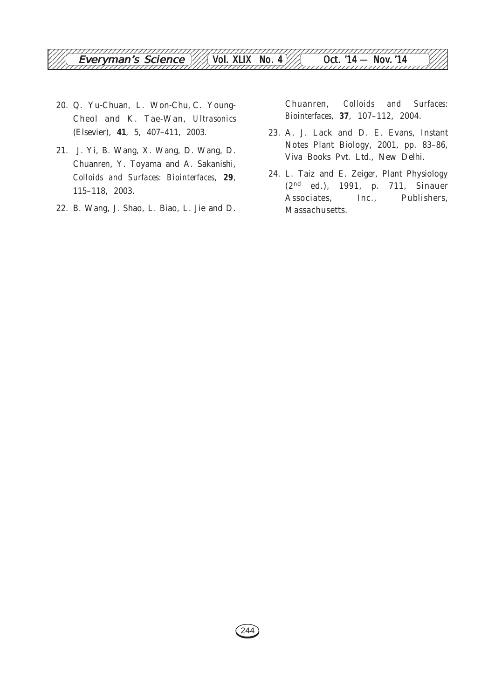

- 20. Q. Yu-Chuan, L. Won-Chu, C. Young-Cheol and K. Tae-Wan, *Ultrasonics* (Elsevier), **41**, 5, 407–411, 2003.
- 21. J. Yi, B. Wang, X. Wang, D. Wang, D. Chuanren, Y. Toyama and A. Sakanishi, *Colloids and Surfaces: Biointerfaces*, **29**, 115–118, 2003.
- 22. B. Wang, J. Shao, L. Biao, L. Jie and D.

Chuanren, *Colloids and Surfaces: Biointerfaces*, **37**, 107–112, 2004.

- 23. A. J. Lack and D. E. Evans, Instant Notes Plant Biology, 2001, pp. 83–86, Viva Books Pvt. Ltd., New Delhi.
- 24. L. Taiz and E. Zeiger, Plant Physiology (2nd ed.), 1991, p. 711, Sinauer Associates, Inc., Publishers, Massachusetts.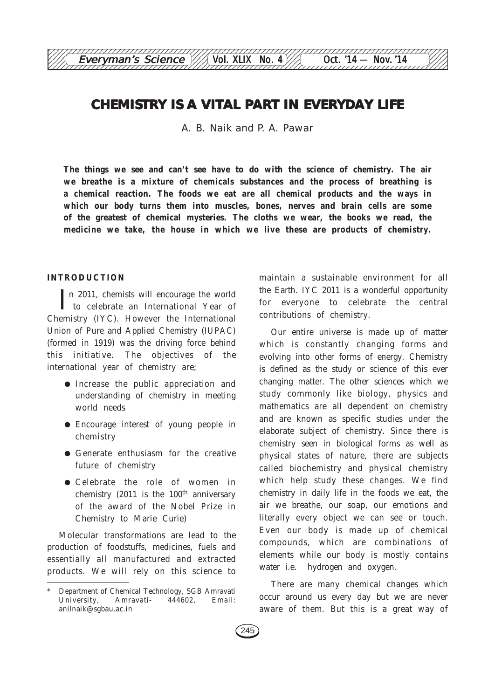## **CHEMISTRY IS A VITAL PART IN EVERYDAY LIFE**

12345678901234567890123456789012123456789012345678901234567890121234567890123456789012345678 Everyman's Science  $\frac{1}{\sqrt{2}}$  Vol. XLIX No. 4 Oct. '14 — Nov. '14

A. B. Naik and P. A. Pawar

**The things we see and can't see have to do with the science of chemistry. The air we breathe is a mixture of chemicals substances and the process of breathing is a chemical reaction. The foods we eat are all chemical products and the ways in which our body turns them into muscles, bones, nerves and brain cells are some of the greatest of chemical mysteries. The cloths we wear, the books we read, the medicine we take, the house in which we live these are products of chemistry.**

#### **INTRODUCTION**

In 2011, chemists will encourage the world<br>to celebrate an International Year of to celebrate an International Year of Chemistry (IYC). However the International Union of Pure and Applied Chemistry (IUPAC) (formed in 1919) was the driving force behind this initiative. The objectives of the international year of chemistry are;

- Increase the public appreciation and understanding of chemistry in meeting world needs
- Encourage interest of young people in chemistry
- Generate enthusiasm for the creative future of chemistry
- Celebrate the role of women in chemistry  $(2011$  is the  $100<sup>th</sup>$  anniversary of the award of the Nobel Prize in Chemistry to Marie Curie)

Molecular transformations are lead to the production of foodstuffs, medicines, fuels and essentially all manufactured and extracted products. We will rely on this science to maintain a sustainable environment for all the Earth. IYC 2011 is a wonderful opportunity for everyone to celebrate the central contributions of chemistry.

Our entire universe is made up of matter which is constantly changing forms and evolving into other forms of energy. Chemistry is defined as the study or science of this ever changing matter. The other sciences which we study commonly like biology, physics and mathematics are all dependent on chemistry and are known as specific studies under the elaborate subject of chemistry. Since there is chemistry seen in biological forms as well as physical states of nature, there are subjects called biochemistry and physical chemistry which help study these changes. We find chemistry in daily life in the foods we eat, the air we breathe, our soap, our emotions and literally every object we can see or touch. Even our body is made up of chemical compounds, which are combinations of elements while our body is mostly contains water i.e. hydrogen and oxygen.

There are many chemical changes which occur around us every day but we are never aware of them. But this is a great way of

Department of Chemical Technology, SGB Amravati University, Amravati- 444602, Email: anilnaik@sgbau.ac.in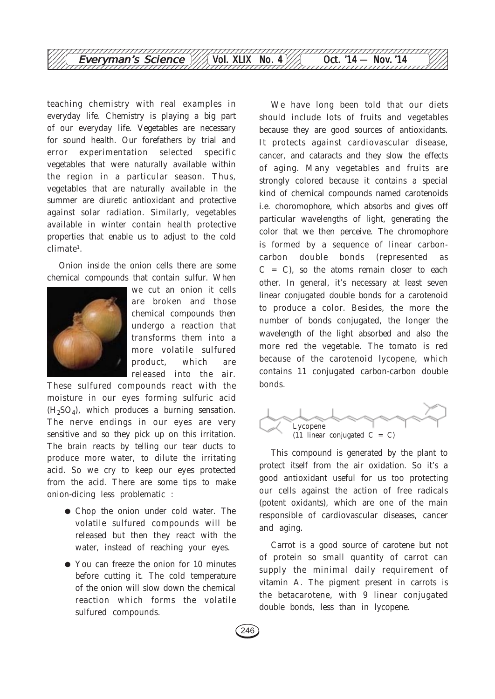

teaching chemistry with real examples in everyday life. Chemistry is playing a big part of our everyday life. Vegetables are necessary for sound health. Our forefathers by trial and error experimentation selected specific vegetables that were naturally available within the region in a particular season. Thus, vegetables that are naturally available in the summer are diuretic antioxidant and protective against solar radiation. Similarly, vegetables available in winter contain health protective properties that enable us to adjust to the cold  $climate<sup>1</sup>.$ 

Onion inside the onion cells there are some chemical compounds that contain sulfur. When



we cut an onion it cells are broken and those chemical compounds then undergo a reaction that transforms them into a more volatile sulfured product, which are released into the air.

These sulfured compounds react with the moisture in our eyes forming sulfuric acid  $(H<sub>2</sub>SO<sub>4</sub>)$ , which produces a burning sensation. The nerve endings in our eyes are very sensitive and so they pick up on this irritation. The brain reacts by telling our tear ducts to produce more water, to dilute the irritating acid. So we cry to keep our eyes protected from the acid. There are some tips to make onion-dicing less problematic :

- Chop the onion under cold water. The volatile sulfured compounds will be released but then they react with the water, instead of reaching your eyes.
- You can freeze the onion for 10 minutes before cutting it. The cold temperature of the onion will slow down the chemical reaction which forms the volatile sulfured compounds.

We have long been told that our diets should include lots of fruits and vegetables because they are good sources of antioxidants. It protects against cardiovascular disease, cancer, and cataracts and they slow the effects of aging. Many vegetables and fruits are strongly colored because it contains a special kind of chemical compounds named carotenoids i.e. choromophore, which absorbs and gives off particular wavelengths of light, generating the color that we then perceive. The chromophore is formed by a sequence of linear carboncarbon double bonds (represented as  $C = C$ , so the atoms remain closer to each other. In general, it's necessary at least seven linear conjugated double bonds for a carotenoid to produce a color. Besides, the more the number of bonds conjugated, the longer the wavelength of the light absorbed and also the more red the vegetable. The tomato is red because of the carotenoid lycopene, which contains 11 conjugated carbon-carbon double bonds.



This compound is generated by the plant to protect itself from the air oxidation. So it's a good antioxidant useful for us too protecting our cells against the action of free radicals (potent oxidants), which are one of the main responsible of cardiovascular diseases, cancer and aging.

Carrot is a good source of carotene but not of protein so small quantity of carrot can supply the minimal daily requirement of vitamin A. The pigment present in carrots is the betacarotene, with 9 linear conjugated double bonds, less than in lycopene.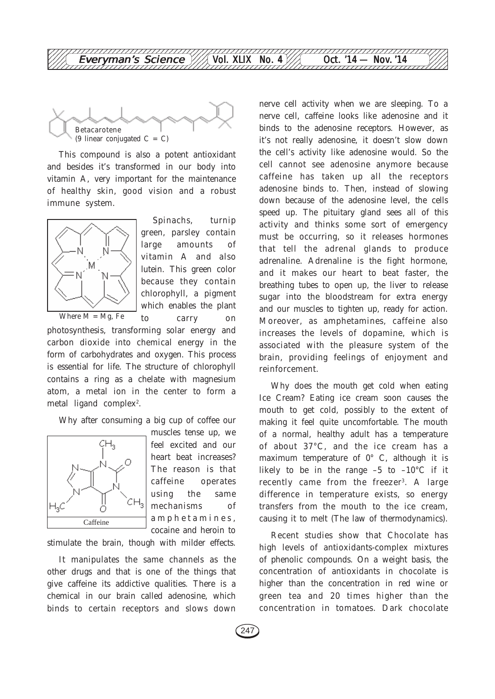

This compound is also a potent antioxidant and besides it's transformed in our body into vitamin A, very important for the maintenance of healthy skin, good vision and a robust immune system.



Spinachs, turnip green, parsley contain large amounts of vitamin A and also lutein. This green color because they contain chlorophyll, a pigment which enables the plant to carry on

photosynthesis, transforming solar energy and carbon dioxide into chemical energy in the form of carbohydrates and oxygen. This process is essential for life. The structure of chlorophyll contains a ring as a chelate with magnesium atom, a metal ion in the center to form a metal ligand complex<sup>2</sup>.

Why after consuming a big cup of coffee our



muscles tense up, we feel excited and our heart beat increases? The reason is that caffeine operates using the same mechanisms of amphetamines, cocaine and heroin to

stimulate the brain, though with milder effects.

It manipulates the same channels as the other drugs and that is one of the things that give caffeine its addictive qualities. There is a chemical in our brain called adenosine, which binds to certain receptors and slows down nerve cell activity when we are sleeping. To a nerve cell, caffeine looks like adenosine and it binds to the adenosine receptors. However, as it's not really adenosine, it doesn't slow down the cell's activity like adenosine would. So the cell cannot see adenosine anymore because caffeine has taken up all the receptors adenosine binds to. Then, instead of slowing down because of the adenosine level, the cells speed up. The pituitary gland sees all of this activity and thinks some sort of emergency must be occurring, so it releases hormones that tell the adrenal glands to produce adrenaline. Adrenaline is the fight hormone, and it makes our heart to beat faster, the breathing tubes to open up, the liver to release sugar into the bloodstream for extra energy and our muscles to tighten up, ready for action. Moreover, as amphetamines, caffeine also increases the levels of dopamine, which is associated with the pleasure system of the brain, providing feelings of enjoyment and reinforcement.

Why does the mouth get cold when eating Ice Cream? Eating ice cream soon causes the mouth to get cold, possibly to the extent of making it feel quite uncomfortable. The mouth of a normal, healthy adult has a temperature of about 37°C, and the ice cream has a maximum temperature of 0° C, although it is likely to be in the range  $-5$  to  $-10^{\circ}$ C if it recently came from the freezer<sup>3</sup>. A large difference in temperature exists, so energy transfers from the mouth to the ice cream, causing it to melt (The law of thermodynamics).

Recent studies show that Chocolate has high levels of antioxidants-complex mixtures of phenolic compounds. On a weight basis, the concentration of antioxidants in chocolate is higher than the concentration in red wine or green tea and 20 times higher than the concentration in tomatoes. Dark chocolate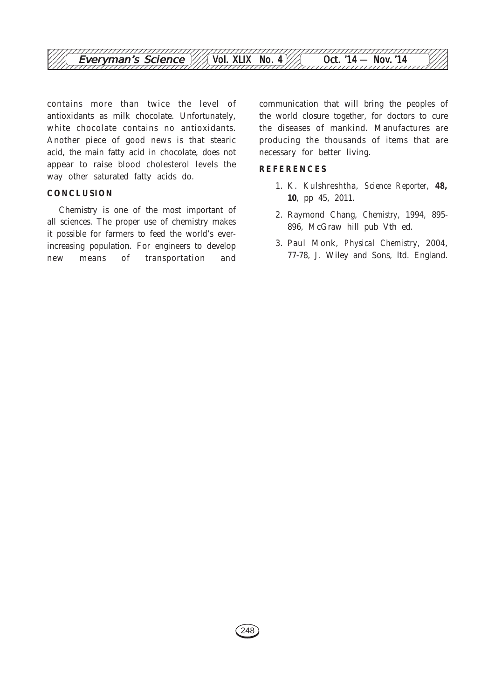

contains more than twice the level of antioxidants as milk chocolate. Unfortunately, white chocolate contains no antioxidants. Another piece of good news is that stearic acid, the main fatty acid in chocolate, does not appear to raise blood cholesterol levels the way other saturated fatty acids do.

### **CONCLUSION**

Chemistry is one of the most important of all sciences. The proper use of chemistry makes it possible for farmers to feed the world's everincreasing population. For engineers to develop new means of transportation and communication that will bring the peoples of the world closure together, for doctors to cure the diseases of mankind. Manufactures are producing the thousands of items that are necessary for better living.

#### **REFERENCES**

- 1. K. Kulshreshtha, *Science Reporter*, **48, 10**, pp 45, 2011.
- 2. Raymond Chang, *Chemistry*, 1994, 895- 896, McGraw hill pub Vth ed.
- 3. Paul Monk, *Physical Chemistry,* 2004, 77-78, J. Wiley and Sons, ltd. England.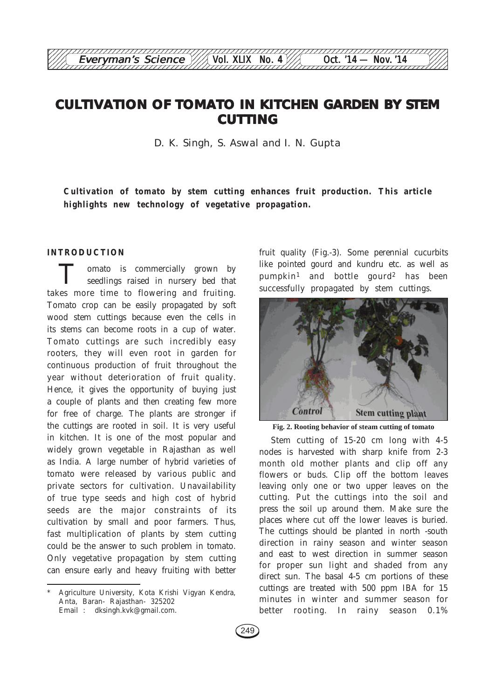## **CULTIVATION OF TOMATO IN KITCHEN GARDEN BY STEM CUTTING**

12345678901234567890123456789012123456789012345678901234567890121234567890123456789012345678 Everyman's Science  $\frac{1}{\sqrt{2}}$  Vol. XLIX No. 4 Oct. '14 — Nov. '14

D. K. Singh, S. Aswal and I. N. Gupta

**Cultivation of tomato by stem cutting enhances fruit production. This article highlights new technology of vegetative propagation.**

#### **INTRODUCTION**

omato is commercially grown by seedlings raised in nursery bed that takes more time to flowering and fruiting. Tomato crop can be easily propagated by soft wood stem cuttings because even the cells in its stems can become roots in a cup of water. Tomato cuttings are such incredibly easy rooters, they will even root in garden for continuous production of fruit throughout the year without deterioration of fruit quality. Hence, it gives the opportunity of buying just a couple of plants and then creating few more for free of charge. The plants are stronger if the cuttings are rooted in soil. It is very useful in kitchen. It is one of the most popular and widely grown vegetable in Rajasthan as well as India. A large number of hybrid varieties of tomato were released by various public and private sectors for cultivation. Unavailability of true type seeds and high cost of hybrid seeds are the major constraints of its cultivation by small and poor farmers. Thus, fast multiplication of plants by stem cutting could be the answer to such problem in tomato. Only vegetative propagation by stem cutting can ensure early and heavy fruiting with better fruit quality (Fig.-3). Some perennial cucurbits like pointed gourd and kundru etc. as well as pumpkin1 and bottle gourd2 has been successfully propagated by stem cuttings.



**Fig. 2. Rooting behavior of steam cutting of tomato**

Stem cutting of 15-20 cm long with 4-5 nodes is harvested with sharp knife from 2-3 month old mother plants and clip off any flowers or buds. Clip off the bottom leaves leaving only one or two upper leaves on the cutting. Put the cuttings into the soil and press the soil up around them. Make sure the places where cut off the lower leaves is buried. The cuttings should be planted in north -south direction in rainy season and winter season and east to west direction in summer season for proper sun light and shaded from any direct sun. The basal 4-5 cm portions of these cuttings are treated with 500 ppm IBA for 15 minutes in winter and summer season for better rooting. In rainy season 0.1%

Agriculture University, Kota Krishi Vigyan Kendra, Anta, Baran- Rajasthan- 325202 Email : dksingh.kvk@gmail.com.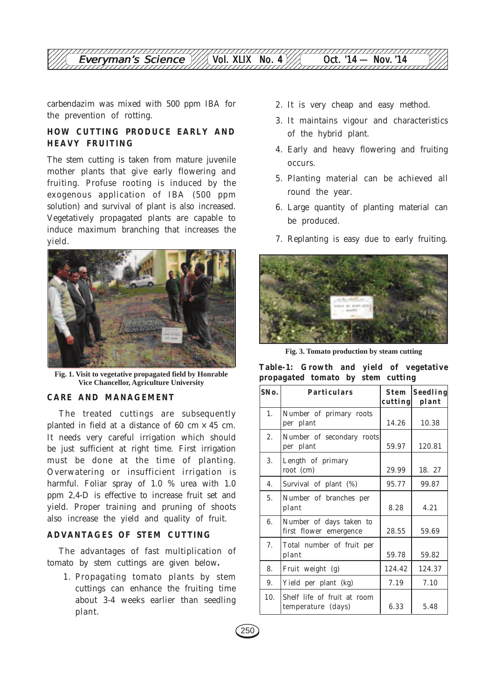carbendazim was mixed with 500 ppm IBA for the prevention of rotting.

## **HOW CUTTING PRODUCE EARLY AND HEAVY FRUITING**

The stem cutting is taken from mature juvenile mother plants that give early flowering and fruiting. Profuse rooting is induced by the exogenous application of IBA (500 ppm solution) and survival of plant is also increased. Vegetatively propagated plants are capable to induce maximum branching that increases the yield.



**Fig. 1. Visit to vegetative propagated field by Honrable Vice Chancellor, Agriculture University**

#### **CARE AND MANAGEMENT**

The treated cuttings are subsequently planted in field at a distance of 60 cm  $\times$  45 cm. It needs very careful irrigation which should be just sufficient at right time. First irrigation must be done at the time of planting. Overwatering or insufficient irrigation is harmful. Foliar spray of 1.0 % urea with 1.0 ppm 2,4-D is effective to increase fruit set and yield. Proper training and pruning of shoots also increase the yield and quality of fruit.

## **ADVANTAGES OF STEM CUTTING**

The advantages of fast multiplication of tomato by stem cuttings are given below**.**

1. Propagating tomato plants by stem cuttings can enhance the fruiting time about 3-4 weeks earlier than seedling plant.

- 2. It is very cheap and easy method.
- 3. It maintains vigour and characteristics of the hybrid plant.
- 4. Early and heavy flowering and fruiting occurs.
- 5. Planting material can be achieved all round the year.
- 6. Large quantity of planting material can be produced.
- 7. Replanting is easy due to early fruiting.



**Fig. 3. Tomato production by steam cutting**

**Table-1: Growth and yield of vegetative propagated tomato by stem cutting**

| SNo. | <b>Particulars</b>                                | Stem<br>cutting | Seedling<br>plant |
|------|---------------------------------------------------|-----------------|-------------------|
| 1.   | Number of primary roots<br>per plant              | 14.26           | 10.38             |
| 2.   | Number of secondary roots<br>per plant            | 59.97           | 120.81            |
| 3.   | Length of primary<br>root (cm)                    | 29.99           | 18. 27            |
| 4.   | Survival of plant (%)                             | 95.77           | 99.87             |
| 5.   | Number of branches per<br>plant                   | 8.28            | 4.21              |
| 6.   | Number of days taken to<br>first flower emergence | 28.55           | 59.69             |
| 7.   | Total number of fruit per<br>plant                | 59.78           | 59.82             |
| 8.   | Fruit weight (g)                                  | 124.42          | 124.37            |
| 9.   | Yield per plant (kg)                              | 7.19            | 7.10              |
| 10.  | Shelf life of fruit at room<br>temperature (days) | 6.33            | 5.48              |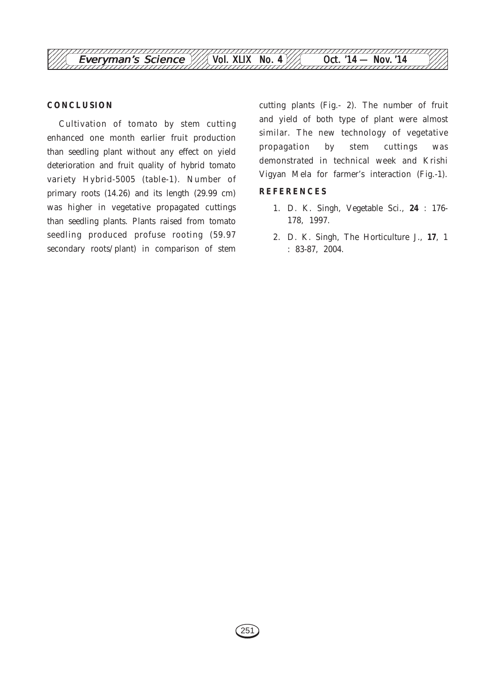

#### **CONCLUSION**

Cultivation of tomato by stem cutting enhanced one month earlier fruit production than seedling plant without any effect on yield deterioration and fruit quality of hybrid tomato variety Hybrid-5005 (table-1). Number of primary roots (14.26) and its length (29.99 cm) was higher in vegetative propagated cuttings than seedling plants. Plants raised from tomato seedling produced profuse rooting (59.97 secondary roots/plant) in comparison of stem cutting plants (Fig.- 2). The number of fruit and yield of both type of plant were almost similar. The new technology of vegetative propagation by stem cuttings was demonstrated in technical week and Krishi Vigyan Mela for farmer's interaction (Fig.-1).

#### **REFERENCES**

- 1. D. K. Singh, Vegetable Sci., **24** : 176- 178, 1997.
- 2. D. K. Singh, The Horticulture J., **17**, 1 : 83-87, 2004.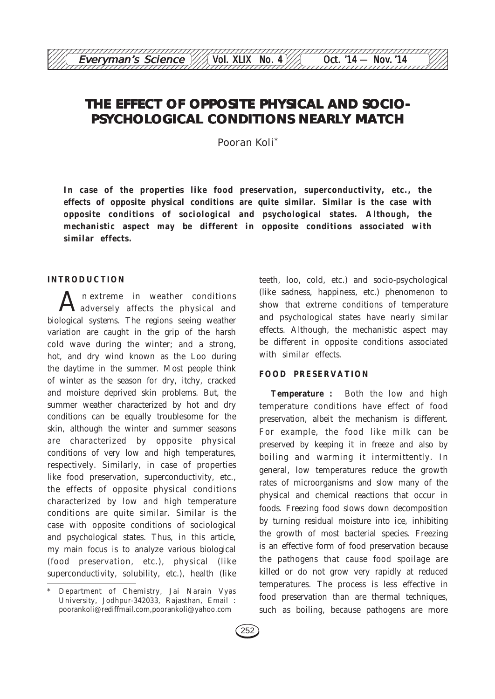# THE EFFECT OF OPPOSITE PHYSICAL AND SOCIO-**PSYCHOLOGICAL CONDITIONS NEARLY MATCH**

12345678901234567890123456789012123456789012345678901234567890121234567890123456789012345678 Everyman's Science  $\frac{1}{\sqrt{2}}$  Vol. XLIX No. 4 Oct. '14 — Nov. '14

Pooran Koli\*

**In case of the properties like food preservation, superconductivity, etc., the effects of opposite physical conditions are quite similar. Similar is the case with opposite conditions of sociological and psychological states. Although, the mechanistic aspect may be different in opposite conditions associated with similar effects.**

#### **INTRODUCTION**

n extreme in weather conditions adversely affects the physical and biological systems. The regions seeing weather variation are caught in the grip of the harsh cold wave during the winter; and a strong, hot, and dry wind known as the Loo during the daytime in the summer. Most people think of winter as the season for dry, itchy, cracked and moisture deprived skin problems. But, the summer weather characterized by hot and dry conditions can be equally troublesome for the skin, although the winter and summer seasons are characterized by opposite physical conditions of very low and high temperatures, respectively. Similarly, in case of properties like food preservation, superconductivity, etc., the effects of opposite physical conditions characterized by low and high temperature conditions are quite similar. Similar is the case with opposite conditions of sociological and psychological states. Thus, in this article, my main focus is to analyze various biological (food preservation, etc.), physical (like superconductivity, solubility, etc.), health (like

teeth, loo, cold, etc.) and socio-psychological (like sadness, happiness, etc.) phenomenon to show that extreme conditions of temperature and psychological states have nearly similar effects. Although, the mechanistic aspect may be different in opposite conditions associated with similar effects.

## **FOOD PRESERVATION**

**Temperature :** Both the low and high temperature conditions have effect of food preservation, albeit the mechanism is different. For example, the food like milk can be preserved by keeping it in freeze and also by boiling and warming it intermittently. In general, low temperatures reduce the growth rates of microorganisms and slow many of the physical and chemical reactions that occur in foods. Freezing food slows down decomposition by turning residual moisture into ice, inhibiting the growth of most bacterial species. Freezing is an effective form of food preservation because the pathogens that cause food spoilage are killed or do not grow very rapidly at reduced temperatures. The process is less effective in food preservation than are thermal techniques, such as boiling, because pathogens are more

<sup>\*</sup> Department of Chemistry, Jai Narain Vyas University, Jodhpur-342033, Rajasthan, Email : poorankoli@rediffmail.com,poorankoli@yahoo.com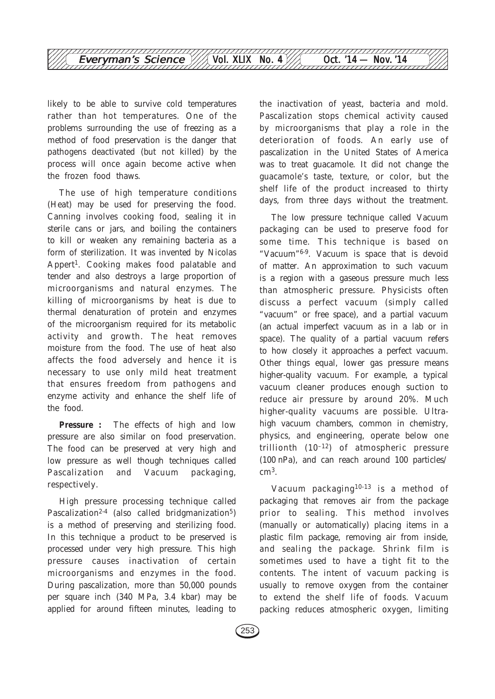

likely to be able to survive cold temperatures rather than hot temperatures. One of the problems surrounding the use of freezing as a method of food preservation is the danger that pathogens deactivated (but not killed) by the process will once again become active when the frozen food thaws.

The use of high temperature conditions (Heat) may be used for preserving the food. Canning involves cooking food, sealing it in sterile cans or jars, and boiling the containers to kill or weaken any remaining bacteria as a form of sterilization. It was invented by Nicolas Appert<sup>1</sup>. Cooking makes food palatable and tender and also destroys a large proportion of microorganisms and natural enzymes. The killing of microorganisms by heat is due to thermal denaturation of protein and enzymes of the microorganism required for its metabolic activity and growth. The heat removes moisture from the food. The use of heat also affects the food adversely and hence it is necessary to use only mild heat treatment that ensures freedom from pathogens and enzyme activity and enhance the shelf life of the food.

**Pressure :** The effects of high and low pressure are also similar on food preservation. The food can be preserved at very high and low pressure as well though techniques called Pascalization and Vacuum packaging, respectively.

High pressure processing technique called Pascalization<sup>2-4</sup> (also called bridgmanization<sup>5</sup>) is a method of preserving and sterilizing food. In this technique a product to be preserved is processed under very high pressure. This high pressure causes inactivation of certain microorganisms and enzymes in the food. During pascalization, more than 50,000 pounds per square inch (340 MPa, 3.4 kbar) may be applied for around fifteen minutes, leading to the inactivation of yeast, bacteria and mold. Pascalization stops chemical activity caused by microorganisms that play a role in the deterioration of foods. An early use of pascalization in the United States of America was to treat guacamole. It did not change the guacamole's taste, texture, or color, but the shelf life of the product increased to thirty days, from three days without the treatment.

The low pressure technique called Vacuum packaging can be used to preserve food for some time. This technique is based on "Vacuum"6-9. Vacuum is space that is devoid of matter. An approximation to such vacuum is a region with a gaseous pressure much less than atmospheric pressure. Physicists often discuss a perfect vacuum (simply called "vacuum" or free space), and a partial vacuum (an actual imperfect vacuum as in a lab or in space). The quality of a partial vacuum refers to how closely it approaches a perfect vacuum. Other things equal, lower gas pressure means higher-quality vacuum. For example, a typical vacuum cleaner produces enough suction to reduce air pressure by around 20%. Much higher-quality vacuums are possible. Ultrahigh vacuum chambers, common in chemistry, physics, and engineering, operate below one trillionth  $(10^{-12})$  of atmospheric pressure (100 nPa), and can reach around 100 particles/ cm3.

Vacuum packaging10-13 is a method of packaging that removes air from the package prior to sealing. This method involves (manually or automatically) placing items in a plastic film package, removing air from inside, and sealing the package. Shrink film is sometimes used to have a tight fit to the contents. The intent of vacuum packing is usually to remove oxygen from the container to extend the shelf life of foods. Vacuum packing reduces atmospheric oxygen, limiting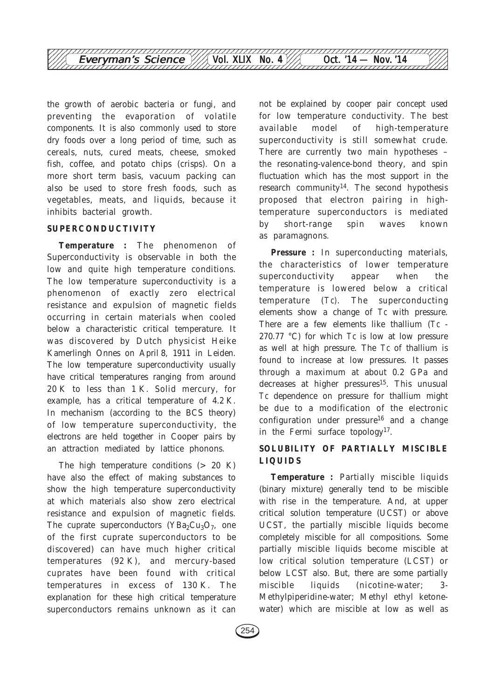

the growth of aerobic bacteria or fungi, and preventing the evaporation of volatile components. It is also commonly used to store dry foods over a long period of time, such as cereals, nuts, cured meats, cheese, smoked fish, coffee, and potato chips (crisps). On a more short term basis, vacuum packing can also be used to store fresh foods, such as vegetables, meats, and liquids, because it inhibits bacterial growth.

#### **SUPERCONDUCTIVITY**

**Temperature :** The phenomenon of Superconductivity is observable in both the low and quite high temperature conditions. The low temperature superconductivity is a phenomenon of exactly zero electrical resistance and expulsion of magnetic fields occurring in certain materials when cooled below a characteristic critical temperature. It was discovered by Dutch physicist Heike Kamerlingh Onnes on April 8, 1911 in Leiden. The low temperature superconductivity usually have critical temperatures ranging from around 20 K to less than 1 K. Solid mercury, for example, has a critical temperature of 4.2 K. In mechanism (according to the BCS theory) of low temperature superconductivity, the electrons are held together in Cooper pairs by an attraction mediated by lattice phonons.

The high temperature conditions  $(> 20 K)$ have also the effect of making substances to show the high temperature superconductivity at which materials also show zero electrical resistance and expulsion of magnetic fields. The cuprate superconductors ( $YBa<sub>2</sub>Cu<sub>3</sub>O<sub>7</sub>$ , one of the first cuprate superconductors to be discovered) can have much higher critical temperatures (92 K), and mercury-based cuprates have been found with critical temperatures in excess of 130 K. The explanation for these high critical temperature superconductors remains unknown as it can

not be explained by cooper pair concept used for low temperature conductivity. The best available model of high-temperature superconductivity is still somewhat crude. There are currently two main hypotheses – the resonating-valence-bond theory, and spin fluctuation which has the most support in the research community<sup>14</sup>. The second hypothesis proposed that electron pairing in hightemperature superconductors is mediated by short-range spin waves known as paramagnons.

**Pressure :** In superconducting materials, the characteristics of lower temperature superconductivity appear when the temperature is lowered below a critical temperature (*Tc)*. The superconducting elements show a change of *Tc* with pressure. There are a few elements like thallium (*Tc* - 270.77 °C) for which *Tc* is low at low pressure as well at high pressure. The *Tc* of thallium is found to increase at low pressures. It passes through a maximum at about 0.2 GPa and decreases at higher pressures<sup>15</sup>. This unusual *Tc* dependence on pressure for thallium might be due to a modification of the electronic configuration under pressure<sup>16</sup> and a change in the Fermi surface topology17.

## **SOLUBILITY OF PARTIALLY MISCIBLE LIQUIDS**

**Temperature :** Partially miscible liquids (binary mixture) generally tend to be miscible with rise in the temperature. And, at upper critical solution temperature (UCST) or above UCST, the partially miscible liquids become completely miscible for all compositions. Some partially miscible liquids become miscible at low critical solution temperature (LCST) or below LCST also. But, there are some partially miscible liquids (nicotine-water; 3- Methylpiperidine-water; Methyl ethyl ketonewater) which are miscible at low as well as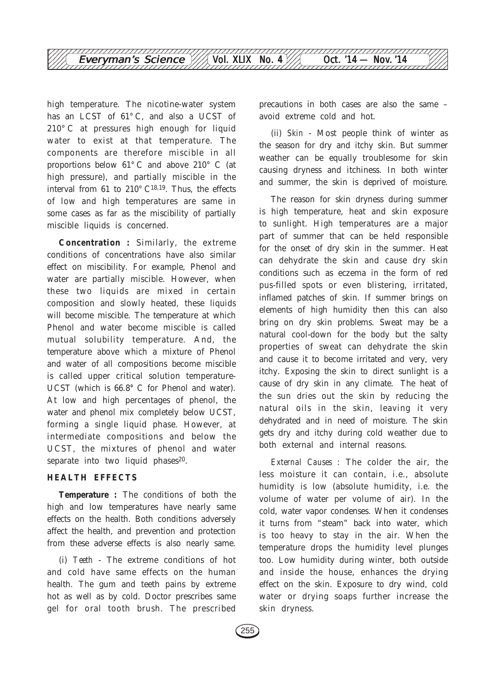

high temperature. The nicotine-water system has an LCST of 61° C, and also a UCST of 210° C at pressures high enough for liquid water to exist at that temperature. The components are therefore miscible in all proportions below 61° C and above 210° C (at high pressure), and partially miscible in the interval from 61 to  $210^{\circ}$  C<sup>18,19</sup>. Thus, the effects of low and high temperatures are same in some cases as far as the miscibility of partially miscible liquids is concerned.

**Concentration :** Similarly, the extreme conditions of concentrations have also similar effect on miscibility. For example, Phenol and water are partially miscible. However, when these two liquids are mixed in certain composition and slowly heated, these liquids will become miscible. The temperature at which Phenol and water become miscible is called mutual solubility temperature. And, the temperature above which a mixture of Phenol and water of all compositions become miscible is called upper critical solution temperature-UCST (which is 66.8**°** C for Phenol and water). At low and high percentages of phenol, the water and phenol mix completely below UCST, forming a single liquid phase. However, at intermediate compositions and below the UCST, the mixtures of phenol and water separate into two liquid phases<sup>20</sup>.

#### **HEALTH EFFECTS**

**Temperature :** The conditions of both the high and low temperatures have nearly same effects on the health. Both conditions adversely affect the health, and prevention and protection from these adverse effects is also nearly same.

(i) *Teeth* - The extreme conditions of hot and cold have same effects on the human health. The gum and teeth pains by extreme hot as well as by cold. Doctor prescribes same gel for oral tooth brush. The prescribed precautions in both cases are also the same – avoid extreme cold and hot.

(ii) *Skin* - Most people think of winter as the season for dry and itchy skin. But summer weather can be equally troublesome for skin causing dryness and itchiness. In both winter and summer, the skin is deprived of moisture.

The reason for skin dryness during summer is high temperature, heat and skin exposure to sunlight. High temperatures are a major part of summer that can be held responsible for the onset of dry skin in the summer. Heat can dehydrate the skin and cause dry skin conditions such as eczema in the form of red pus-filled spots or even blistering, irritated, inflamed patches of skin. If summer brings on elements of high humidity then this can also bring on dry skin problems. Sweat may be a natural cool-down for the body but the salty properties of sweat can dehydrate the skin and cause it to become irritated and very, very itchy. Exposing the skin to direct sunlight is a cause of dry skin in any climate. The heat of the sun dries out the skin by reducing the natural oils in the skin, leaving it very dehydrated and in need of moisture. The skin gets dry and itchy during cold weather due to both external and internal reasons.

*External Causes* : The colder the air, the less moisture it can contain, i.e., absolute humidity is low (absolute humidity, i.e. the volume of water per volume of air). In the cold, water vapor condenses. When it condenses it turns from "steam" back into water, which is too heavy to stay in the air. When the temperature drops the humidity level plunges too. Low humidity during winter, both outside and inside the house, enhances the drying effect on the skin. Exposure to dry wind, cold water or drying soaps further increase the skin dryness.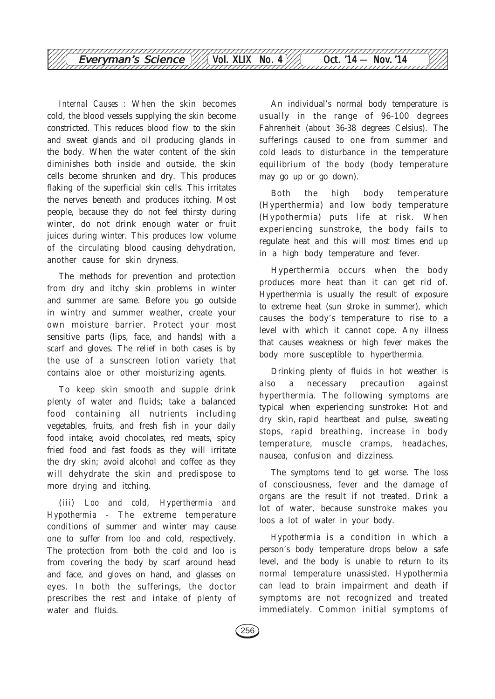

*Internal Causes* : When the skin becomes cold, the blood vessels supplying the skin become constricted. This reduces blood flow to the skin and sweat glands and oil producing glands in the body. When the water content of the skin diminishes both inside and outside, the skin cells become shrunken and dry. This produces flaking of the superficial skin cells. This irritates the nerves beneath and produces itching. Most people, because they do not feel thirsty during winter, do not drink enough water or fruit juices during winter. This produces low volume of the circulating blood causing dehydration, another cause for skin dryness.

The methods for prevention and protection from dry and itchy skin problems in winter and summer are same. Before you go outside in wintry and summer weather, create your own moisture barrier. Protect your most sensitive parts (lips, face, and hands) with a scarf and gloves. The relief in both cases is by the use of a sunscreen lotion variety that contains aloe or other moisturizing agents.

To keep skin smooth and supple drink plenty of water and fluids; take a balanced food containing all nutrients including vegetables, fruits, and fresh fish in your daily food intake; avoid chocolates, red meats, spicy fried food and fast foods as they will irritate the dry skin; avoid alcohol and coffee as they will dehydrate the skin and predispose to more drying and itching.

(iii) *Loo and cold*, *Hyperthermia and Hypothermia* - The extreme temperature conditions of summer and winter may cause one to suffer from loo and cold, respectively. The protection from both the cold and loo is from covering the body by scarf around head and face, and gloves on hand, and glasses on eyes. In both the sufferings, the doctor prescribes the rest and intake of plenty of water and fluids.

An individual's normal body temperature is usually in the range of 96-100 degrees Fahrenheit (about 36-38 degrees Celsius). The sufferings caused to one from summer and cold leads to disturbance in the temperature equilibrium of the body (body temperature may go up or go down).

Both the high body temperature (Hyperthermia) and low body temperature (Hypothermia) puts life at risk. When experiencing sunstroke, the body fails to regulate heat and this will most times end up in a high body temperature and fever.

Hyperthermia occurs when the body produces more heat than it can get rid of. Hyperthermia is usually the result of exposure to extreme heat (sun stroke in summer), which causes the body's temperature to rise to a level with which it cannot cope. Any illness that causes weakness or high fever makes the body more susceptible to hyperthermia.

Drinking plenty of fluids in hot weather is also a necessary precaution against hyperthermia. The following symptoms are typical when experiencing sunstroke**:** Hot and dry skin, rapid heartbeat and pulse, sweating stops, rapid breathing, increase in body temperature, muscle cramps, headaches, nausea, confusion and dizziness.

The symptoms tend to get worse. The loss of consciousness, fever and the damage of organs are the result if not treated. Drink a lot of water, because sunstroke makes you loos a lot of water in your body.

*Hypothermia* is a condition in which a person's body temperature drops below a safe level, and the body is unable to return to its normal temperature unassisted. Hypothermia can lead to brain impairment and death if symptoms are not recognized and treated immediately. Common initial symptoms of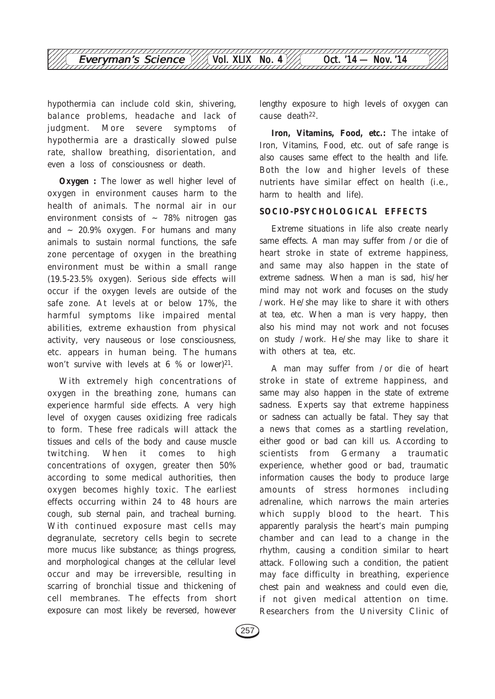

hypothermia can include cold skin, shivering, balance problems, headache and lack of judgment. More severe symptoms of hypothermia are a drastically slowed pulse rate, shallow breathing, disorientation, and even a loss of consciousness or death.

**Oxygen :** The lower as well higher level of oxygen in environment causes harm to the health of animals. The normal air in our environment consists of  $\sim$  78% nitrogen gas and  $\sim$  20.9% oxygen. For humans and many animals to sustain normal functions, the safe zone percentage of oxygen in the breathing environment must be within a small range (19.5-23.5% oxygen). Serious side effects will occur if the oxygen levels are outside of the safe zone. At levels at or below 17%, the harmful symptoms like impaired mental abilities, extreme exhaustion from physical activity, very nauseous or lose consciousness, etc. appears in human being. The humans won't survive with levels at  $6\%$  or lower)<sup>21</sup>.

With extremely high concentrations of oxygen in the breathing zone, humans can experience harmful side effects. A very high level of oxygen causes oxidizing free radicals to form. These free radicals will attack the tissues and cells of the body and cause muscle twitching. When it comes to high concentrations of oxygen, greater then 50% according to some medical authorities, then oxygen becomes highly toxic. The earliest effects occurring within 24 to 48 hours are cough, sub sternal pain, and tracheal burning. With continued exposure mast cells may degranulate, secretory cells begin to secrete more mucus like substance; as things progress, and morphological changes at the cellular level occur and may be irreversible, resulting in scarring of bronchial tissue and thickening of cell membranes. The effects from short exposure can most likely be reversed, however

lengthy exposure to high levels of oxygen can cause death22.

**Iron, Vitamins, Food, etc.:** The intake of Iron, Vitamins, Food, etc. out of safe range is also causes same effect to the health and life. Both the low and higher levels of these nutrients have similar effect on health (i.e., harm to health and life).

#### **SOCIO-PSYCHOLOGICAL EFFECTS**

Extreme situations in life also create nearly same effects. A man may suffer from /or die of heart stroke in state of extreme happiness, and same may also happen in the state of extreme sadness. When a man is sad, his/her mind may not work and focuses on the study /work. He/she may like to share it with others at tea, etc. When a man is very happy, then also his mind may not work and not focuses on study /work. He/she may like to share it with others at tea, etc.

A man may suffer from /or die of heart stroke in state of extreme happiness, and same may also happen in the state of extreme sadness. Experts say that extreme happiness or sadness can actually be fatal. They say that a news that comes as a startling revelation, either good or bad can kill us. According to scientists from Germany a traumatic experience, whether good or bad, traumatic information causes the body to produce large amounts of stress hormones including adrenaline, which narrows the main arteries which supply blood to the heart. This apparently paralysis the heart's main pumping chamber and can lead to a change in the rhythm, causing a condition similar to heart attack. Following such a condition, the patient may face difficulty in breathing, experience chest pain and weakness and could even die, if not given medical attention on time. Researchers from the University Clinic of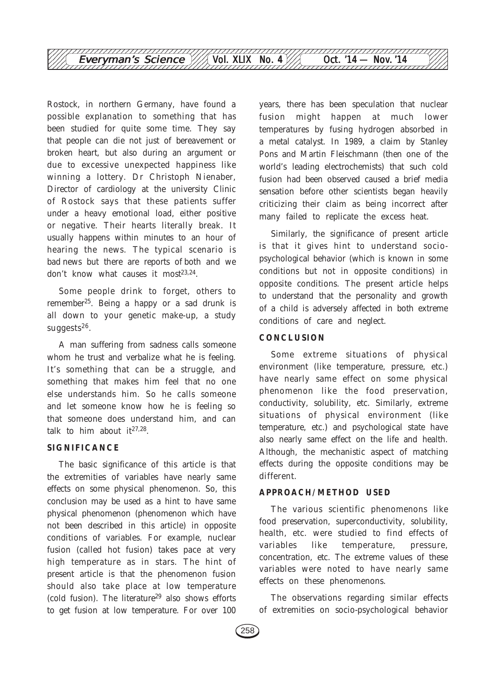

Rostock, in northern Germany, have found a possible explanation to something that has been studied for quite some time. They say that people can die not just of bereavement or broken heart, but also during an argument or due to excessive unexpected happiness like winning a lottery. Dr Christoph Nienaber, Director of cardiology at the university Clinic of Rostock says that these patients suffer under a heavy emotional load, either positive or negative. Their hearts literally break. It usually happens within minutes to an hour of hearing the news. The typical scenario is bad news but there are reports of both and we don't know what causes it most $23,24$ .

Some people drink to forget, others to remember25. Being a happy or a sad drunk is all down to your genetic make-up, a study suggests26.

A man suffering from sadness calls someone whom he trust and verbalize what he is feeling. It's something that can be a struggle, and something that makes him feel that no one else understands him. So he calls someone and let someone know how he is feeling so that someone does understand him, and can talk to him about  $it^{27,28}$ .

### **SIGNIFICANCE**

The basic significance of this article is that the extremities of variables have nearly same effects on some physical phenomenon. So, this conclusion may be used as a hint to have same physical phenomenon (phenomenon which have not been described in this article) in opposite conditions of variables. For example, nuclear fusion (called hot fusion) takes pace at very high temperature as in stars. The hint of present article is that the phenomenon fusion should also take place at low temperature (cold fusion). The literature29 also shows efforts to get fusion at low temperature. For over 100

years, there has been speculation that nuclear fusion might happen at much lower temperatures by fusing hydrogen absorbed in a metal catalyst. In 1989, a claim by Stanley Pons and Martin Fleischmann (then one of the world's leading electrochemists) that such cold fusion had been observed caused a brief media sensation before other scientists began heavily criticizing their claim as being incorrect after many failed to replicate the excess heat.

Similarly, the significance of present article is that it gives hint to understand sociopsychological behavior (which is known in some conditions but not in opposite conditions) in opposite conditions. The present article helps to understand that the personality and growth of a child is adversely affected in both extreme conditions of care and neglect.

#### **CONCLUSION**

Some extreme situations of physical environment (like temperature, pressure, etc.) have nearly same effect on some physical phenomenon like the food preservation, conductivity, solubility, etc. Similarly, extreme situations of physical environment (like temperature, etc.) and psychological state have also nearly same effect on the life and health. Although, the mechanistic aspect of matching effects during the opposite conditions may be different.

#### **APPROACH/METHOD USED**

The various scientific phenomenons like food preservation, superconductivity, solubility, health, etc. were studied to find effects of variables like temperature, pressure, concentration, etc. The extreme values of these variables were noted to have nearly same effects on these phenomenons.

The observations regarding similar effects of extremities on socio-psychological behavior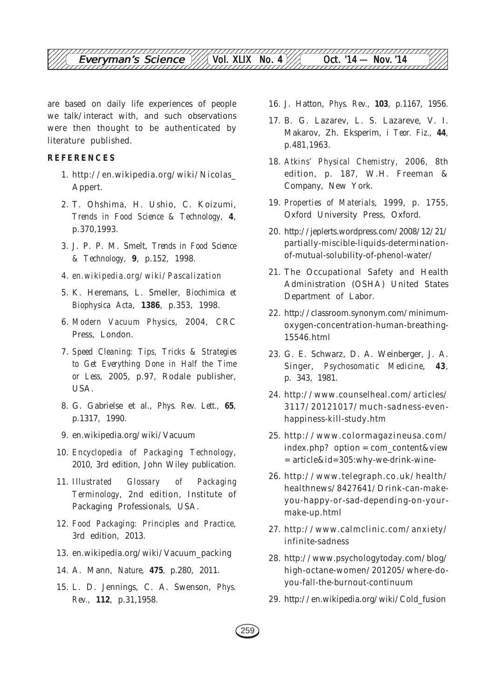

are based on daily life experiences of people we talk/interact with, and such observations were then thought to be authenticated by literature published.

### **REFERENCES**

- 1. http://en.wikipedia.org/wiki/Nicolas\_ Appert.
- 2. T. Ohshima, H. Ushio, C. Koizumi, *Trends in Food Science & Technology,* **4**, p.370,1993.
- 3. J. P. P. M. Smelt, *Trends in Food Science & Technology,* **9**, p.152, 1998.
- 4. *en.wikipedia.org/wiki/Pascalization*
- 5. K. Heremans, L. Smeller, *Biochimica et Biophysica Acta*, **1386**, p.353, 1998.
- 6. *Modern Vacuum Physics*, 2004, CRC Press, London.
- 7. *Speed Cleaning: Tips, Tricks & Strategies to Get Everything Done in Half the Time or Less,* 2005, p.97, Rodale publisher, USA.
- 8. G. Gabrielse et al., *Phys. Rev. Lett.,* **65**, p.1317, 1990.
- 9. en.wikipedia.org/wiki/Vacuum
- 10. *Encyclopedia of Packaging Technology*, 2010, 3rd edition, John Wiley publication.
- 11. *Illustrated Glossary of Packaging Terminology*, 2nd edition, Institute of Packaging Professionals, USA.
- 12. *Food Packaging: Principles and Practice*, 3rd edition, 2013.
- 13. en.wikipedia.org/wiki/Vacuum\_packing
- 14. A. Mann, *Nature,* **475***,* p.280, 2011.
- 15. L. D. Jennings, C. A. Swenson, *Phys. Rev.,* **112**, p.31,1958.
- 16. J. Hatton, *Phys. Rev.,* **103**, p.1167, 1956.
- 17. B. G. Lazarev, L. S. Lazareve, V. I. Makarov, Zh. Eksperim, *i Teor. Fiz.,* **44**, p.481,1963.
- 18. *Atkins' Physical Chemistry*, 2006, 8th edition, p. 187, W.H. Freeman & Company, New York.
- 19. *Properties of Materials*, 1999, p. 1755, Oxford University Press, Oxford.
- 20. http://jeplerts.wordpress.com/2008/12/21/ partially-miscible-liquids-determinationof-mutual-solubility-of-phenol-water/
- 21. The Occupational Safety and Health Administration (OSHA) United States Department of Labor.
- 22. http://classroom.synonym.com/minimumoxygen-concentration-human-breathing-15546.html
- 23. G. E. Schwarz, D. A. Weinberger, J. A. Singer, *Psychosomatic Medicine*, **43**, p. 343, 1981.
- 24. http://www.counselheal.com/articles/ 3117/20121017/much-sadness-evenhappiness-kill-study.htm
- 25. http://www.colormagazineusa.com/ index.php? option = com\_content&view = article&id=305:why-we-drink-wine-
- 26. http://www.telegraph.co.uk/health/ healthnews/8427641/Drink-can-makeyou-happy-or-sad-depending-on-yourmake-up.html
- 27. http://www.calmclinic.com/anxiety/ infinite-sadness
- 28. http://www.psychologytoday.com/blog/ high-octane-women/201205/where-doyou-fall-the-burnout-continuum
- 29. http://en.wikipedia.org/wiki/Cold\_fusion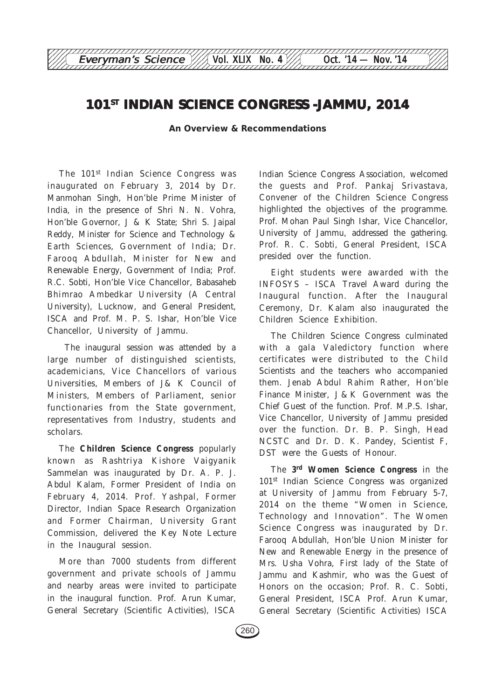# **101ST INDIAN SCIENCE CONGRESS -JAMMU, 2014**

12345678901234567890123456789012123456789012345678901234567890121234567890123456789012345678 Everyman's Science  $\frac{1}{\sqrt{2}}$  Vol. XLIX No. 4 Oct. '14 — Nov. '14

**An Overview & Recommendations**

The 101<sup>st</sup> Indian Science Congress was inaugurated on February 3, 2014 by Dr. Manmohan Singh, Hon'ble Prime Minister of India, in the presence of Shri N. N. Vohra, Hon'ble Governor, J & K State; Shri S. Jaipal Reddy, Minister for Science and Technology & Earth Sciences, Government of India; Dr. Farooq Abdullah, Minister for New and Renewable Energy, Government of India; Prof. R.C. Sobti, Hon'ble Vice Chancellor, Babasaheb Bhimrao Ambedkar University (A Central University), Lucknow, and General President, ISCA and Prof. M. P. S. Ishar, Hon'ble Vice Chancellor, University of Jammu.

 The inaugural session was attended by a large number of distinguished scientists, academicians, Vice Chancellors of various Universities, Members of J& K Council of Ministers, Members of Parliament, senior functionaries from the State government, representatives from Industry, students and scholars.

The **Children Science Congress** popularly known as Rashtriya Kishore Vaigyanik Sammelan was inaugurated by Dr. A. P. J. Abdul Kalam, Former President of India on February 4, 2014. Prof. Yashpal, Former Director, Indian Space Research Organization and Former Chairman, University Grant Commission, delivered the Key Note Lecture in the Inaugural session.

More than 7000 students from different government and private schools of Jammu and nearby areas were invited to participate in the inaugural function. Prof. Arun Kumar, General Secretary (Scientific Activities), ISCA

Indian Science Congress Association, welcomed the guests and Prof. Pankaj Srivastava, Convener of the Children Science Congress highlighted the objectives of the programme. Prof. Mohan Paul Singh Ishar, Vice Chancellor, University of Jammu, addressed the gathering. Prof. R. C. Sobti, General President, ISCA presided over the function.

Eight students were awarded with the INFOSYS – ISCA Travel Award during the Inaugural function. After the Inaugural Ceremony, Dr. Kalam also inaugurated the Children Science Exhibition.

The Children Science Congress culminated with a gala Valedictory function where certificates were distributed to the Child Scientists and the teachers who accompanied them. Jenab Abdul Rahim Rather, Hon'ble Finance Minister, J & K Government was the Chief Guest of the function. Prof. M.P.S. Ishar, Vice Chancellor, University of Jammu presided over the function. Dr. B. P. Singh, Head NCSTC and Dr. D. K. Pandey, Scientist F, DST were the Guests of Honour.

The **3rd Women Science Congress** in the 101st Indian Science Congress was organized at University of Jammu from February 5-7, 2014 on the theme "Women in Science, Technology and Innovation". The Women Science Congress was inaugurated by Dr. Farooq Abdullah, Hon'ble Union Minister for New and Renewable Energy in the presence of Mrs. Usha Vohra, First lady of the State of Jammu and Kashmir, who was the Guest of Honors on the occasion; Prof. R. C. Sobti, General President, ISCA Prof. Arun Kumar, General Secretary (Scientific Activities) ISCA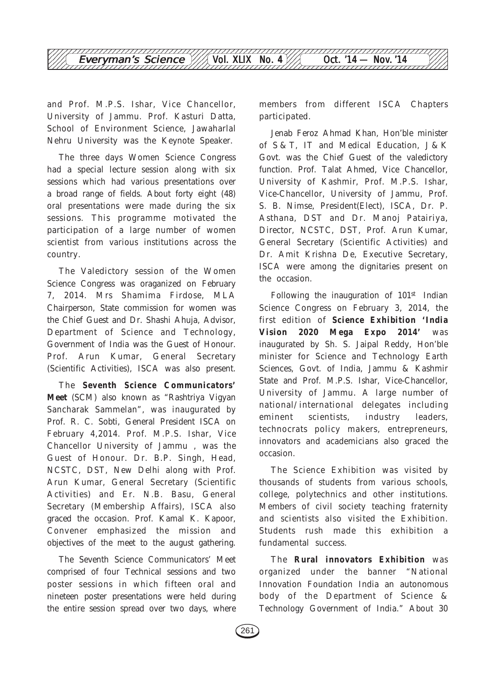and Prof. M.P.S. Ishar, Vice Chancellor, University of Jammu. Prof. Kasturi Datta, School of Environment Science, Jawaharlal Nehru University was the Keynote Speaker.

The three days Women Science Congress had a special lecture session along with six sessions which had various presentations over a broad range of fields. About forty eight (48) oral presentations were made during the six sessions. This programme motivated the participation of a large number of women scientist from various institutions across the country.

The Valedictory session of the Women Science Congress was oraganized on February 7, 2014. Mrs Shamima Firdose, MLA Chairperson, State commission for women was the Chief Guest and Dr. Shashi Ahuja, Advisor, Department of Science and Technology, Government of India was the Guest of Honour. Prof. Arun Kumar, General Secretary (Scientific Activities), ISCA was also present.

The **Seventh Science Communicators' Meet** (SCM) also known as "Rashtriya Vigyan Sancharak Sammelan", was inaugurated by Prof. R. C. Sobti, General President ISCA on February 4,2014. Prof. M.P.S. Ishar, Vice Chancellor University of Jammu , was the Guest of Honour. Dr. B.P. Singh, Head, NCSTC, DST, New Delhi along with Prof. Arun Kumar, General Secretary (Scientific Activities) and Er. N.B. Basu, General Secretary (Membership Affairs), ISCA also graced the occasion. Prof. Kamal K. Kapoor, Convener emphasized the mission and objectives of the meet to the august gathering.

The Seventh Science Communicators' Meet comprised of four Technical sessions and two poster sessions in which fifteen oral and nineteen poster presentations were held during the entire session spread over two days, where members from different ISCA Chapters participated.

Jenab Feroz Ahmad Khan, Hon'ble minister of S & T, IT and Medical Education, J & K Govt. was the Chief Guest of the valedictory function. Prof. Talat Ahmed, Vice Chancellor, University of Kashmir, Prof. M.P.S. Ishar, Vice-Chancellor, University of Jammu, Prof. S. B. Nimse, President(Elect), ISCA, Dr. P. Asthana, DST and Dr. Manoj Patairiya, Director, NCSTC, DST, Prof. Arun Kumar, General Secretary (Scientific Activities) and Dr. Amit Krishna De, Executive Secretary, ISCA were among the dignitaries present on the occasion.

Following the inauguration of 101st Indian Science Congress on February 3, 2014, the first edition of **Science Exhibition 'India Vision 2020 Mega Expo 2014'** was inaugurated by Sh. S. Jaipal Reddy, Hon'ble minister for Science and Technology Earth Sciences, Govt. of India, Jammu & Kashmir State and Prof. M.P.S. Ishar, Vice-Chancellor, University of Jammu. A large number of national/international delegates including eminent scientists, industry leaders, technocrats policy makers, entrepreneurs, innovators and academicians also graced the occasion.

The Science Exhibition was visited by thousands of students from various schools, college, polytechnics and other institutions. Members of civil society teaching fraternity and scientists also visited the Exhibition. Students rush made this exhibition a fundamental success.

The **Rural innovators Exhibition** was organized under the banner "National Innovation Foundation India an autonomous body of the Department of Science & Technology Government of India." About 30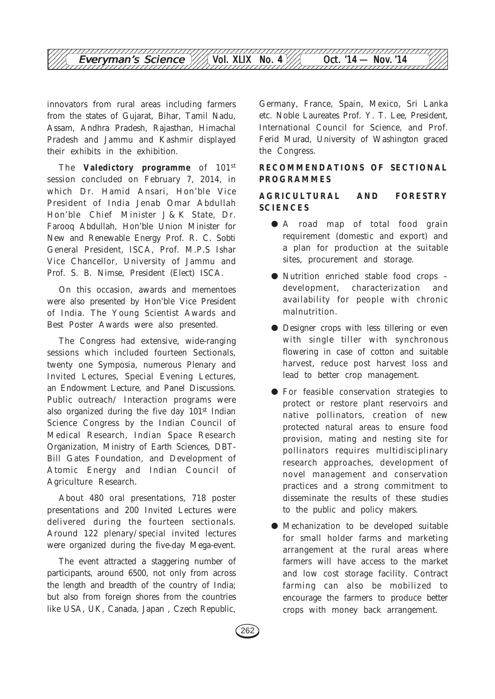

innovators from rural areas including farmers from the states of Gujarat, Bihar, Tamil Nadu, Assam, Andhra Pradesh, Rajasthan, Himachal Pradesh and Jammu and Kashmir displayed their exhibits in the exhibition.

The **Valedictory programme** of 101st session concluded on February 7, 2014, in which Dr. Hamid Ansari, Hon'ble Vice President of India Jenab Omar Abdullah Hon'ble Chief Minister J & K State, Dr. Farooq Abdullah, Hon'ble Union Minister for New and Renewable Energy Prof. R. C. Sobti General President, ISCA, Prof. M.P.S Ishar Vice Chancellor, University of Jammu and Prof. S. B. Nimse, President (Elect) ISCA.

On this occasion, awards and mementoes were also presented by Hon'ble Vice President of India. The Young Scientist Awards and Best Poster Awards were also presented.

The Congress had extensive, wide-ranging sessions which included fourteen Sectionals, twenty one Symposia, numerous Plenary and Invited Lectures, Special Evening Lectures, an Endowment Lecture, and Panel Discussions. Public outreach/ Interaction programs were also organized during the five day 101<sup>st</sup> Indian Science Congress by the Indian Council of Medical Research, Indian Space Research Organization, Ministry of Earth Sciences, DBT-Bill Gates Foundation, and Development of Atomic Energy and Indian Council of Agriculture Research.

About 480 oral presentations, 718 poster presentations and 200 Invited Lectures were delivered during the fourteen sectionals. Around 122 plenary/special invited lectures were organized during the five-day Mega-event.

The event attracted a staggering number of participants, around 6500, not only from across the length and breadth of the country of India; but also from foreign shores from the countries like USA, UK, Canada, Japan , Czech Republic,

Germany, France, Spain, Mexico, Sri Lanka etc. Noble Laureates Prof. Y. T. Lee, President, International Council for Science, and Prof. Ferid Murad, University of Washington graced the Congress.

## **RECOMMENDATIONS OF SECTIONAL PROGRAMMES**

## **AGRICULTURAL AND FORESTRY SCIENCES**

- A road map of total food grain requirement (domestic and export) and a plan for production at the suitable sites, procurement and storage.
- Nutrition enriched stable food crops development, characterization and availability for people with chronic malnutrition.
- Designer crops with less tillering or even with single tiller with synchronous flowering in case of cotton and suitable harvest, reduce post harvest loss and lead to better crop management.
- For feasible conservation strategies to protect or restore plant reservoirs and native pollinators, creation of new protected natural areas to ensure food provision, mating and nesting site for pollinators requires multidisciplinary research approaches, development of novel management and conservation practices and a strong commitment to disseminate the results of these studies to the public and policy makers.
- Mechanization to be developed suitable for small holder farms and marketing arrangement at the rural areas where farmers will have access to the market and low cost storage facility. Contract farming can also be mobilized to encourage the farmers to produce better crops with money back arrangement.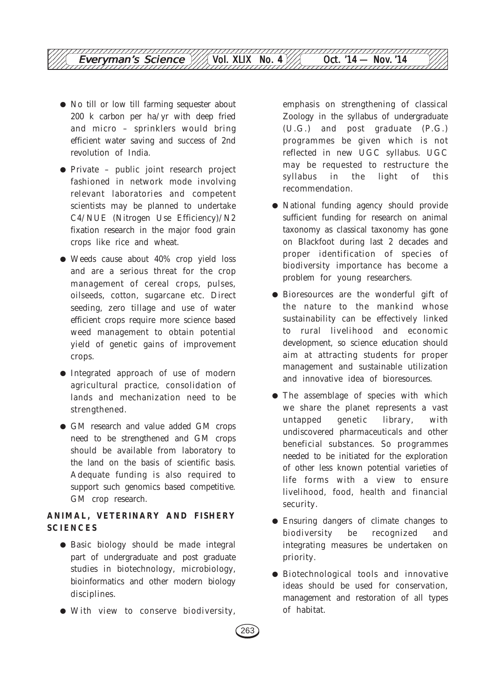- No till or low till farming sequester about 200 k carbon per ha/yr with deep fried and micro – sprinklers would bring efficient water saving and success of 2nd revolution of India.
- Private public joint research project fashioned in network mode involving relevant laboratories and competent scientists may be planned to undertake C4/NUE (Nitrogen Use Efficiency)/N2 fixation research in the major food grain crops like rice and wheat.
- Weeds cause about 40% crop yield loss and are a serious threat for the crop management of cereal crops, pulses, oilseeds, cotton, sugarcane etc. Direct seeding, zero tillage and use of water efficient crops require more science based weed management to obtain potential yield of genetic gains of improvement crops.
- Integrated approach of use of modern agricultural practice, consolidation of lands and mechanization need to be strengthened.
- GM research and value added GM crops need to be strengthened and GM crops should be available from laboratory to the land on the basis of scientific basis. Adequate funding is also required to support such genomics based competitive. GM crop research.

## **ANIMAL, VETERINARY AND FISHERY SCIENCES**

- Basic biology should be made integral part of undergraduate and post graduate studies in biotechnology, microbiology, bioinformatics and other modern biology disciplines.
- With view to conserve biodiversity,

emphasis on strengthening of classical Zoology in the syllabus of undergraduate (U.G.) and post graduate (P.G.) programmes be given which is not reflected in new UGC syllabus. UGC may be requested to restructure the syllabus in the light of this recommendation.

- National funding agency should provide sufficient funding for research on animal taxonomy as classical taxonomy has gone on Blackfoot during last 2 decades and proper identification of species of biodiversity importance has become a problem for young researchers.
- Bioresources are the wonderful gift of the nature to the mankind whose sustainability can be effectively linked to rural livelihood and economic development, so science education should aim at attracting students for proper management and sustainable utilization and innovative idea of bioresources.
- The assemblage of species with which we share the planet represents a vast untapped genetic library, with undiscovered pharmaceuticals and other beneficial substances. So programmes needed to be initiated for the exploration of other less known potential varieties of life forms with a view to ensure livelihood, food, health and financial security.
- Ensuring dangers of climate changes to biodiversity be recognized and integrating measures be undertaken on priority.
- Biotechnological tools and innovative ideas should be used for conservation, management and restoration of all types of habitat.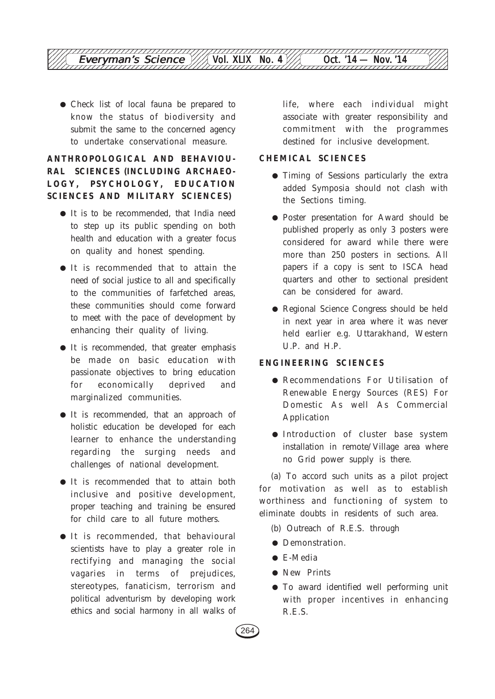

● Check list of local fauna be prepared to know the status of biodiversity and submit the same to the concerned agency to undertake conservational measure.

## **ANTHROPOLOGICAL AND BEHAVIOU-RAL SCIENCES (INCLUDING ARCHAEO-LOGY, PSYCHOLOGY, EDUCATION SCIENCES AND MILITARY SCIENCES)**

- It is to be recommended, that India need to step up its public spending on both health and education with a greater focus on quality and honest spending.
- It is recommended that to attain the need of social justice to all and specifically to the communities of farfetched areas, these communities should come forward to meet with the pace of development by enhancing their quality of living.
- It is recommended, that greater emphasis be made on basic education with passionate objectives to bring education for economically deprived and marginalized communities.
- It is recommended, that an approach of holistic education be developed for each learner to enhance the understanding regarding the surging needs and challenges of national development.
- It is recommended that to attain both inclusive and positive development, proper teaching and training be ensured for child care to all future mothers.
- It is recommended, that behavioural scientists have to play a greater role in rectifying and managing the social vagaries in terms of prejudices, stereotypes, fanaticism, terrorism and political adventurism by developing work ethics and social harmony in all walks of

life, where each individual might associate with greater responsibility and commitment with the programmes destined for inclusive development.

## **CHEMICAL SCIENCES**

- Timing of Sessions particularly the extra added Symposia should not clash with the Sections timing.
- Poster presentation for Award should be published properly as only 3 posters were considered for award while there were more than 250 posters in sections. All papers if a copy is sent to ISCA head quarters and other to sectional president can be considered for award.
- Regional Science Congress should be held in next year in area where it was never held earlier e.g. Uttarakhand, Western U.P. and H.P.

## **ENGINEERING SCIENCES**

- Recommendations For Utilisation of Renewable Energy Sources (RES) For Domestic As well As Commercial Application
- Introduction of cluster base system installation in remote/Village area where no Grid power supply is there.

(a) To accord such units as a pilot project for motivation as well as to establish worthiness and functioning of system to eliminate doubts in residents of such area.

- (b) Outreach of R.E.S. through
- Demonstration.
- E-Media
- New Prints
- To award identified well performing unit with proper incentives in enhancing R.E.S.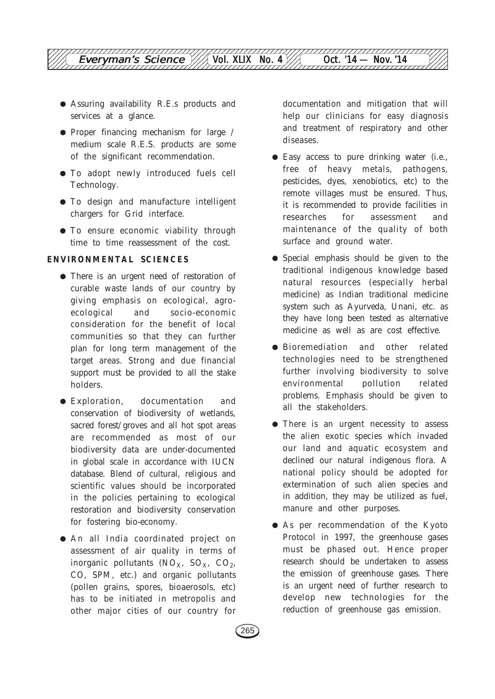

- Assuring availability R.E.s products and services at a glance.
- Proper financing mechanism for large / medium scale R.E.S. products are some of the significant recommendation.
- To adopt newly introduced fuels cell Technology.
- To design and manufacture intelligent chargers for Grid interface.
- To ensure economic viability through time to time reassessment of the cost.

#### **ENVIRONMENTAL SCIENCES**

- There is an urgent need of restoration of curable waste lands of our country by giving emphasis on ecological, agroecological and socio-economic consideration for the benefit of local communities so that they can further plan for long term management of the target areas. Strong and due financial support must be provided to all the stake holders.
- Exploration, documentation and conservation of biodiversity of wetlands, sacred forest/groves and all hot spot areas are recommended as most of our biodiversity data are under-documented in global scale in accordance with IUCN database. Blend of cultural, religious and scientific values should be incorporated in the policies pertaining to ecological restoration and biodiversity conservation for fostering bio-economy.
- An all India coordinated project on assessment of air quality in terms of inorganic pollutants  $(NO<sub>X</sub>, SO<sub>X</sub>, CO<sub>2</sub>)$ CO, SPM, etc.) and organic pollutants (pollen grains, spores, bioaerosols, etc) has to be initiated in metropolis and other major cities of our country for

documentation and mitigation that will help our clinicians for easy diagnosis and treatment of respiratory and other diseases.

- Easy access to pure drinking water (i.e., free of heavy metals, pathogens, pesticides, dyes, xenobiotics, etc) to the remote villages must be ensured. Thus, it is recommended to provide facilities in researches for assessment and maintenance of the quality of both surface and ground water.
- Special emphasis should be given to the traditional indigenous knowledge based natural resources (especially herbal medicine) as Indian traditional medicine system such as Ayurveda, Unani, etc. as they have long been tested as alternative medicine as well as are cost effective.
- Bioremediation and other related technologies need to be strengthened further involving biodiversity to solve environmental pollution related problems. Emphasis should be given to all the stakeholders.
- There is an urgent necessity to assess the alien exotic species which invaded our land and aquatic ecosystem and declined our natural indigenous flora. A national policy should be adopted for extermination of such alien species and in addition, they may be utilized as fuel, manure and other purposes.
- As per recommendation of the Kyoto Protocol in 1997, the greenhouse gases must be phased out. Hence proper research should be undertaken to assess the emission of greenhouse gases. There is an urgent need of further research to develop new technologies for the reduction of greenhouse gas emission.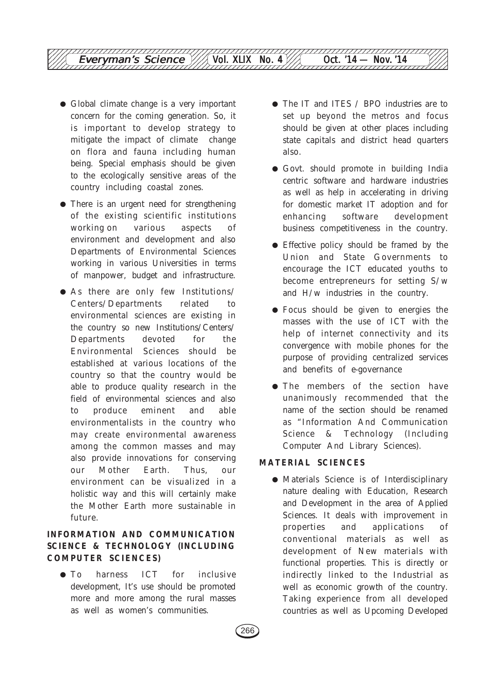- Global climate change is a very important concern for the coming generation. So, it is important to develop strategy to mitigate the impact of climate change on flora and fauna including human being. Special emphasis should be given to the ecologically sensitive areas of the country including coastal zones.
- There is an urgent need for strengthening of the existing scientific institutions working on various aspects of environment and development and also Departments of Environmental Sciences working in various Universities in terms of manpower, budget and infrastructure.
- $\bullet$  As there are only few Institutions/ Centers/Departments related to environmental sciences are existing in the country so new Institutions/Centers/ Departments devoted for the Environmental Sciences should be established at various locations of the country so that the country would be able to produce quality research in the field of environmental sciences and also to produce eminent and able environmentalists in the country who may create environmental awareness among the common masses and may also provide innovations for conserving our Mother Earth. Thus, our environment can be visualized in a holistic way and this will certainly make the Mother Earth more sustainable in future.

## **INFORMATION AND COMMUNICATION SCIENCE & TECHNOLOGY (INCLUDING COMPUTER SCIENCES)**

● To harness ICT for inclusive development, It's use should be promoted more and more among the rural masses as well as women's communities.

- The IT and ITES / BPO industries are to set up beyond the metros and focus should be given at other places including state capitals and district head quarters also.
- Govt. should promote in building India centric software and hardware industries as well as help in accelerating in driving for domestic market IT adoption and for enhancing software development business competitiveness in the country.
- Effective policy should be framed by the Union and State Governments to encourage the ICT educated youths to become entrepreneurs for setting S/w and H/w industries in the country.
- Focus should be given to energies the masses with the use of ICT with the help of internet connectivity and its convergence with mobile phones for the purpose of providing centralized services and benefits of e-governance
- The members of the section have unanimously recommended that the name of the section should be renamed as "Information And Communication Science & Technology (Including Computer And Library Sciences).

## **MATERIAL SCIENCES**

● Materials Science is of Interdisciplinary nature dealing with Education, Research and Development in the area of Applied Sciences. It deals with improvement in properties and applications of conventional materials as well as development of New materials with functional properties. This is directly or indirectly linked to the Industrial as well as economic growth of the country. Taking experience from all developed countries as well as Upcoming Developed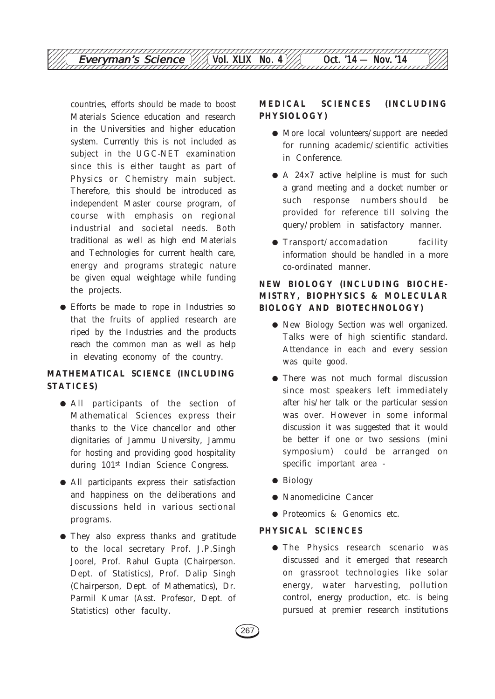

countries, efforts should be made to boost Materials Science education and research in the Universities and higher education system. Currently this is not included as subject in the UGC-NET examination since this is either taught as part of Physics or Chemistry main subject. Therefore, this should be introduced as independent Master course program, of course with emphasis on regional industrial and societal needs. Both traditional as well as high end Materials and Technologies for current health care, energy and programs strategic nature be given equal weightage while funding the projects.

● Efforts be made to rope in Industries so that the fruits of applied research are riped by the Industries and the products reach the common man as well as help in elevating economy of the country.

## **MATHEMATICAL SCIENCE (INCLUDING STATICES**)

- All participants of the section of Mathematical Sciences express their thanks to the Vice chancellor and other dignitaries of Jammu University, Jammu for hosting and providing good hospitality during 101<sup>st</sup> Indian Science Congress.
- All participants express their satisfaction and happiness on the deliberations and discussions held in various sectional programs.
- They also express thanks and gratitude to the local secretary Prof. J.P.Singh Joorel, Prof. Rahul Gupta (Chairperson. Dept. of Statistics), Prof. Dalip Singh (Chairperson, Dept. of Mathematics), Dr. Parmil Kumar (Asst. Profesor, Dept. of Statistics) other faculty.

## **MEDICAL SCIENCES (INCLUDING PHYSIOLOGY)**

- More local volunteers/support are needed for running academic/scientific activities in Conference.
- A 24×7 active helpline is must for such a grand meeting and a docket number or such response numbers should be provided for reference till solving the query/problem in satisfactory manner.
- **Transport/accomadation** facility information should be handled in a more co-ordinated manner.

## **NEW BIOLOGY (INCLUDING BIOCHE-MISTRY, BIOPHYSICS & MOLECULAR BIOLOGY AND BIOTECHNOLOGY)**

- New Biology Section was well organized. Talks were of high scientific standard. Attendance in each and every session was quite good.
- There was not much formal discussion since most speakers left immediately after his/her talk or the particular session was over. However in some informal discussion it was suggested that it would be better if one or two sessions (mini symposium) could be arranged on specific important area -
- Biology
- Nanomedicine Cancer
- Proteomics & Genomics etc.

### **PHYSICAL SCIENCES**

● The Physics research scenario was discussed and it emerged that research on grassroot technologies like solar energy, water harvesting, pollution control, energy production, etc. is being pursued at premier research institutions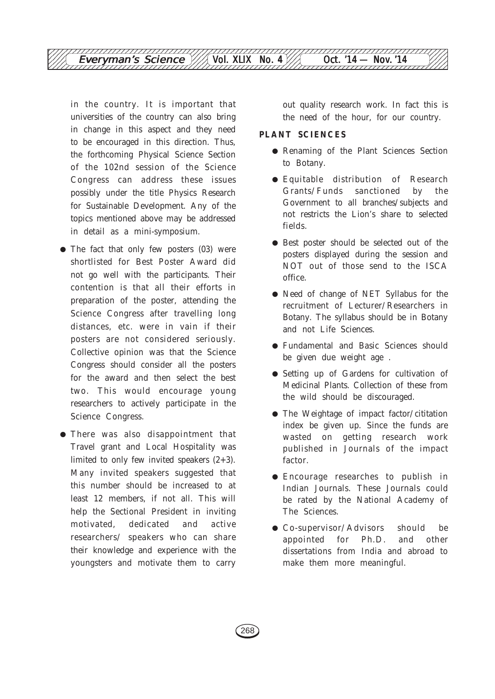

in the country. It is important that universities of the country can also bring in change in this aspect and they need to be encouraged in this direction. Thus, the forthcoming Physical Science Section of the 102nd session of the Science Congress can address these issues possibly under the title Physics Research for Sustainable Development. Any of the topics mentioned above may be addressed in detail as a mini-symposium.

- The fact that only few posters (03) were shortlisted for Best Poster Award did not go well with the participants. Their contention is that all their efforts in preparation of the poster, attending the Science Congress after travelling long distances, etc. were in vain if their posters are not considered seriously. Collective opinion was that the Science Congress should consider all the posters for the award and then select the best two. This would encourage young researchers to actively participate in the Science Congress.
- There was also disappointment that Travel grant and Local Hospitality was limited to only few invited speakers (2+3). Many invited speakers suggested that this number should be increased to at least 12 members, if not all. This will help the Sectional President in inviting motivated, dedicated and active researchers/ speakers who can share their knowledge and experience with the youngsters and motivate them to carry

out quality research work. In fact this is the need of the hour, for our country.

#### **PLANT SCIENCES**

- Renaming of the Plant Sciences Section to Botany.
- Equitable distribution of Research Grants/Funds sanctioned by the Government to all branches/subjects and not restricts the Lion's share to selected fields.
- Best poster should be selected out of the posters displayed during the session and NOT out of those send to the ISCA office.
- Need of change of NET Syllabus for the recruitment of Lecturer/Researchers in Botany. The syllabus should be in Botany and not Life Sciences.
- Fundamental and Basic Sciences should be given due weight age .
- Setting up of Gardens for cultivation of Medicinal Plants. Collection of these from the wild should be discouraged.
- The Weightage of impact factor/cititation index be given up. Since the funds are wasted on getting research work published in Journals of the impact factor.
- Encourage researches to publish in Indian Journals. These Journals could be rated by the National Academy of The Sciences.
- Co-supervisor/Advisors should be appointed for Ph.D. and other dissertations from India and abroad to make them more meaningful.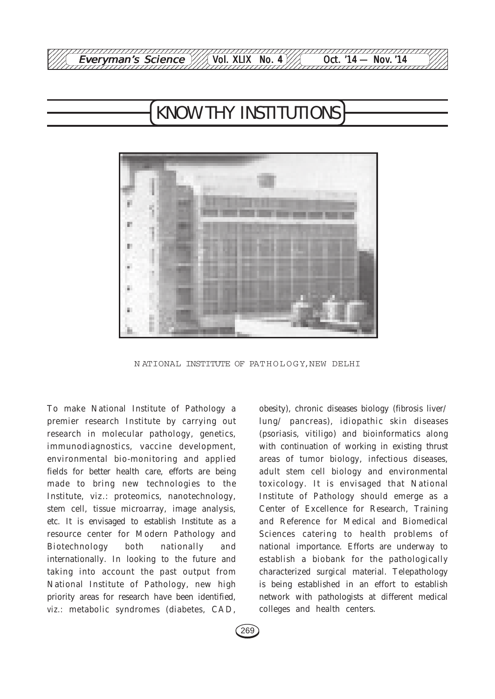

# KNOW THY INSTITUTIONS



N ATIONAL INSTITUTE OF PATHOLOGY, NEW DELHI

To make National Institute of Pathology a premier research Institute by carrying out research in molecular pathology, genetics, immunodiagnostics, vaccine development, environmental bio-monitoring and applied fields for better health care, efforts are being made to bring new technologies to the Institute, viz.: proteomics, nanotechnology, stem cell, tissue microarray, image analysis, etc. It is envisaged to establish Institute as a resource center for Modern Pathology and Biotechnology both nationally and internationally. In looking to the future and taking into account the past output from National Institute of Pathology, new high priority areas for research have been identified, *viz.:* metabolic syndromes (diabetes, CAD,

obesity), chronic diseases biology (fibrosis liver/ lung/ pancreas), idiopathic skin diseases (psoriasis, vitiligo) and bioinformatics along with continuation of working in existing thrust areas of tumor biology, infectious diseases, adult stem cell biology and environmental toxicology. It is envisaged that National Institute of Pathology should emerge as a Center of Excellence for Research, Training and Reference for Medical and Biomedical Sciences catering to health problems of national importance. Efforts are underway to establish a biobank for the pathologically characterized surgical material. Telepathology is being established in an effort to establish network with pathologists at different medical colleges and health centers.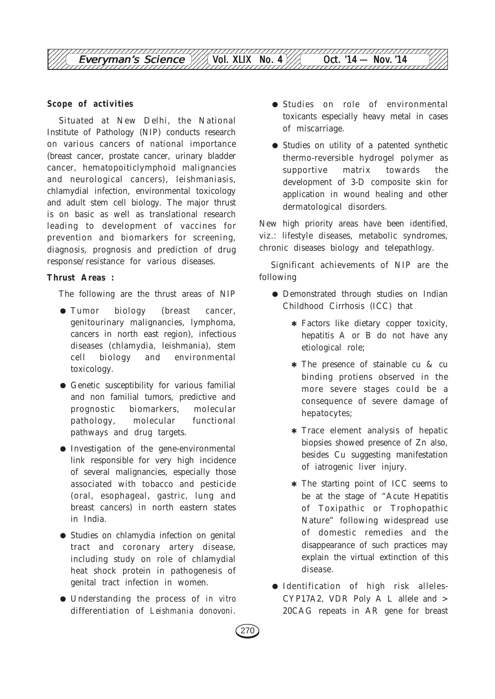

#### **Scope of activities**

Situated at New Delhi, the National Institute of Pathology (NIP) conducts research on various cancers of national importance (breast cancer, prostate cancer, urinary bladder cancer, hematopoiticlymphoid malignancies and neurological cancers), leishmaniasis, chlamydial infection, environmental toxicology and adult stem cell biology. The major thrust is on basic as well as translational research leading to development of vaccines for prevention and biomarkers for screening, diagnosis, prognosis and prediction of drug response/resistance for various diseases.

#### **Thrust Areas :**

The following are the thrust areas of NIP

- Tumor biology (breast cancer, genitourinary malignancies, lymphoma, cancers in north east region), infectious diseases (chlamydia, leishmania), stem cell biology and environmental toxicology.
- Genetic susceptibility for various familial and non familial tumors, predictive and prognostic biomarkers, molecular pathology, molecular functional pathways and drug targets.
- Investigation of the gene-environmental link responsible for very high incidence of several malignancies, especially those associated with tobacco and pesticide (oral, esophageal, gastric, lung and breast cancers) in north eastern states in India.
- Studies on chlamydia infection on genital tract and coronary artery disease, including study on role of chlamydial heat shock protein in pathogenesis of genital tract infection in women.
- Understanding the process of *in vitro* differentiation of *Leishmania donovoni*.
- Studies on role of environmental toxicants especially heavy metal in cases of miscarriage.
- Studies on utility of a patented synthetic thermo-reversible hydrogel polymer as supportive matrix towards the development of 3-D composite skin for application in wound healing and other dermatological disorders.

New high priority areas have been identified, viz.: lifestyle diseases, metabolic syndromes, chronic diseases biology and telepathlogy.

Significant achievements of NIP are the following

- Demonstrated through studies on Indian Childhood Cirrhosis (ICC) that
	- ✱ Factors like dietary copper toxicity, hepatitis A or B do not have any etiological role;
	- ✱ The presence of stainable cu & cu binding protiens observed in the more severe stages could be a consequence of severe damage of hepatocytes;
	- ✱ Trace element analysis of hepatic biopsies showed presence of Zn also, besides Cu suggesting manifestation of iatrogenic liver injury.
	- ✱ The starting point of ICC seems to be at the stage of "Acute Hepatitis of Toxipathic or Trophopathic Nature" following widespread use of domestic remedies and the disappearance of such practices may explain the virtual extinction of this disease.
- Identification of high risk alleles-CYP17A2, VDR Poly A L allele and > 20CAG repeats in AR gene for breast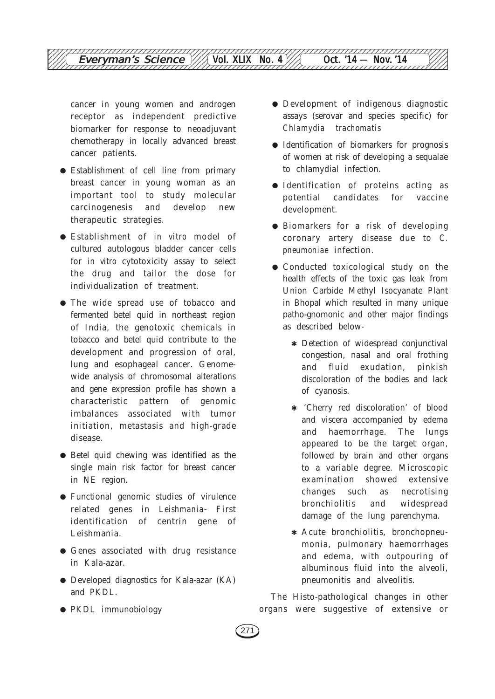cancer in young women and androgen receptor as independent predictive biomarker for response to neoadjuvant chemotherapy in locally advanced breast cancer patients.

- Establishment of cell line from primary breast cancer in young woman as an important tool to study molecular carcinogenesis and develop new therapeutic strategies.
- Establishment of *in vitro* model of cultured autologous bladder cancer cells for *in vitro* cytotoxicity assay to select the drug and tailor the dose for individualization of treatment.
- The wide spread use of tobacco and fermented betel quid in northeast region of India, the genotoxic chemicals in tobacco and betel quid contribute to the development and progression of oral, lung and esophageal cancer. Genomewide analysis of chromosomal alterations and gene expression profile has shown a characteristic pattern of genomic imbalances associated with tumor initiation, metastasis and high-grade disease.
- Betel quid chewing was identified as the single main risk factor for breast cancer in NE region.
- Functional genomic studies of virulence related genes in *Leishmania*- First identification of centrin gene of Leishmania.
- Genes associated with drug resistance in Kala-azar.
- Developed diagnostics for Kala-azar (KA) and PKDL.
- PKDL immunobiology
- Development of indigenous diagnostic assays (serovar and species specific) for *Chlamydia trachomatis*
- Identification of biomarkers for prognosis of women at risk of developing a sequalae to chlamydial infection.
- Identification of proteins acting as potential candidates for vaccine development.
- Biomarkers for a risk of developing coronary artery disease due to *C. pneumoniae* infection.
- Conducted toxicological study on the health effects of the toxic gas leak from Union Carbide Methyl Isocyanate Plant in Bhopal which resulted in many unique patho-gnomonic and other major findings as described below-
	- ✱ Detection of widespread conjunctival congestion, nasal and oral frothing and fluid exudation, pinkish discoloration of the bodies and lack of cyanosis.
	- ✱ 'Cherry red discoloration' of blood and viscera accompanied by edema and haemorrhage. The lungs appeared to be the target organ, followed by brain and other organs to a variable degree. Microscopic examination showed extensive changes such as necrotising bronchiolitis and widespread damage of the lung parenchyma.
	- ✱ Acute bronchiolitis, bronchopneumonia, pulmonary haemorrhages and edema, with outpouring of albuminous fluid into the alveoli, pneumonitis and alveolitis.

The Histo-pathological changes in other organs were suggestive of extensive or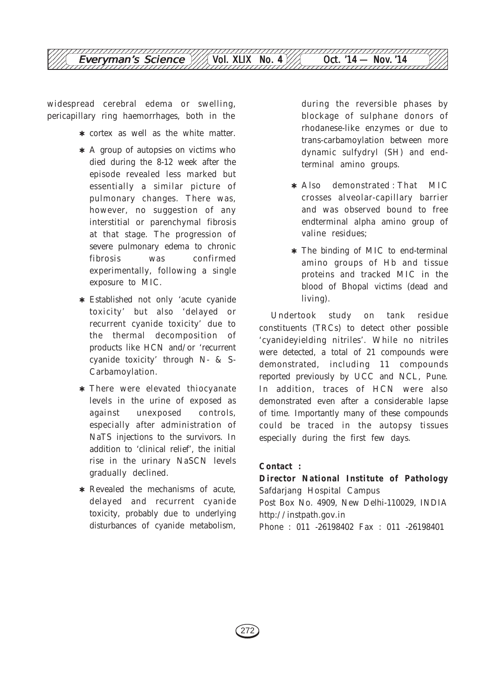

widespread cerebral edema or swelling, pericapillary ring haemorrhages, both in the

- ✱ cortex as well as the white matter.
- ✱ A group of autopsies on victims who died during the 8-12 week after the episode revealed less marked but essentially a similar picture of pulmonary changes. There was, however, no suggestion of any interstitial or parenchymal fibrosis at that stage. The progression of severe pulmonary edema to chronic fibrosis was confirmed experimentally, following a single exposure to MIC.
- ✱ Established not only 'acute cyanide toxicity' but also 'delayed or recurrent cyanide toxicity' due to the thermal decomposition of products like HCN and/or 'recurrent cyanide toxicity' through N- & S-Carbamoylation.
- ✱ There were elevated thiocyanate levels in the urine of exposed as against unexposed controls, especially after administration of NaTS injections to the survivors. In addition to 'clinical relief', the initial rise in the urinary NaSCN levels gradually declined.
- ✱ Revealed the mechanisms of acute, delayed and recurrent cyanide toxicity, probably due to underlying disturbances of cyanide metabolism,

during the reversible phases by blockage of sulphane donors of rhodanese-like enzymes or due to trans-carbamoylation between more dynamic sulfydryl (SH) and endterminal amino groups.

- ✱ Also demonstrated : That MIC crosses alveolar-capillary barrier and was observed bound to free endterminal alpha amino group of valine residues;
- ✱ The binding of MIC to end-terminal amino groups of Hb and tissue proteins and tracked MIC in the blood of Bhopal victims (dead and living).

Undertook study on tank residue constituents (TRCs) to detect other possible 'cyanideyielding nitriles'. While no nitriles were detected, a total of 21 compounds were demonstrated, including 11 compounds reported previously by UCC and NCL, Pune. In addition, traces of HCN were also demonstrated even after a considerable lapse of time. Importantly many of these compounds could be traced in the autopsy tissues especially during the first few days.

## **Contact :**

**Director National Institute of Pathology** Safdarjang Hospital Campus Post Box No. 4909, New Delhi-110029, INDIA http://instpath.gov.in

Phone : 011 -26198402 Fax : 011 -26198401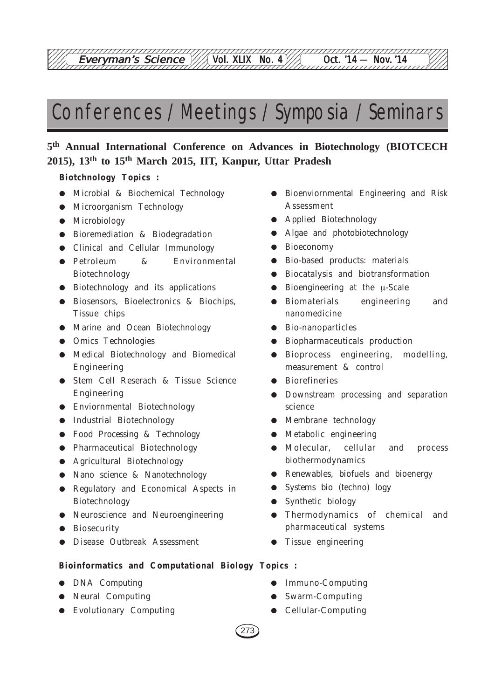12345678901234567890123456789012123456789012345678901234567890121234567890123456789012345678

# Conferences / Meetings / Symposia / Seminars

## **5th Annual International Conference on Advances in Biotechnology (BIOTCECH 2015), 13th to 15th March 2015, IIT, Kanpur, Uttar Pradesh**

## **Biotchnology Topics :**

- Microbial & Biochemical Technology
- Microorganism Technology
- Microbiology
- Bioremediation & Biodegradation
- Clinical and Cellular Immunology
- Petroleum & Environmental Biotechnology
- Biotechnology and its applications
- Biosensors, Bioelectronics & Biochips, Tissue chips
- Marine and Ocean Biotechnology
- Omics Technologies
- Medical Biotechnology and Biomedical Engineering
- Stem Cell Reserach & Tissue Science Engineering
- Enviornmental Biotechnology
- Industrial Biotechnology
- Food Processing & Technology
- Pharmaceutical Biotechnology
- Agricultural Biotechnology
- Nano science & Nanotechnology
- Regulatory and Economical Aspects in Biotechnology
- Neuroscience and Neuroengineering
- Biosecurity
- Disease Outbreak Assessment
- Bioenviornmental Engineering and Risk Assessment
- Applied Biotechnology
- Algae and photobiotechnology
- Bioeconomy
- Bio-based products: materials
- Biocatalysis and biotransformation
- Bioengineering at the μ-Scale
- Biomaterials engineering and nanomedicine
- Bio-nanoparticles
- Biopharmaceuticals production
- Bioprocess engineering, modelling, measurement & control
- Biorefineries
- Downstream processing and separation science
- Membrane technology
- Metabolic engineering
- Molecular, cellular and process biothermodynamics
- Renewables, biofuels and bioenergy
- Systems bio (techno) logy
- Synthetic biology
- Thermodynamics of chemical and pharmaceutical systems
- Tissue engineering

#### **Bioinformatics and Computational Biology Topics :**

- DNA Computing
- Neural Computing
- Evolutionary Computing
- Immuno-Computing
- Swarm-Computing
- Cellular-Computing

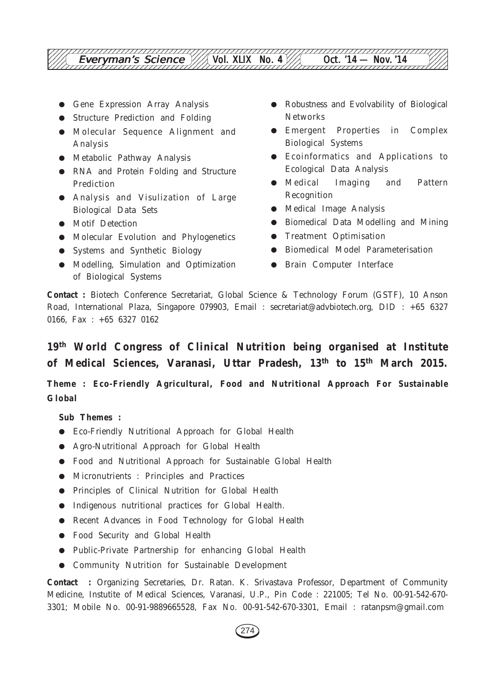- Gene Expression Array Analysis
- Structure Prediction and Folding
- Molecular Sequence Alignment and Analysis
- Metabolic Pathway Analysis
- RNA and Protein Folding and Structure Prediction
- Analysis and Visulization of Large Biological Data Sets
- Motif Detection
- Molecular Evolution and Phylogenetics
- Systems and Synthetic Biology
- Modelling, Simulation and Optimization of Biological Systems
- Robustness and Evolvability of Biological Networks
- Emergent Properties in Complex Biological Systems
- Ecoinformatics and Applications to Ecological Data Analysis
- Medical Imaging and Pattern Recognition
- Medical Image Analysis
- Biomedical Data Modelling and Mining
- Treatment Optimisation
- Biomedical Model Parameterisation
- Brain Computer Interface

**Contact :** Biotech Conference Secretariat, Global Science & Technology Forum (GSTF), 10 Anson Road, International Plaza, Singapore 079903, Email : secretariat@advbiotech.org, DID : +65 6327 0166, Fax : +65 6327 0162

## **19th World Congress of Clinical Nutrition being organised at Institute of Medical Sciences, Varanasi, Uttar Pradesh, 13th to 15th March 2015.**

## **Theme : Eco-Friendly Agricultural, Food and Nutritional Approach For Sustainable Global**

**Sub Themes :**

- Eco-Friendly Nutritional Approach for Global Health
- Agro-Nutritional Approach for Global Health
- Food and Nutritional Approach for Sustainable Global Health
- Micronutrients : Principles and Practices
- Principles of Clinical Nutrition for Global Health
- Indigenous nutritional practices for Global Health.
- Recent Advances in Food Technology for Global Health
- Food Security and Global Health
- Public-Private Partnership for enhancing Global Health
- Community Nutrition for Sustainable Development

**Contact :** Organizing Secretaries, Dr. Ratan. K. Srivastava Professor, Department of Community Medicine, Instutite of Medical Sciences, Varanasi, U.P., Pin Code : 221005; Tel No. 00-91-542-670- 3301; Mobile No. 00-91-9889665528, Fax No. 00-91-542-670-3301, Email : ratanpsm@gmail.com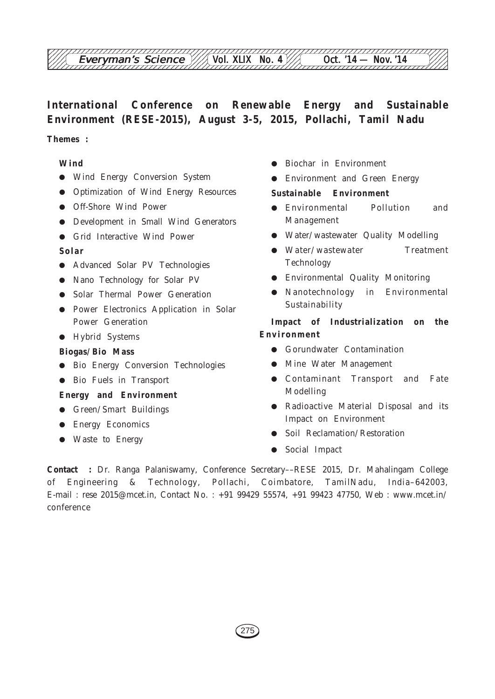# **International Conference on Renewable Energy and Sustainable Environment (RESE-2015), August 3-5, 2015, Pollachi, Tamil Nadu**

## **Themes :**

#### **Wind**

- Wind Energy Conversion System
- Optimization of Wind Energy Resources
- Off-Shore Wind Power
- Development in Small Wind Generators
- Grid Interactive Wind Power

#### **Solar**

- Advanced Solar PV Technologies
- Nano Technology for Solar PV
- Solar Thermal Power Generation
- Power Electronics Application in Solar Power Generation
- Hybrid Systems

#### **Biogas/Bio Mass**

- Bio Energy Conversion Technologies
- Bio Fuels in Transport

#### **Energy and Environment**

- Green/Smart Buildings
- Energy Economics
- Waste to Energy
- Biochar in Environment
- Environment and Green Energy

#### **Sustainable Environment**

- Environmental Pollution and Management
- Water/wastewater Quality Modelling
- Water/wastewater Treatment Technology
- Environmental Quality Monitoring
- Nanotechnology in Environmental Sustainability

## **Impact of Industrialization on the Environment**

- Gorundwater Contamination
- Mine Water Management
- Contaminant Transport and Fate Modelling
- Radioactive Material Disposal and its Impact on Environment
- Soil Reclamation/Restoration
- Social Impact

**Contact :** Dr. Ranga Palaniswamy, Conference Secretary––RESE 2015, Dr. Mahalingam College of Engineering & Technology, Pollachi, Coimbatore, TamilNadu, India–642003, E-mail : rese 2015@mcet.in, Contact No. : +91 99429 55574, +91 99423 47750, Web : www.mcet.in/ conference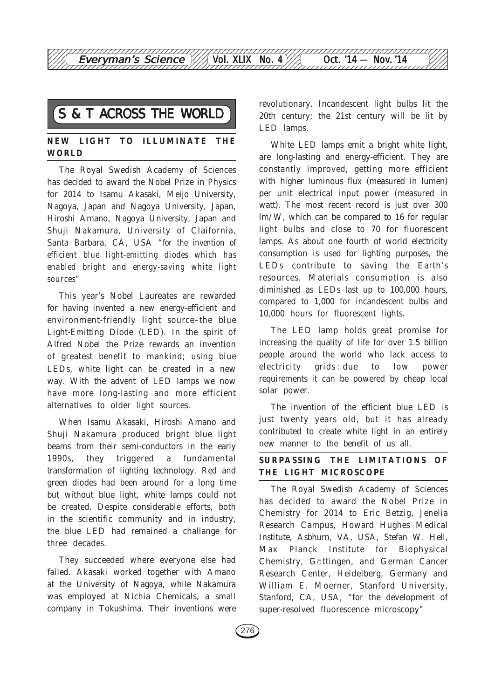## **NEW LIGHT TO ILLUMINATE THE WORLD**

The Royal Swedish Academy of Sciences has decided to award the Nobel Prize in Physics for 2014 to Isamu Akasaki, Meijo University, Nagoya, Japan and Nagoya University, Japan, Hiroshi Amano, Nagoya University, Japan and Shuji Nakamura, University of Claifornia, Santa Barbara, CA, USA *"for the invention of efficient blue light-emitting diodes which has enabled bright and energy-saving white light sources"*

This year's Nobel Laureates are rewarded for having invented a new energy-efficient and environment-friendly light source–the blue Light-Emitting Diode (LED). In the spirit of Alfred Nobel the Prize rewards an invention of greatest benefit to mankind; using blue LEDs, white light can be created in a new way. With the advent of LED lamps we now have more long-lasting and more efficient alternatives to older light sources.

When Isamu Akasaki, Hiroshi Amano and Shuji Nakamura produced bright blue light beams from their semi-conductors in the early 1990s, they triggered a fundamental transformation of lighting technology. Red and green diodes had been around for a long time but without blue light, white lamps could not be created. Despite considerable efforts, both in the scientific community and in industry, the blue LED had remained a challange for three decades.

They succeeded where everyone else had failed. Akasaki worked together with Amano at the University of Nagoya, while Nakamura was employed at Nichia Chemicals, a small company in Tokushima. Their inventions were

S & T ACROSS THE WORLD revolutionary. Incandescent light bulbs lit the 21st century will be lit by 20th century; the 21st century will be lit by LED lamps.

> White LED lamps emit a bright white light, are long-lasting and energy-efficient. They are constantly improved, getting more efficient with higher luminous flux (measured in lumen) per unit electrical input power (measured in watt). The most recent record is just over 300 lm/W, which can be compared to 16 for regular light bulbs and close to 70 for fluorescent lamps. As about one fourth of world electricity consumption is used for lighting purposes, the LEDs contribute to saving the Earth's resources. Materials consumption is also diminished as LEDs last up to 100,000 hours, compared to 1,000 for incandescent bulbs and 10,000 hours for fluorescent lights.

> The LED lamp holds great promise for increasing the quality of life for over 1.5 billion people around the world who lack access to electricity grids : due to low power requirements it can be powered by cheap local solar power.

> The invention of the efficient blue LED is just twenty years old, but it has already contributed to create white light in an entirely new manner to the benefit of us all.

### **SURPASSING THE LIMITATIONS OF THE LIGHT MICROSCOPE**

The Royal Swedish Academy of Sciences has decided to award the Nobel Prize in Chemistry for 2014 to Eric Betzig, Jenelia Research Campus, Howard Hughes Medical Institute, Asbhurn, VA, USA, Stefan W. Hell, Max Planck Institute for Biophysical Chemistry, GÖ ttingen, and German Cancer Research Center, Heidelberg, Germany and William E. Moerner, Stanford University, Stanford, CA, USA, "for the development of super-resolved fluorescence microscopy"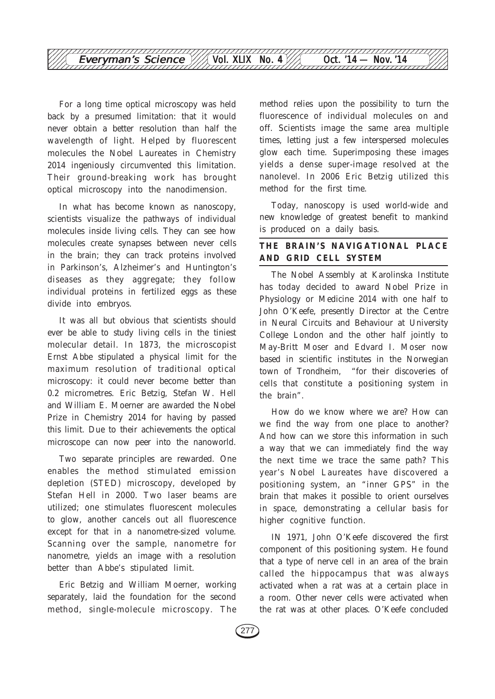

For a long time optical microscopy was held back by a presumed limitation: that it would never obtain a better resolution than half the wavelength of light. Helped by fluorescent molecules the Nobel Laureates in Chemistry 2014 ingeniously circumvented this limitation. Their ground-breaking work has brought optical microscopy into the nanodimension.

In what has become known as nanoscopy, scientists visualize the pathways of individual molecules inside living cells. They can see how molecules create synapses between never cells in the brain; they can track proteins involved in Parkinson's, Alzheimer's and Huntington's diseases as they aggregate; they follow individual proteins in fertilized eggs as these divide into embryos.

It was all but obvious that scientists should ever be able to study living cells in the tiniest molecular detail. In 1873, the microscopist Ernst Abbe stipulated a physical limit for the maximum resolution of traditional optical microscopy: it could never become better than 0.2 micrometres. Eric Betzig, Stefan W. Hell and William E. Moerner are awarded the Nobel Prize in Chemistry 2014 for having by passed this limit. Due to their achievements the optical microscope can now peer into the nanoworld.

Two separate principles are rewarded. One enables the method stimulated emission depletion (STED) microscopy, developed by Stefan Hell in 2000. Two laser beams are utilized; one stimulates fluorescent molecules to glow, another cancels out all fluorescence except for that in a nanometre-sized volume. Scanning over the sample, nanometre for nanometre, yields an image with a resolution better than Abbe's stipulated limit.

Eric Betzig and William Moerner, working separately, laid the foundation for the second method, single-molecule microscopy. The method relies upon the possibility to turn the fluorescence of individual molecules on and off. Scientists image the same area multiple times, letting just a few interspersed molecules glow each time. Superimposing these images yields a dense super-image resolved at the nanolevel. In 2006 Eric Betzig utilized this method for the first time.

Today, nanoscopy is used world-wide and new knowledge of greatest benefit to mankind is produced on a daily basis.

## **THE BRAIN'S NAVIGATIONAL PLACE AND GRID CELL SYSTEM**

The Nobel Assembly at Karolinska Institute has today decided to award Nobel Prize in Physiology or Medicine 2014 with one half to John O'Keefe, presently Director at the Centre in Neural Circuits and Behaviour at University College London and the other half jointly to May-Britt Moser and Edvard I. Moser now based in scientific institutes in the Norwegian town of Trondheim, "for their discoveries of cells that constitute a positioning system in the brain".

How do we know where we are? How can we find the way from one place to another? And how can we store this information in such a way that we can immediately find the way the next time we trace the same path? This year's Nobel Laureates have discovered a positioning system, an "inner GPS" in the brain that makes it possible to orient ourselves in space, demonstrating a cellular basis for higher cognitive function.

IN 1971, John O'Keefe discovered the first component of this positioning system. He found that a type of nerve cell in an area of the brain called the hippocampus that was always activated when a rat was at a certain place in a room. Other never cells were activated when the rat was at other places. O'Keefe concluded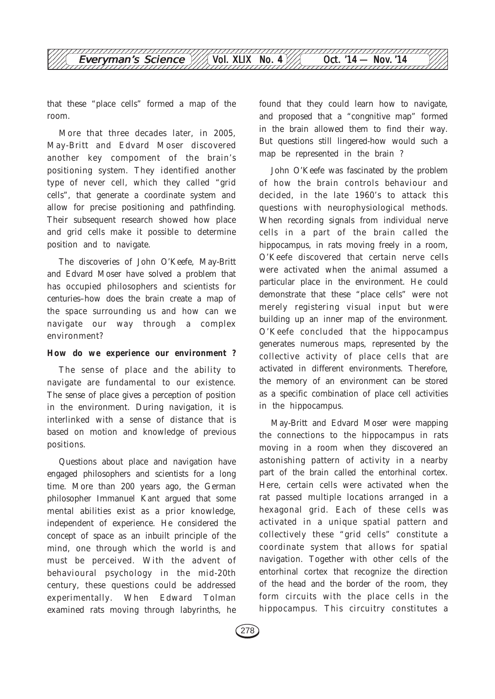

that these "place cells" formed a map of the room.

More that three decades later, in 2005, May-Britt and Edvard Moser discovered another key compoment of the brain's positioning system. They identified another type of never cell, which they called "grid cells", that generate a coordinate system and allow for precise positioning and pathfinding. Their subsequent research showed how place and grid cells make it possible to determine position and to navigate.

The discoveries of John O'Keefe, May-Britt and Edvard Moser have solved a problem that has occupied philosophers and scientists for centuries–how does the brain create a map of the space surrounding us and how can we navigate our way through a complex environment?

#### **How do we experience our environment ?**

The sense of place and the ability to navigate are fundamental to our existence. The sense of place gives a perception of position in the environment. During navigation, it is interlinked with a sense of distance that is based on motion and knowledge of previous positions.

Questions about place and navigation have engaged philosophers and scientists for a long time. More than 200 years ago, the German philosopher Immanuel Kant argued that some mental abilities exist as a prior knowledge, independent of experience. He considered the concept of space as an inbuilt principle of the mind, one through which the world is and must be perceived. With the advent of behavioural psychology in the mid-20th century, these questions could be addressed experimentally. When Edward Tolman examined rats moving through labyrinths, he

found that they could learn how to navigate, and proposed that a "congnitive map" formed in the brain allowed them to find their way. But questions still lingered-how would such a map be represented in the brain ?

John O'Keefe was fascinated by the problem of how the brain controls behaviour and decided, in the late 1960's to attack this questions with neurophysiological methods. When recording signals from individual nerve cells in a part of the brain called the hippocampus, in rats moving freely in a room, O'Keefe discovered that certain nerve cells were activated when the animal assumed a particular place in the environment. He could demonstrate that these "place cells" were not merely registering visual input but were building up an inner map of the environment. O'Keefe concluded that the hippocampus generates numerous maps, represented by the collective activity of place cells that are activated in different environments. Therefore, the memory of an environment can be stored as a specific combination of place cell activities in the hippocampus.

May-Britt and Edvard Moser were mapping the connections to the hippocampus in rats moving in a room when they discovered an astonishing pattern of activity in a nearby part of the brain called the entorhinal cortex. Here, certain cells were activated when the rat passed multiple locations arranged in a hexagonal grid. Each of these cells was activated in a unique spatial pattern and collectively these "grid cells" constitute a coordinate system that allows for spatial navigation. Together with other cells of the entorhinal cortex that recognize the direction of the head and the border of the room, they form circuits with the place cells in the hippocampus. This circuitry constitutes a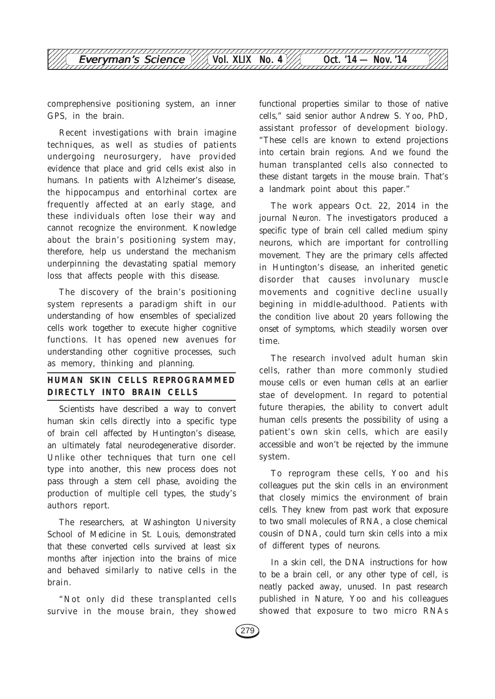

comprephensive positioning system, an inner GPS, in the brain.

Recent investigations with brain imagine techniques, as well as studies of patients undergoing neurosurgery, have provided evidence that place and grid cells exist also in humans. In patients with Alzheimer's disease, the hippocampus and entorhinal cortex are frequently affected at an early stage, and these individuals often lose their way and cannot recognize the environment. Knowledge about the brain's positioning system may, therefore, help us understand the mechanism underpinning the devastating spatial memory loss that affects people with this disease.

The discovery of the brain's positioning system represents a paradigm shift in our understanding of how ensembles of specialized cells work together to execute higher cognitive functions. It has opened new avenues for understanding other cognitive processes, such as memory, thinking and planning.

## **HUMAN SKIN CELLS REPROGRAMMED DIRECTLY INTO BRAIN CELLS**

Scientists have described a way to convert human skin cells directly into a specific type of brain cell affected by Huntington's disease, an ultimately fatal neurodegenerative disorder. Unlike other techniques that turn one cell type into another, this new process does not pass through a stem cell phase, avoiding the production of multiple cell types, the study's authors report.

The researchers, at Washington University School of Medicine in St. Louis, demonstrated that these converted cells survived at least six months after injection into the brains of mice and behaved similarly to native cells in the brain.

"Not only did these transplanted cells survive in the mouse brain, they showed

functional properties similar to those of native cells," said senior author Andrew S. Yoo, PhD, assistant professor of development biology. "These cells are known to extend projections into certain brain regions. And we found the human transplanted cells also connected to these distant targets in the mouse brain. That's a landmark point about this paper."

The work appears Oct. 22, 2014 in the journal *Neuron*. The investigators produced a specific type of brain cell called medium spiny neurons, which are important for controlling movement. They are the primary cells affected in Huntington's disease, an inherited genetic disorder that causes involunary muscle movements and cognitive decline usually begining in middle-adulthood. Patients with the condition live about 20 years following the onset of symptoms, which steadily worsen over time.

The research involved adult human skin cells, rather than more commonly studied mouse cells or even human cells at an earlier stae of development. In regard to potential future therapies, the ability to convert adult human cells presents the possibility of using a patient's own skin cells, which are easily accessible and won't be rejected by the immune system.

To reprogram these cells, Yoo and his colleagues put the skin cells in an environment that closely mimics the environment of brain cells. They knew from past work that exposure to two small molecules of RNA, a close chemical cousin of DNA, could turn skin cells into a mix of different types of neurons.

In a skin cell, the DNA instructions for how to be a brain cell, or any other type of cell, is neatly packed away, unused. In past research published in Nature, Yoo and his colleagues showed that exposure to two micro RNAs